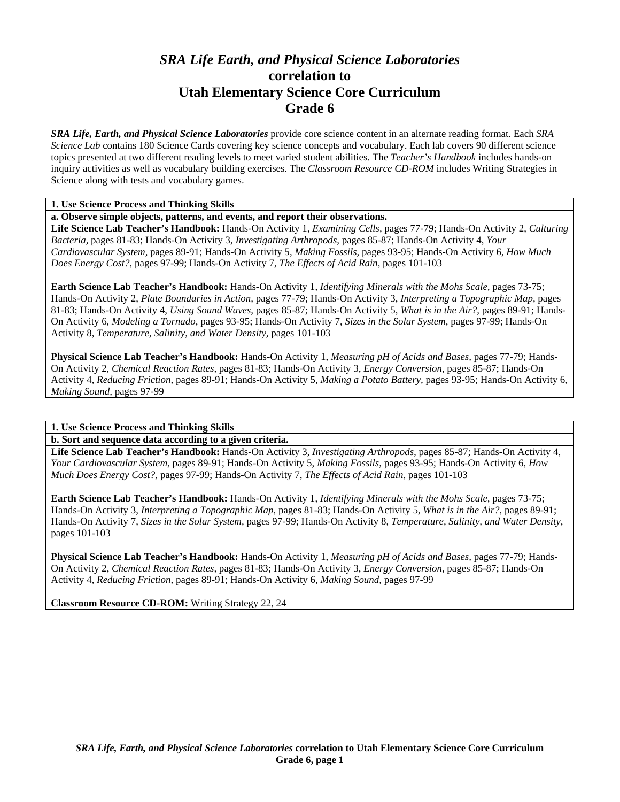# *SRA Life Earth, and Physical Science Laboratories*  **correlation to Utah Elementary Science Core Curriculum Grade 6**

*SRA Life, Earth, and Physical Science Laboratories* provide core science content in an alternate reading format. Each *SRA Science Lab* contains 180 Science Cards covering key science concepts and vocabulary. Each lab covers 90 different science topics presented at two different reading levels to meet varied student abilities. The *Teacher's Handbook* includes hands-on inquiry activities as well as vocabulary building exercises. The *Classroom Resource CD-ROM* includes Writing Strategies in Science along with tests and vocabulary games.

### **1. Use Science Process and Thinking Skills**

**a. Observe simple objects, patterns, and events, and report their observations.** 

**Life Science Lab Teacher's Handbook:** Hands-On Activity 1, *Examining Cells,* pages 77-79; Hands-On Activity 2, *Culturing Bacteria,* pages 81-83; Hands-On Activity 3, *Investigating Arthropods,* pages 85-87; Hands-On Activity 4, *Your Cardiovascular System,* pages 89-91; Hands-On Activity 5, *Making Fossils,* pages 93-95; Hands-On Activity 6, *How Much Does Energy Cost?,* pages 97-99; Hands-On Activity 7, *The Effects of Acid Rain,* pages 101-103

**Earth Science Lab Teacher's Handbook:** Hands-On Activity 1, *Identifying Minerals with the Mohs Scale,* pages 73-75; Hands-On Activity 2, *Plate Boundaries in Action,* pages 77-79; Hands-On Activity 3, *Interpreting a Topographic Map,* pages 81-83; Hands-On Activity 4, *Using Sound Waves,* pages 85-87; Hands-On Activity 5, *What is in the Air?,* pages 89-91; Hands-On Activity 6, *Modeling a Tornado,* pages 93-95; Hands-On Activity 7, *Sizes in the Solar System,* pages 97-99; Hands-On Activity 8, *Temperature, Salinity, and Water Density,* pages 101-103

**Physical Science Lab Teacher's Handbook:** Hands-On Activity 1, *Measuring pH of Acids and Bases,* pages 77-79; Hands-On Activity 2, *Chemical Reaction Rates,* pages 81-83; Hands-On Activity 3, *Energy Conversion,* pages 85-87; Hands-On Activity 4, *Reducing Friction,* pages 89-91; Hands-On Activity 5, *Making a Potato Battery,* pages 93-95; Hands-On Activity 6, *Making Sound,* pages 97-99

### **1. Use Science Process and Thinking Skills**

**b. Sort and sequence data according to a given criteria.** 

**Life Science Lab Teacher's Handbook:** Hands-On Activity 3, *Investigating Arthropods,* pages 85-87; Hands-On Activity 4, *Your Cardiovascular System,* pages 89-91; Hands-On Activity 5, *Making Fossils,* pages 93-95; Hands-On Activity 6, *How Much Does Energy Cost?,* pages 97-99; Hands-On Activity 7, *The Effects of Acid Rain,* pages 101-103

**Earth Science Lab Teacher's Handbook:** Hands-On Activity 1, *Identifying Minerals with the Mohs Scale,* pages 73-75; Hands-On Activity 3, *Interpreting a Topographic Map,* pages 81-83; Hands-On Activity 5, *What is in the Air?,* pages 89-91; Hands-On Activity 7, *Sizes in the Solar System,* pages 97-99; Hands-On Activity 8, *Temperature, Salinity, and Water Density,* pages 101-103

**Physical Science Lab Teacher's Handbook:** Hands-On Activity 1, *Measuring pH of Acids and Bases,* pages 77-79; Hands-On Activity 2, *Chemical Reaction Rates,* pages 81-83; Hands-On Activity 3, *Energy Conversion,* pages 85-87; Hands-On Activity 4, *Reducing Friction,* pages 89-91; Hands-On Activity 6, *Making Sound,* pages 97-99

**Classroom Resource CD-ROM:** Writing Strategy 22, 24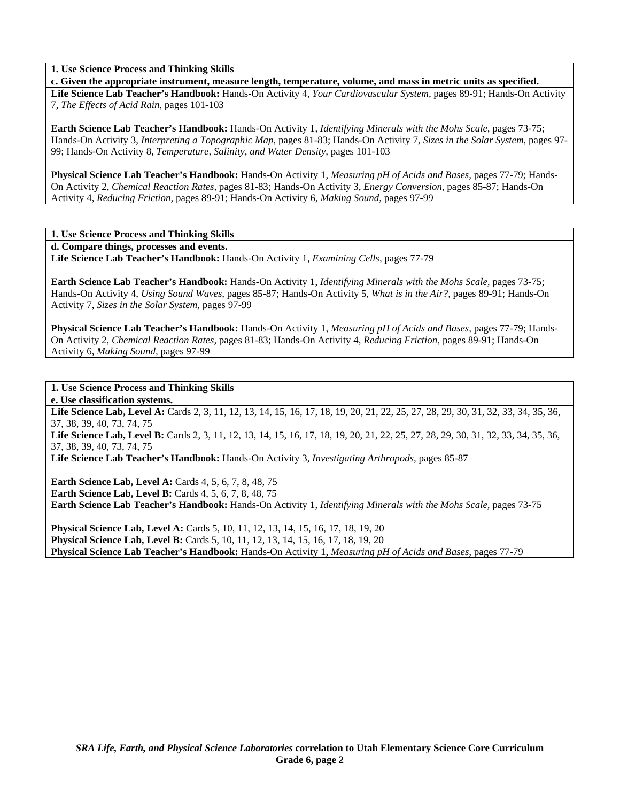**1. Use Science Process and Thinking Skills** 

**c. Given the appropriate instrument, measure length, temperature, volume, and mass in metric units as specified. Life Science Lab Teacher's Handbook:** Hands-On Activity 4, *Your Cardiovascular System,* pages 89-91; Hands-On Activity 7, *The Effects of Acid Rain,* pages 101-103

**Earth Science Lab Teacher's Handbook:** Hands-On Activity 1, *Identifying Minerals with the Mohs Scale,* pages 73-75; Hands-On Activity 3, *Interpreting a Topographic Map,* pages 81-83; Hands-On Activity 7, *Sizes in the Solar System,* pages 97- 99; Hands-On Activity 8, *Temperature, Salinity, and Water Density,* pages 101-103

**Physical Science Lab Teacher's Handbook:** Hands-On Activity 1, *Measuring pH of Acids and Bases,* pages 77-79; Hands-On Activity 2, *Chemical Reaction Rates,* pages 81-83; Hands-On Activity 3, *Energy Conversion,* pages 85-87; Hands-On Activity 4, *Reducing Friction,* pages 89-91; Hands-On Activity 6, *Making Sound,* pages 97-99

**1. Use Science Process and Thinking Skills** 

**d. Compare things, processes and events.** 

**Life Science Lab Teacher's Handbook:** Hands-On Activity 1, *Examining Cells,* pages 77-79

**Earth Science Lab Teacher's Handbook:** Hands-On Activity 1, *Identifying Minerals with the Mohs Scale,* pages 73-75; Hands-On Activity 4, *Using Sound Waves,* pages 85-87; Hands-On Activity 5, *What is in the Air?,* pages 89-91; Hands-On Activity 7, *Sizes in the Solar System,* pages 97-99

**Physical Science Lab Teacher's Handbook:** Hands-On Activity 1, *Measuring pH of Acids and Bases,* pages 77-79; Hands-On Activity 2, *Chemical Reaction Rates,* pages 81-83; Hands-On Activity 4, *Reducing Friction,* pages 89-91; Hands-On Activity 6, *Making Sound,* pages 97-99

**1. Use Science Process and Thinking Skills** 

**e. Use classification systems.** 

Life Science Lab, Level A: Cards 2, 3, 11, 12, 13, 14, 15, 16, 17, 18, 19, 20, 21, 22, 25, 27, 28, 29, 30, 31, 32, 33, 34, 35, 36, 37, 38, 39, 40, 73, 74, 75

Life Science Lab, Level B: Cards 2, 3, 11, 12, 13, 14, 15, 16, 17, 18, 19, 20, 21, 22, 25, 27, 28, 29, 30, 31, 32, 33, 34, 35, 36, 37, 38, 39, 40, 73, 74, 75

**Life Science Lab Teacher's Handbook:** Hands-On Activity 3, *Investigating Arthropods,* pages 85-87

**Earth Science Lab, Level A:** Cards 4, 5, 6, 7, 8, 48, 75 **Earth Science Lab, Level B:** Cards 4, 5, 6, 7, 8, 48, 75 **Earth Science Lab Teacher's Handbook:** Hands-On Activity 1, *Identifying Minerals with the Mohs Scale,* pages 73-75

**Physical Science Lab, Level A:** Cards 5, 10, 11, 12, 13, 14, 15, 16, 17, 18, 19, 20 **Physical Science Lab, Level B:** Cards 5, 10, 11, 12, 13, 14, 15, 16, 17, 18, 19, 20 **Physical Science Lab Teacher's Handbook:** Hands-On Activity 1, *Measuring pH of Acids and Bases,* pages 77-79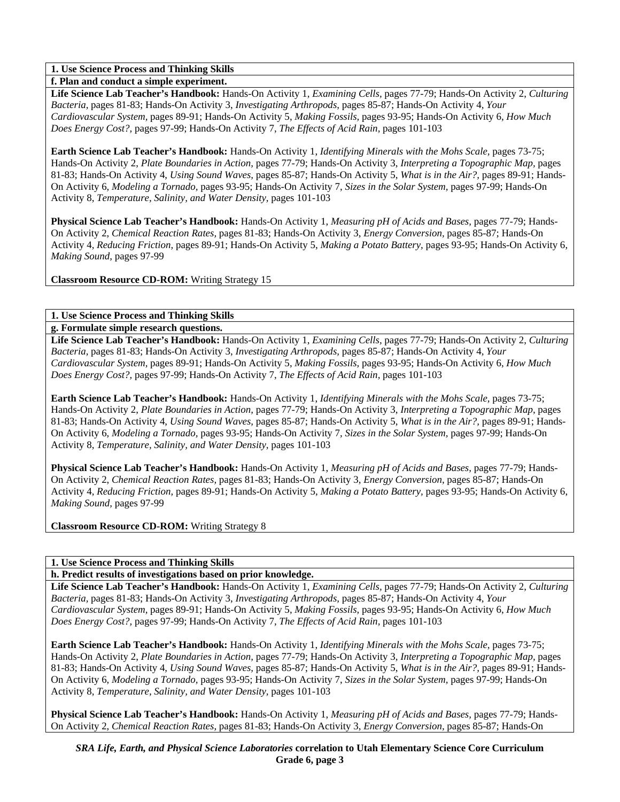# **1. Use Science Process and Thinking Skills**

**f. Plan and conduct a simple experiment.** 

**Life Science Lab Teacher's Handbook:** Hands-On Activity 1, *Examining Cells,* pages 77-79; Hands-On Activity 2, *Culturing Bacteria,* pages 81-83; Hands-On Activity 3, *Investigating Arthropods,* pages 85-87; Hands-On Activity 4, *Your Cardiovascular System,* pages 89-91; Hands-On Activity 5, *Making Fossils,* pages 93-95; Hands-On Activity 6, *How Much Does Energy Cost?,* pages 97-99; Hands-On Activity 7, *The Effects of Acid Rain,* pages 101-103

**Earth Science Lab Teacher's Handbook:** Hands-On Activity 1, *Identifying Minerals with the Mohs Scale,* pages 73-75; Hands-On Activity 2, *Plate Boundaries in Action,* pages 77-79; Hands-On Activity 3, *Interpreting a Topographic Map,* pages 81-83; Hands-On Activity 4, *Using Sound Waves,* pages 85-87; Hands-On Activity 5, *What is in the Air?,* pages 89-91; Hands-On Activity 6, *Modeling a Tornado,* pages 93-95; Hands-On Activity 7, *Sizes in the Solar System,* pages 97-99; Hands-On Activity 8, *Temperature, Salinity, and Water Density,* pages 101-103

**Physical Science Lab Teacher's Handbook:** Hands-On Activity 1, *Measuring pH of Acids and Bases,* pages 77-79; Hands-On Activity 2, *Chemical Reaction Rates,* pages 81-83; Hands-On Activity 3, *Energy Conversion,* pages 85-87; Hands-On Activity 4, *Reducing Friction,* pages 89-91; Hands-On Activity 5, *Making a Potato Battery,* pages 93-95; Hands-On Activity 6, *Making Sound,* pages 97-99

**Classroom Resource CD-ROM:** Writing Strategy 15

# **1. Use Science Process and Thinking Skills**

**g. Formulate simple research questions.** 

**Life Science Lab Teacher's Handbook:** Hands-On Activity 1, *Examining Cells,* pages 77-79; Hands-On Activity 2, *Culturing Bacteria,* pages 81-83; Hands-On Activity 3, *Investigating Arthropods,* pages 85-87; Hands-On Activity 4, *Your Cardiovascular System,* pages 89-91; Hands-On Activity 5, *Making Fossils,* pages 93-95; Hands-On Activity 6, *How Much Does Energy Cost?,* pages 97-99; Hands-On Activity 7, *The Effects of Acid Rain,* pages 101-103

**Earth Science Lab Teacher's Handbook:** Hands-On Activity 1, *Identifying Minerals with the Mohs Scale,* pages 73-75; Hands-On Activity 2, *Plate Boundaries in Action,* pages 77-79; Hands-On Activity 3, *Interpreting a Topographic Map,* pages 81-83; Hands-On Activity 4, *Using Sound Waves,* pages 85-87; Hands-On Activity 5, *What is in the Air?,* pages 89-91; Hands-On Activity 6, *Modeling a Tornado,* pages 93-95; Hands-On Activity 7, *Sizes in the Solar System,* pages 97-99; Hands-On Activity 8, *Temperature, Salinity, and Water Density,* pages 101-103

**Physical Science Lab Teacher's Handbook:** Hands-On Activity 1, *Measuring pH of Acids and Bases,* pages 77-79; Hands-On Activity 2, *Chemical Reaction Rates,* pages 81-83; Hands-On Activity 3, *Energy Conversion,* pages 85-87; Hands-On Activity 4, *Reducing Friction,* pages 89-91; Hands-On Activity 5, *Making a Potato Battery,* pages 93-95; Hands-On Activity 6, *Making Sound,* pages 97-99

**Classroom Resource CD-ROM:** Writing Strategy 8

# **1. Use Science Process and Thinking Skills**

### **h. Predict results of investigations based on prior knowledge.**

**Life Science Lab Teacher's Handbook:** Hands-On Activity 1, *Examining Cells,* pages 77-79; Hands-On Activity 2, *Culturing Bacteria,* pages 81-83; Hands-On Activity 3, *Investigating Arthropods,* pages 85-87; Hands-On Activity 4, *Your Cardiovascular System,* pages 89-91; Hands-On Activity 5, *Making Fossils,* pages 93-95; Hands-On Activity 6, *How Much Does Energy Cost?,* pages 97-99; Hands-On Activity 7, *The Effects of Acid Rain,* pages 101-103

**Earth Science Lab Teacher's Handbook:** Hands-On Activity 1, *Identifying Minerals with the Mohs Scale,* pages 73-75; Hands-On Activity 2, *Plate Boundaries in Action,* pages 77-79; Hands-On Activity 3, *Interpreting a Topographic Map,* pages 81-83; Hands-On Activity 4, *Using Sound Waves,* pages 85-87; Hands-On Activity 5, *What is in the Air?,* pages 89-91; Hands-On Activity 6, *Modeling a Tornado,* pages 93-95; Hands-On Activity 7, *Sizes in the Solar System,* pages 97-99; Hands-On Activity 8, *Temperature, Salinity, and Water Density,* pages 101-103

**Physical Science Lab Teacher's Handbook:** Hands-On Activity 1, *Measuring pH of Acids and Bases,* pages 77-79; Hands-On Activity 2, *Chemical Reaction Rates,* pages 81-83; Hands-On Activity 3, *Energy Conversion,* pages 85-87; Hands-On

*SRA Life, Earth, and Physical Science Laboratories* **correlation to Utah Elementary Science Core Curriculum Grade 6, page 3**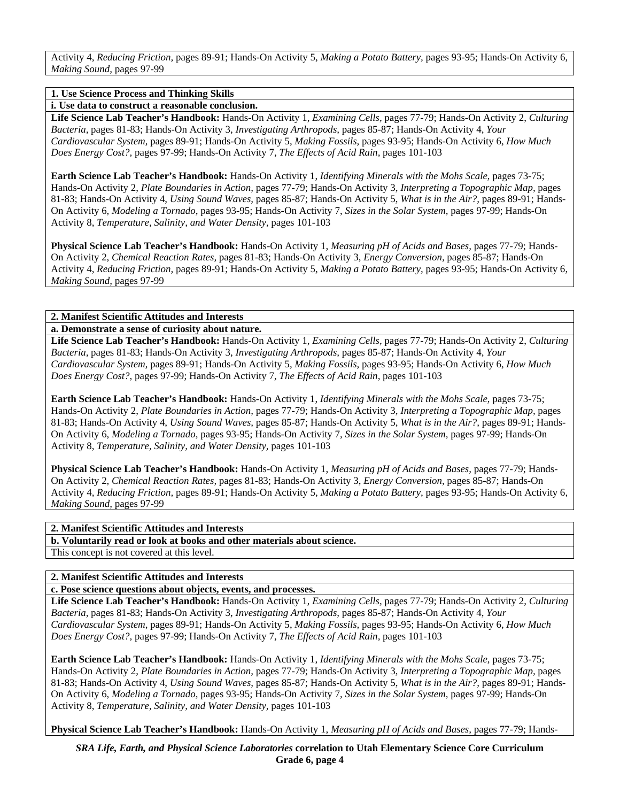Activity 4, *Reducing Friction,* pages 89-91; Hands-On Activity 5, *Making a Potato Battery,* pages 93-95; Hands-On Activity 6, *Making Sound,* pages 97-99

### **1. Use Science Process and Thinking Skills**

**i. Use data to construct a reasonable conclusion.** 

**Life Science Lab Teacher's Handbook:** Hands-On Activity 1, *Examining Cells,* pages 77-79; Hands-On Activity 2, *Culturing Bacteria,* pages 81-83; Hands-On Activity 3, *Investigating Arthropods,* pages 85-87; Hands-On Activity 4, *Your Cardiovascular System,* pages 89-91; Hands-On Activity 5, *Making Fossils,* pages 93-95; Hands-On Activity 6, *How Much Does Energy Cost?,* pages 97-99; Hands-On Activity 7, *The Effects of Acid Rain,* pages 101-103

**Earth Science Lab Teacher's Handbook:** Hands-On Activity 1, *Identifying Minerals with the Mohs Scale,* pages 73-75; Hands-On Activity 2, *Plate Boundaries in Action,* pages 77-79; Hands-On Activity 3, *Interpreting a Topographic Map,* pages 81-83; Hands-On Activity 4, *Using Sound Waves,* pages 85-87; Hands-On Activity 5, *What is in the Air?,* pages 89-91; Hands-On Activity 6, *Modeling a Tornado,* pages 93-95; Hands-On Activity 7, *Sizes in the Solar System,* pages 97-99; Hands-On Activity 8, *Temperature, Salinity, and Water Density,* pages 101-103

**Physical Science Lab Teacher's Handbook:** Hands-On Activity 1, *Measuring pH of Acids and Bases,* pages 77-79; Hands-On Activity 2, *Chemical Reaction Rates,* pages 81-83; Hands-On Activity 3, *Energy Conversion,* pages 85-87; Hands-On Activity 4, *Reducing Friction,* pages 89-91; Hands-On Activity 5, *Making a Potato Battery,* pages 93-95; Hands-On Activity 6, *Making Sound,* pages 97-99

# **2. Manifest Scientific Attitudes and Interests**

**a. Demonstrate a sense of curiosity about nature.** 

**Life Science Lab Teacher's Handbook:** Hands-On Activity 1, *Examining Cells,* pages 77-79; Hands-On Activity 2, *Culturing Bacteria,* pages 81-83; Hands-On Activity 3, *Investigating Arthropods,* pages 85-87; Hands-On Activity 4, *Your Cardiovascular System,* pages 89-91; Hands-On Activity 5, *Making Fossils,* pages 93-95; Hands-On Activity 6, *How Much Does Energy Cost?,* pages 97-99; Hands-On Activity 7, *The Effects of Acid Rain,* pages 101-103

**Earth Science Lab Teacher's Handbook:** Hands-On Activity 1, *Identifying Minerals with the Mohs Scale,* pages 73-75; Hands-On Activity 2, *Plate Boundaries in Action,* pages 77-79; Hands-On Activity 3, *Interpreting a Topographic Map,* pages 81-83; Hands-On Activity 4, *Using Sound Waves,* pages 85-87; Hands-On Activity 5, *What is in the Air?,* pages 89-91; Hands-On Activity 6, *Modeling a Tornado,* pages 93-95; Hands-On Activity 7, *Sizes in the Solar System,* pages 97-99; Hands-On Activity 8, *Temperature, Salinity, and Water Density,* pages 101-103

**Physical Science Lab Teacher's Handbook:** Hands-On Activity 1, *Measuring pH of Acids and Bases,* pages 77-79; Hands-On Activity 2, *Chemical Reaction Rates,* pages 81-83; Hands-On Activity 3, *Energy Conversion,* pages 85-87; Hands-On Activity 4, *Reducing Friction,* pages 89-91; Hands-On Activity 5, *Making a Potato Battery,* pages 93-95; Hands-On Activity 6, *Making Sound,* pages 97-99

### **2. Manifest Scientific Attitudes and Interests**

**b. Voluntarily read or look at books and other materials about science.** 

This concept is not covered at this level.

# **2. Manifest Scientific Attitudes and Interests**

**c. Pose science questions about objects, events, and processes.** 

**Life Science Lab Teacher's Handbook:** Hands-On Activity 1, *Examining Cells,* pages 77-79; Hands-On Activity 2, *Culturing Bacteria,* pages 81-83; Hands-On Activity 3, *Investigating Arthropods,* pages 85-87; Hands-On Activity 4, *Your Cardiovascular System,* pages 89-91; Hands-On Activity 5, *Making Fossils,* pages 93-95; Hands-On Activity 6, *How Much Does Energy Cost?,* pages 97-99; Hands-On Activity 7, *The Effects of Acid Rain,* pages 101-103

**Earth Science Lab Teacher's Handbook:** Hands-On Activity 1, *Identifying Minerals with the Mohs Scale,* pages 73-75; Hands-On Activity 2, *Plate Boundaries in Action,* pages 77-79; Hands-On Activity 3, *Interpreting a Topographic Map,* pages 81-83; Hands-On Activity 4, *Using Sound Waves,* pages 85-87; Hands-On Activity 5, *What is in the Air?,* pages 89-91; Hands-On Activity 6, *Modeling a Tornado,* pages 93-95; Hands-On Activity 7, *Sizes in the Solar System,* pages 97-99; Hands-On Activity 8, *Temperature, Salinity, and Water Density,* pages 101-103

**Physical Science Lab Teacher's Handbook:** Hands-On Activity 1, *Measuring pH of Acids and Bases,* pages 77-79; Hands-

*SRA Life, Earth, and Physical Science Laboratories* **correlation to Utah Elementary Science Core Curriculum Grade 6, page 4**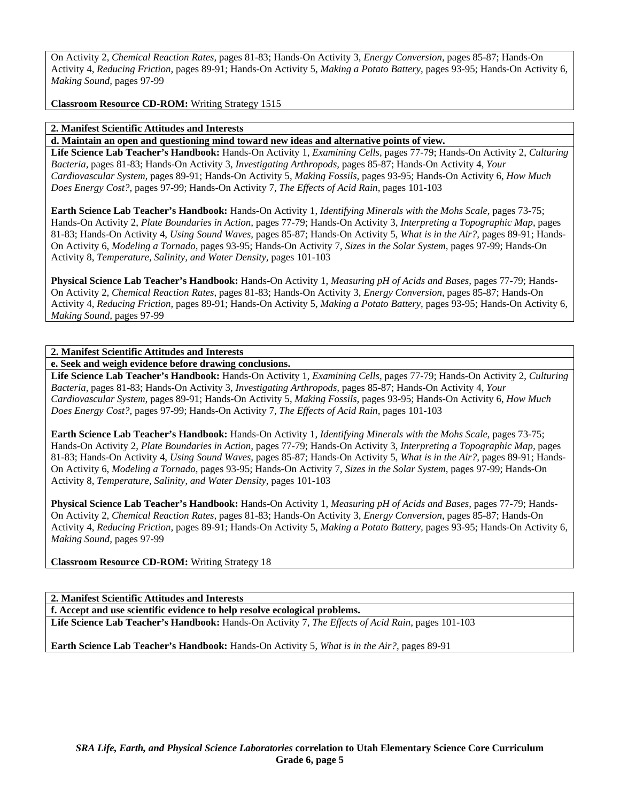On Activity 2, *Chemical Reaction Rates,* pages 81-83; Hands-On Activity 3, *Energy Conversion,* pages 85-87; Hands-On Activity 4, *Reducing Friction,* pages 89-91; Hands-On Activity 5, *Making a Potato Battery,* pages 93-95; Hands-On Activity 6, *Making Sound,* pages 97-99

**Classroom Resource CD-ROM:** Writing Strategy 1515

### **2. Manifest Scientific Attitudes and Interests**

**d. Maintain an open and questioning mind toward new ideas and alternative points of view.** 

**Life Science Lab Teacher's Handbook:** Hands-On Activity 1, *Examining Cells,* pages 77-79; Hands-On Activity 2, *Culturing Bacteria,* pages 81-83; Hands-On Activity 3, *Investigating Arthropods,* pages 85-87; Hands-On Activity 4, *Your Cardiovascular System,* pages 89-91; Hands-On Activity 5, *Making Fossils,* pages 93-95; Hands-On Activity 6, *How Much Does Energy Cost?,* pages 97-99; Hands-On Activity 7, *The Effects of Acid Rain,* pages 101-103

**Earth Science Lab Teacher's Handbook:** Hands-On Activity 1, *Identifying Minerals with the Mohs Scale,* pages 73-75; Hands-On Activity 2, *Plate Boundaries in Action,* pages 77-79; Hands-On Activity 3, *Interpreting a Topographic Map,* pages 81-83; Hands-On Activity 4, *Using Sound Waves,* pages 85-87; Hands-On Activity 5, *What is in the Air?,* pages 89-91; Hands-On Activity 6, *Modeling a Tornado,* pages 93-95; Hands-On Activity 7, *Sizes in the Solar System,* pages 97-99; Hands-On Activity 8, *Temperature, Salinity, and Water Density,* pages 101-103

**Physical Science Lab Teacher's Handbook:** Hands-On Activity 1, *Measuring pH of Acids and Bases,* pages 77-79; Hands-On Activity 2, *Chemical Reaction Rates,* pages 81-83; Hands-On Activity 3, *Energy Conversion,* pages 85-87; Hands-On Activity 4, *Reducing Friction,* pages 89-91; Hands-On Activity 5, *Making a Potato Battery,* pages 93-95; Hands-On Activity 6, *Making Sound,* pages 97-99

### **2. Manifest Scientific Attitudes and Interests**

**e. Seek and weigh evidence before drawing conclusions.** 

**Life Science Lab Teacher's Handbook:** Hands-On Activity 1, *Examining Cells,* pages 77-79; Hands-On Activity 2, *Culturing Bacteria,* pages 81-83; Hands-On Activity 3, *Investigating Arthropods,* pages 85-87; Hands-On Activity 4, *Your Cardiovascular System,* pages 89-91; Hands-On Activity 5, *Making Fossils,* pages 93-95; Hands-On Activity 6, *How Much Does Energy Cost?,* pages 97-99; Hands-On Activity 7, *The Effects of Acid Rain,* pages 101-103

**Earth Science Lab Teacher's Handbook:** Hands-On Activity 1, *Identifying Minerals with the Mohs Scale,* pages 73-75; Hands-On Activity 2, *Plate Boundaries in Action,* pages 77-79; Hands-On Activity 3, *Interpreting a Topographic Map,* pages 81-83; Hands-On Activity 4, *Using Sound Waves,* pages 85-87; Hands-On Activity 5, *What is in the Air?,* pages 89-91; Hands-On Activity 6, *Modeling a Tornado,* pages 93-95; Hands-On Activity 7, *Sizes in the Solar System,* pages 97-99; Hands-On Activity 8, *Temperature, Salinity, and Water Density,* pages 101-103

**Physical Science Lab Teacher's Handbook:** Hands-On Activity 1, *Measuring pH of Acids and Bases,* pages 77-79; Hands-On Activity 2, *Chemical Reaction Rates,* pages 81-83; Hands-On Activity 3, *Energy Conversion,* pages 85-87; Hands-On Activity 4, *Reducing Friction,* pages 89-91; Hands-On Activity 5, *Making a Potato Battery,* pages 93-95; Hands-On Activity 6, *Making Sound,* pages 97-99

**Classroom Resource CD-ROM:** Writing Strategy 18

**2. Manifest Scientific Attitudes and Interests** 

**f. Accept and use scientific evidence to help resolve ecological problems.** 

**Life Science Lab Teacher's Handbook:** Hands-On Activity 7, *The Effects of Acid Rain,* pages 101-103

**Earth Science Lab Teacher's Handbook:** Hands-On Activity 5, *What is in the Air?,* pages 89-91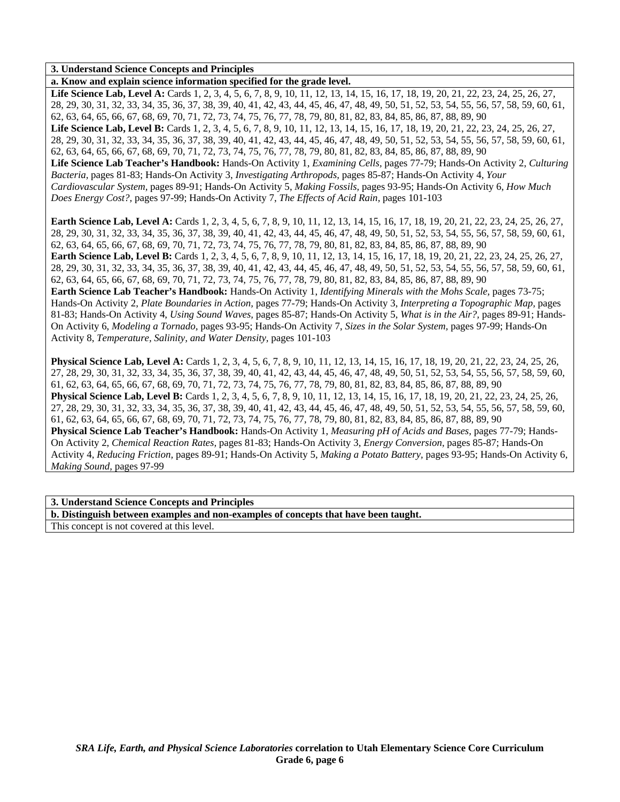### **3. Understand Science Concepts and Principles**

**a. Know and explain science information specified for the grade level.** 

Life Science Lab, Level A: Cards 1, 2, 3, 4, 5, 6, 7, 8, 9, 10, 11, 12, 13, 14, 15, 16, 17, 18, 19, 20, 21, 22, 23, 24, 25, 26, 27, 28, 29, 30, 31, 32, 33, 34, 35, 36, 37, 38, 39, 40, 41, 42, 43, 44, 45, 46, 47, 48, 49, 50, 51, 52, 53, 54, 55, 56, 57, 58, 59, 60, 61, 62, 63, 64, 65, 66, 67, 68, 69, 70, 71, 72, 73, 74, 75, 76, 77, 78, 79, 80, 81, 82, 83, 84, 85, 86, 87, 88, 89, 90 Life Science Lab, Level B: Cards 1, 2, 3, 4, 5, 6, 7, 8, 9, 10, 11, 12, 13, 14, 15, 16, 17, 18, 19, 20, 21, 22, 23, 24, 25, 26, 27, 28, 29, 30, 31, 32, 33, 34, 35, 36, 37, 38, 39, 40, 41, 42, 43, 44, 45, 46, 47, 48, 49, 50, 51, 52, 53, 54, 55, 56, 57, 58, 59, 60, 61, 62, 63, 64, 65, 66, 67, 68, 69, 70, 71, 72, 73, 74, 75, 76, 77, 78, 79, 80, 81, 82, 83, 84, 85, 86, 87, 88, 89, 90 **Life Science Lab Teacher's Handbook:** Hands-On Activity 1, *Examining Cells,* pages 77-79; Hands-On Activity 2, *Culturing Bacteria,* pages 81-83; Hands-On Activity 3, *Investigating Arthropods,* pages 85-87; Hands-On Activity 4, *Your Cardiovascular System,* pages 89-91; Hands-On Activity 5, *Making Fossils,* pages 93-95; Hands-On Activity 6, *How Much Does Energy Cost?,* pages 97-99; Hands-On Activity 7, *The Effects of Acid Rain,* pages 101-103

**Earth Science Lab, Level A:** Cards 1, 2, 3, 4, 5, 6, 7, 8, 9, 10, 11, 12, 13, 14, 15, 16, 17, 18, 19, 20, 21, 22, 23, 24, 25, 26, 27, 28, 29, 30, 31, 32, 33, 34, 35, 36, 37, 38, 39, 40, 41, 42, 43, 44, 45, 46, 47, 48, 49, 50, 51, 52, 53, 54, 55, 56, 57, 58, 59, 60, 61, 62, 63, 64, 65, 66, 67, 68, 69, 70, 71, 72, 73, 74, 75, 76, 77, 78, 79, 80, 81, 82, 83, 84, 85, 86, 87, 88, 89, 90 **Earth Science Lab, Level B:** Cards 1, 2, 3, 4, 5, 6, 7, 8, 9, 10, 11, 12, 13, 14, 15, 16, 17, 18, 19, 20, 21, 22, 23, 24, 25, 26, 27, 28, 29, 30, 31, 32, 33, 34, 35, 36, 37, 38, 39, 40, 41, 42, 43, 44, 45, 46, 47, 48, 49, 50, 51, 52, 53, 54, 55, 56, 57, 58, 59, 60, 61, 62, 63, 64, 65, 66, 67, 68, 69, 70, 71, 72, 73, 74, 75, 76, 77, 78, 79, 80, 81, 82, 83, 84, 85, 86, 87, 88, 89, 90 **Earth Science Lab Teacher's Handbook:** Hands-On Activity 1, *Identifying Minerals with the Mohs Scale,* pages 73-75; Hands-On Activity 2, *Plate Boundaries in Action,* pages 77-79; Hands-On Activity 3, *Interpreting a Topographic Map,* pages 81-83; Hands-On Activity 4, *Using Sound Waves,* pages 85-87; Hands-On Activity 5, *What is in the Air?,* pages 89-91; Hands-On Activity 6, *Modeling a Tornado,* pages 93-95; Hands-On Activity 7, *Sizes in the Solar System,* pages 97-99; Hands-On Activity 8, *Temperature, Salinity, and Water Density,* pages 101-103

**Physical Science Lab, Level A:** Cards 1, 2, 3, 4, 5, 6, 7, 8, 9, 10, 11, 12, 13, 14, 15, 16, 17, 18, 19, 20, 21, 22, 23, 24, 25, 26, 27, 28, 29, 30, 31, 32, 33, 34, 35, 36, 37, 38, 39, 40, 41, 42, 43, 44, 45, 46, 47, 48, 49, 50, 51, 52, 53, 54, 55, 56, 57, 58, 59, 60, 61, 62, 63, 64, 65, 66, 67, 68, 69, 70, 71, 72, 73, 74, 75, 76, 77, 78, 79, 80, 81, 82, 83, 84, 85, 86, 87, 88, 89, 90 **Physical Science Lab, Level B:** Cards 1, 2, 3, 4, 5, 6, 7, 8, 9, 10, 11, 12, 13, 14, 15, 16, 17, 18, 19, 20, 21, 22, 23, 24, 25, 26, 27, 28, 29, 30, 31, 32, 33, 34, 35, 36, 37, 38, 39, 40, 41, 42, 43, 44, 45, 46, 47, 48, 49, 50, 51, 52, 53, 54, 55, 56, 57, 58, 59, 60, 61, 62, 63, 64, 65, 66, 67, 68, 69, 70, 71, 72, 73, 74, 75, 76, 77, 78, 79, 80, 81, 82, 83, 84, 85, 86, 87, 88, 89, 90 **Physical Science Lab Teacher's Handbook:** Hands-On Activity 1, *Measuring pH of Acids and Bases,* pages 77-79; Hands-On Activity 2, *Chemical Reaction Rates,* pages 81-83; Hands-On Activity 3, *Energy Conversion,* pages 85-87; Hands-On Activity 4, *Reducing Friction,* pages 89-91; Hands-On Activity 5, *Making a Potato Battery,* pages 93-95; Hands-On Activity 6, *Making Sound,* pages 97-99

#### **3. Understand Science Concepts and Principles**

**b. Distinguish between examples and non-examples of concepts that have been taught.**  This concept is not covered at this level.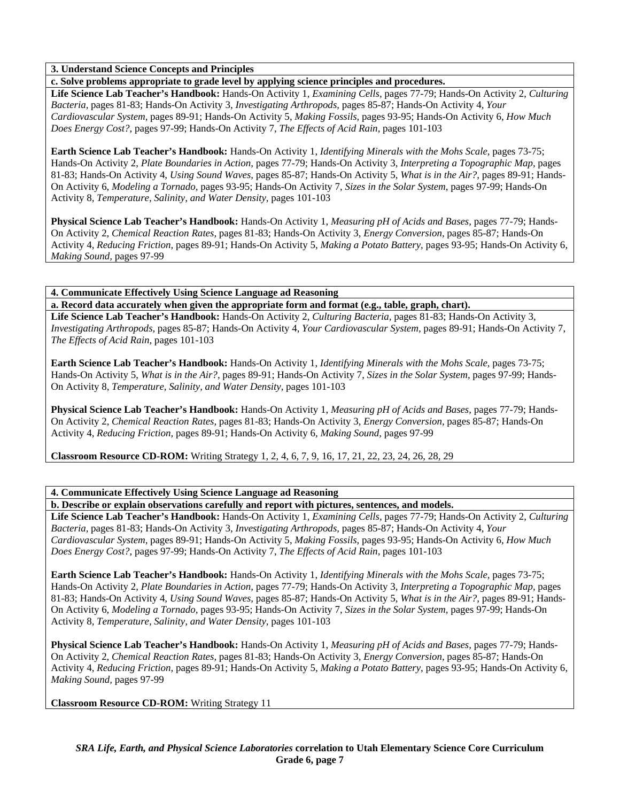# **3. Understand Science Concepts and Principles**

**c. Solve problems appropriate to grade level by applying science principles and procedures.** 

**Life Science Lab Teacher's Handbook:** Hands-On Activity 1, *Examining Cells,* pages 77-79; Hands-On Activity 2, *Culturing Bacteria,* pages 81-83; Hands-On Activity 3, *Investigating Arthropods,* pages 85-87; Hands-On Activity 4, *Your Cardiovascular System,* pages 89-91; Hands-On Activity 5, *Making Fossils,* pages 93-95; Hands-On Activity 6, *How Much Does Energy Cost?,* pages 97-99; Hands-On Activity 7, *The Effects of Acid Rain,* pages 101-103

**Earth Science Lab Teacher's Handbook:** Hands-On Activity 1, *Identifying Minerals with the Mohs Scale,* pages 73-75; Hands-On Activity 2, *Plate Boundaries in Action,* pages 77-79; Hands-On Activity 3, *Interpreting a Topographic Map,* pages 81-83; Hands-On Activity 4, *Using Sound Waves,* pages 85-87; Hands-On Activity 5, *What is in the Air?,* pages 89-91; Hands-On Activity 6, *Modeling a Tornado,* pages 93-95; Hands-On Activity 7, *Sizes in the Solar System,* pages 97-99; Hands-On Activity 8, *Temperature, Salinity, and Water Density,* pages 101-103

**Physical Science Lab Teacher's Handbook:** Hands-On Activity 1, *Measuring pH of Acids and Bases,* pages 77-79; Hands-On Activity 2, *Chemical Reaction Rates,* pages 81-83; Hands-On Activity 3, *Energy Conversion,* pages 85-87; Hands-On Activity 4, *Reducing Friction,* pages 89-91; Hands-On Activity 5, *Making a Potato Battery,* pages 93-95; Hands-On Activity 6, *Making Sound,* pages 97-99

**4. Communicate Effectively Using Science Language ad Reasoning** 

**a. Record data accurately when given the appropriate form and format (e.g., table, graph, chart).** 

**Life Science Lab Teacher's Handbook:** Hands-On Activity 2, *Culturing Bacteria,* pages 81-83; Hands-On Activity 3, *Investigating Arthropods,* pages 85-87; Hands-On Activity 4, *Your Cardiovascular System,* pages 89-91; Hands-On Activity 7, *The Effects of Acid Rain,* pages 101-103

**Earth Science Lab Teacher's Handbook:** Hands-On Activity 1, *Identifying Minerals with the Mohs Scale,* pages 73-75; Hands-On Activity 5, *What is in the Air?,* pages 89-91; Hands-On Activity 7, *Sizes in the Solar System,* pages 97-99; Hands-On Activity 8, *Temperature, Salinity, and Water Density,* pages 101-103

**Physical Science Lab Teacher's Handbook:** Hands-On Activity 1, *Measuring pH of Acids and Bases,* pages 77-79; Hands-On Activity 2, *Chemical Reaction Rates,* pages 81-83; Hands-On Activity 3, *Energy Conversion,* pages 85-87; Hands-On Activity 4, *Reducing Friction,* pages 89-91; Hands-On Activity 6, *Making Sound,* pages 97-99

**Classroom Resource CD-ROM:** Writing Strategy 1, 2, 4, 6, 7, 9, 16, 17, 21, 22, 23, 24, 26, 28, 29

**4. Communicate Effectively Using Science Language ad Reasoning** 

**b. Describe or explain observations carefully and report with pictures, sentences, and models.** 

**Life Science Lab Teacher's Handbook:** Hands-On Activity 1, *Examining Cells,* pages 77-79; Hands-On Activity 2, *Culturing Bacteria,* pages 81-83; Hands-On Activity 3, *Investigating Arthropods,* pages 85-87; Hands-On Activity 4, *Your Cardiovascular System,* pages 89-91; Hands-On Activity 5, *Making Fossils,* pages 93-95; Hands-On Activity 6, *How Much Does Energy Cost?,* pages 97-99; Hands-On Activity 7, *The Effects of Acid Rain,* pages 101-103

**Earth Science Lab Teacher's Handbook:** Hands-On Activity 1, *Identifying Minerals with the Mohs Scale,* pages 73-75; Hands-On Activity 2, *Plate Boundaries in Action,* pages 77-79; Hands-On Activity 3, *Interpreting a Topographic Map,* pages 81-83; Hands-On Activity 4, *Using Sound Waves,* pages 85-87; Hands-On Activity 5, *What is in the Air?,* pages 89-91; Hands-On Activity 6, *Modeling a Tornado,* pages 93-95; Hands-On Activity 7, *Sizes in the Solar System,* pages 97-99; Hands-On Activity 8, *Temperature, Salinity, and Water Density,* pages 101-103

**Physical Science Lab Teacher's Handbook:** Hands-On Activity 1, *Measuring pH of Acids and Bases,* pages 77-79; Hands-On Activity 2, *Chemical Reaction Rates,* pages 81-83; Hands-On Activity 3, *Energy Conversion,* pages 85-87; Hands-On Activity 4, *Reducing Friction,* pages 89-91; Hands-On Activity 5, *Making a Potato Battery,* pages 93-95; Hands-On Activity 6, *Making Sound,* pages 97-99

**Classroom Resource CD-ROM:** Writing Strategy 11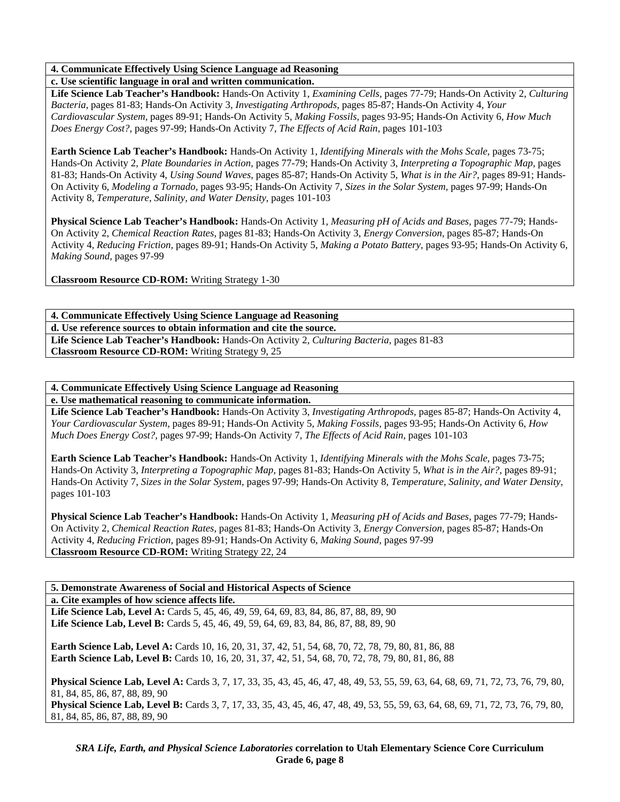# **4. Communicate Effectively Using Science Language ad Reasoning**

**c. Use scientific language in oral and written communication.** 

**Life Science Lab Teacher's Handbook:** Hands-On Activity 1, *Examining Cells,* pages 77-79; Hands-On Activity 2, *Culturing Bacteria,* pages 81-83; Hands-On Activity 3, *Investigating Arthropods,* pages 85-87; Hands-On Activity 4, *Your Cardiovascular System,* pages 89-91; Hands-On Activity 5, *Making Fossils,* pages 93-95; Hands-On Activity 6, *How Much Does Energy Cost?,* pages 97-99; Hands-On Activity 7, *The Effects of Acid Rain,* pages 101-103

**Earth Science Lab Teacher's Handbook:** Hands-On Activity 1, *Identifying Minerals with the Mohs Scale,* pages 73-75; Hands-On Activity 2, *Plate Boundaries in Action,* pages 77-79; Hands-On Activity 3, *Interpreting a Topographic Map,* pages 81-83; Hands-On Activity 4, *Using Sound Waves,* pages 85-87; Hands-On Activity 5, *What is in the Air?,* pages 89-91; Hands-On Activity 6, *Modeling a Tornado,* pages 93-95; Hands-On Activity 7, *Sizes in the Solar System,* pages 97-99; Hands-On Activity 8, *Temperature, Salinity, and Water Density,* pages 101-103

**Physical Science Lab Teacher's Handbook:** Hands-On Activity 1, *Measuring pH of Acids and Bases,* pages 77-79; Hands-On Activity 2, *Chemical Reaction Rates,* pages 81-83; Hands-On Activity 3, *Energy Conversion,* pages 85-87; Hands-On Activity 4, *Reducing Friction,* pages 89-91; Hands-On Activity 5, *Making a Potato Battery,* pages 93-95; Hands-On Activity 6, *Making Sound,* pages 97-99

**Classroom Resource CD-ROM:** Writing Strategy 1-30

**4. Communicate Effectively Using Science Language ad Reasoning d. Use reference sources to obtain information and cite the source. Life Science Lab Teacher's Handbook:** Hands-On Activity 2, *Culturing Bacteria,* pages 81-83 **Classroom Resource CD-ROM:** Writing Strategy 9, 25

# **4. Communicate Effectively Using Science Language ad Reasoning**

**e. Use mathematical reasoning to communicate information.** 

**Life Science Lab Teacher's Handbook:** Hands-On Activity 3, *Investigating Arthropods,* pages 85-87; Hands-On Activity 4, *Your Cardiovascular System,* pages 89-91; Hands-On Activity 5, *Making Fossils,* pages 93-95; Hands-On Activity 6, *How Much Does Energy Cost?,* pages 97-99; Hands-On Activity 7, *The Effects of Acid Rain,* pages 101-103

**Earth Science Lab Teacher's Handbook:** Hands-On Activity 1, *Identifying Minerals with the Mohs Scale,* pages 73-75; Hands-On Activity 3, *Interpreting a Topographic Map,* pages 81-83; Hands-On Activity 5, *What is in the Air?,* pages 89-91; Hands-On Activity 7, *Sizes in the Solar System,* pages 97-99; Hands-On Activity 8, *Temperature, Salinity, and Water Density,* pages 101-103

**Physical Science Lab Teacher's Handbook:** Hands-On Activity 1, *Measuring pH of Acids and Bases,* pages 77-79; Hands-On Activity 2, *Chemical Reaction Rates,* pages 81-83; Hands-On Activity 3, *Energy Conversion,* pages 85-87; Hands-On Activity 4, *Reducing Friction,* pages 89-91; Hands-On Activity 6, *Making Sound,* pages 97-99 **Classroom Resource CD-ROM:** Writing Strategy 22, 24

### **5. Demonstrate Awareness of Social and Historical Aspects of Science**

**a. Cite examples of how science affects life.** 

Life Science Lab, Level A: Cards 5, 45, 46, 49, 59, 64, 69, 83, 84, 86, 87, 88, 89, 90 **Life Science Lab, Level B:** Cards 5, 45, 46, 49, 59, 64, 69, 83, 84, 86, 87, 88, 89, 90

**Earth Science Lab, Level A:** Cards 10, 16, 20, 31, 37, 42, 51, 54, 68, 70, 72, 78, 79, 80, 81, 86, 88 **Earth Science Lab, Level B:** Cards 10, 16, 20, 31, 37, 42, 51, 54, 68, 70, 72, 78, 79, 80, 81, 86, 88

**Physical Science Lab, Level A:** Cards 3, 7, 17, 33, 35, 43, 45, 46, 47, 48, 49, 53, 55, 59, 63, 64, 68, 69, 71, 72, 73, 76, 79, 80, 81, 84, 85, 86, 87, 88, 89, 90

**Physical Science Lab, Level B:** Cards 3, 7, 17, 33, 35, 43, 45, 46, 47, 48, 49, 53, 55, 59, 63, 64, 68, 69, 71, 72, 73, 76, 79, 80, 81, 84, 85, 86, 87, 88, 89, 90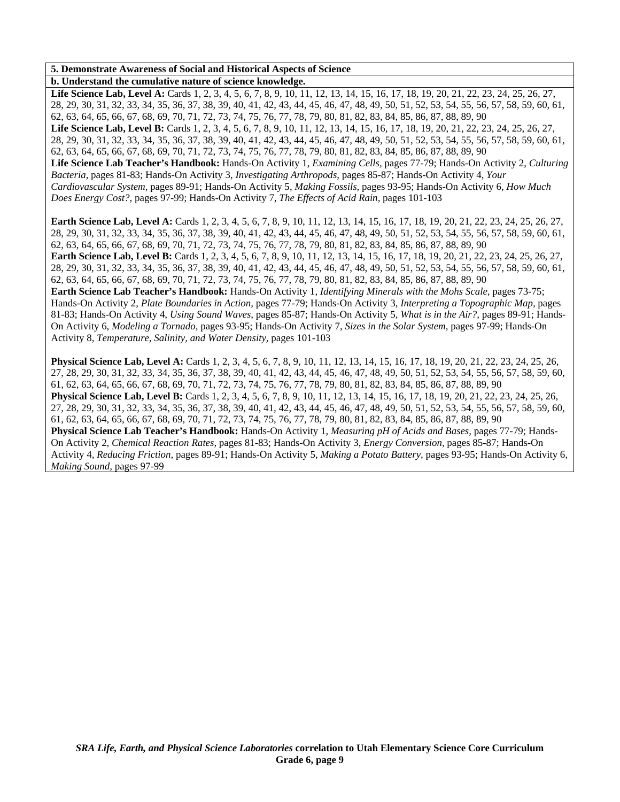### **5. Demonstrate Awareness of Social and Historical Aspects of Science**

**b. Understand the cumulative nature of science knowledge.** 

Life Science Lab, Level A: Cards 1, 2, 3, 4, 5, 6, 7, 8, 9, 10, 11, 12, 13, 14, 15, 16, 17, 18, 19, 20, 21, 22, 23, 24, 25, 26, 27, 28, 29, 30, 31, 32, 33, 34, 35, 36, 37, 38, 39, 40, 41, 42, 43, 44, 45, 46, 47, 48, 49, 50, 51, 52, 53, 54, 55, 56, 57, 58, 59, 60, 61, 62, 63, 64, 65, 66, 67, 68, 69, 70, 71, 72, 73, 74, 75, 76, 77, 78, 79, 80, 81, 82, 83, 84, 85, 86, 87, 88, 89, 90 Life Science Lab, Level B: Cards 1, 2, 3, 4, 5, 6, 7, 8, 9, 10, 11, 12, 13, 14, 15, 16, 17, 18, 19, 20, 21, 22, 23, 24, 25, 26, 27, 28, 29, 30, 31, 32, 33, 34, 35, 36, 37, 38, 39, 40, 41, 42, 43, 44, 45, 46, 47, 48, 49, 50, 51, 52, 53, 54, 55, 56, 57, 58, 59, 60, 61, 62, 63, 64, 65, 66, 67, 68, 69, 70, 71, 72, 73, 74, 75, 76, 77, 78, 79, 80, 81, 82, 83, 84, 85, 86, 87, 88, 89, 90 **Life Science Lab Teacher's Handbook:** Hands-On Activity 1, *Examining Cells,* pages 77-79; Hands-On Activity 2, *Culturing Bacteria,* pages 81-83; Hands-On Activity 3, *Investigating Arthropods,* pages 85-87; Hands-On Activity 4, *Your Cardiovascular System,* pages 89-91; Hands-On Activity 5, *Making Fossils,* pages 93-95; Hands-On Activity 6, *How Much Does Energy Cost?,* pages 97-99; Hands-On Activity 7, *The Effects of Acid Rain,* pages 101-103

**Earth Science Lab, Level A:** Cards 1, 2, 3, 4, 5, 6, 7, 8, 9, 10, 11, 12, 13, 14, 15, 16, 17, 18, 19, 20, 21, 22, 23, 24, 25, 26, 27, 28, 29, 30, 31, 32, 33, 34, 35, 36, 37, 38, 39, 40, 41, 42, 43, 44, 45, 46, 47, 48, 49, 50, 51, 52, 53, 54, 55, 56, 57, 58, 59, 60, 61, 62, 63, 64, 65, 66, 67, 68, 69, 70, 71, 72, 73, 74, 75, 76, 77, 78, 79, 80, 81, 82, 83, 84, 85, 86, 87, 88, 89, 90 **Earth Science Lab, Level B:** Cards 1, 2, 3, 4, 5, 6, 7, 8, 9, 10, 11, 12, 13, 14, 15, 16, 17, 18, 19, 20, 21, 22, 23, 24, 25, 26, 27, 28, 29, 30, 31, 32, 33, 34, 35, 36, 37, 38, 39, 40, 41, 42, 43, 44, 45, 46, 47, 48, 49, 50, 51, 52, 53, 54, 55, 56, 57, 58, 59, 60, 61, 62, 63, 64, 65, 66, 67, 68, 69, 70, 71, 72, 73, 74, 75, 76, 77, 78, 79, 80, 81, 82, 83, 84, 85, 86, 87, 88, 89, 90 **Earth Science Lab Teacher's Handbook:** Hands-On Activity 1, *Identifying Minerals with the Mohs Scale,* pages 73-75; Hands-On Activity 2, *Plate Boundaries in Action,* pages 77-79; Hands-On Activity 3, *Interpreting a Topographic Map,* pages 81-83; Hands-On Activity 4, *Using Sound Waves,* pages 85-87; Hands-On Activity 5, *What is in the Air?,* pages 89-91; Hands-On Activity 6, *Modeling a Tornado,* pages 93-95; Hands-On Activity 7, *Sizes in the Solar System,* pages 97-99; Hands-On

Activity 8, *Temperature, Salinity, and Water Density,* pages 101-103

**Physical Science Lab, Level A:** Cards 1, 2, 3, 4, 5, 6, 7, 8, 9, 10, 11, 12, 13, 14, 15, 16, 17, 18, 19, 20, 21, 22, 23, 24, 25, 26, 27, 28, 29, 30, 31, 32, 33, 34, 35, 36, 37, 38, 39, 40, 41, 42, 43, 44, 45, 46, 47, 48, 49, 50, 51, 52, 53, 54, 55, 56, 57, 58, 59, 60, 61, 62, 63, 64, 65, 66, 67, 68, 69, 70, 71, 72, 73, 74, 75, 76, 77, 78, 79, 80, 81, 82, 83, 84, 85, 86, 87, 88, 89, 90 **Physical Science Lab, Level B:** Cards 1, 2, 3, 4, 5, 6, 7, 8, 9, 10, 11, 12, 13, 14, 15, 16, 17, 18, 19, 20, 21, 22, 23, 24, 25, 26, 27, 28, 29, 30, 31, 32, 33, 34, 35, 36, 37, 38, 39, 40, 41, 42, 43, 44, 45, 46, 47, 48, 49, 50, 51, 52, 53, 54, 55, 56, 57, 58, 59, 60, 61, 62, 63, 64, 65, 66, 67, 68, 69, 70, 71, 72, 73, 74, 75, 76, 77, 78, 79, 80, 81, 82, 83, 84, 85, 86, 87, 88, 89, 90 **Physical Science Lab Teacher's Handbook:** Hands-On Activity 1, *Measuring pH of Acids and Bases,* pages 77-79; Hands-On Activity 2, *Chemical Reaction Rates,* pages 81-83; Hands-On Activity 3, *Energy Conversion,* pages 85-87; Hands-On Activity 4, *Reducing Friction,* pages 89-91; Hands-On Activity 5, *Making a Potato Battery,* pages 93-95; Hands-On Activity 6, *Making Sound,* pages 97-99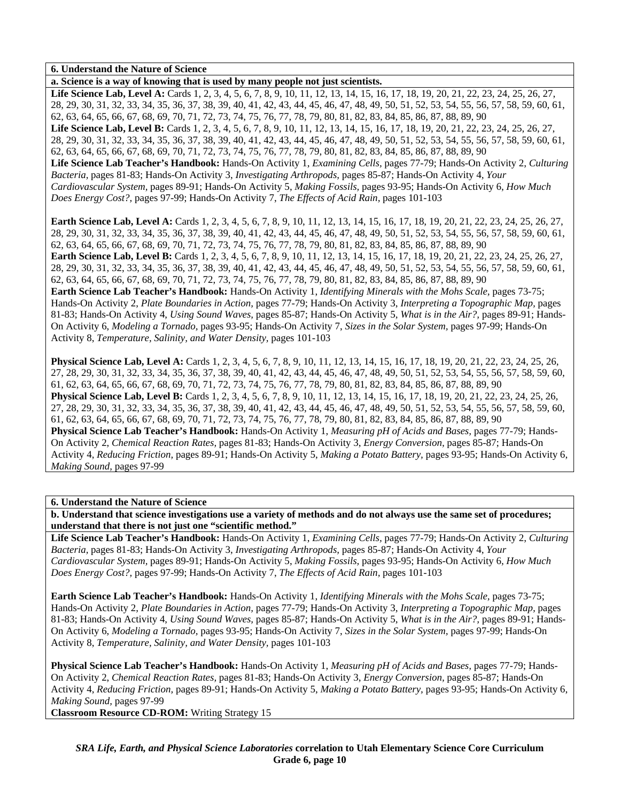**a. Science is a way of knowing that is used by many people not just scientists.** 

Life Science Lab, Level A: Cards 1, 2, 3, 4, 5, 6, 7, 8, 9, 10, 11, 12, 13, 14, 15, 16, 17, 18, 19, 20, 21, 22, 23, 24, 25, 26, 27, 28, 29, 30, 31, 32, 33, 34, 35, 36, 37, 38, 39, 40, 41, 42, 43, 44, 45, 46, 47, 48, 49, 50, 51, 52, 53, 54, 55, 56, 57, 58, 59, 60, 61, 62, 63, 64, 65, 66, 67, 68, 69, 70, 71, 72, 73, 74, 75, 76, 77, 78, 79, 80, 81, 82, 83, 84, 85, 86, 87, 88, 89, 90 Life Science Lab, Level B: Cards 1, 2, 3, 4, 5, 6, 7, 8, 9, 10, 11, 12, 13, 14, 15, 16, 17, 18, 19, 20, 21, 22, 23, 24, 25, 26, 27, 28, 29, 30, 31, 32, 33, 34, 35, 36, 37, 38, 39, 40, 41, 42, 43, 44, 45, 46, 47, 48, 49, 50, 51, 52, 53, 54, 55, 56, 57, 58, 59, 60, 61, 62, 63, 64, 65, 66, 67, 68, 69, 70, 71, 72, 73, 74, 75, 76, 77, 78, 79, 80, 81, 82, 83, 84, 85, 86, 87, 88, 89, 90 **Life Science Lab Teacher's Handbook:** Hands-On Activity 1, *Examining Cells,* pages 77-79; Hands-On Activity 2, *Culturing Bacteria,* pages 81-83; Hands-On Activity 3, *Investigating Arthropods,* pages 85-87; Hands-On Activity 4, *Your Cardiovascular System,* pages 89-91; Hands-On Activity 5, *Making Fossils,* pages 93-95; Hands-On Activity 6, *How Much Does Energy Cost?,* pages 97-99; Hands-On Activity 7, *The Effects of Acid Rain,* pages 101-103

**Earth Science Lab, Level A:** Cards 1, 2, 3, 4, 5, 6, 7, 8, 9, 10, 11, 12, 13, 14, 15, 16, 17, 18, 19, 20, 21, 22, 23, 24, 25, 26, 27, 28, 29, 30, 31, 32, 33, 34, 35, 36, 37, 38, 39, 40, 41, 42, 43, 44, 45, 46, 47, 48, 49, 50, 51, 52, 53, 54, 55, 56, 57, 58, 59, 60, 61, 62, 63, 64, 65, 66, 67, 68, 69, 70, 71, 72, 73, 74, 75, 76, 77, 78, 79, 80, 81, 82, 83, 84, 85, 86, 87, 88, 89, 90 **Earth Science Lab, Level B:** Cards 1, 2, 3, 4, 5, 6, 7, 8, 9, 10, 11, 12, 13, 14, 15, 16, 17, 18, 19, 20, 21, 22, 23, 24, 25, 26, 27, 28, 29, 30, 31, 32, 33, 34, 35, 36, 37, 38, 39, 40, 41, 42, 43, 44, 45, 46, 47, 48, 49, 50, 51, 52, 53, 54, 55, 56, 57, 58, 59, 60, 61, 62, 63, 64, 65, 66, 67, 68, 69, 70, 71, 72, 73, 74, 75, 76, 77, 78, 79, 80, 81, 82, 83, 84, 85, 86, 87, 88, 89, 90 **Earth Science Lab Teacher's Handbook:** Hands-On Activity 1, *Identifying Minerals with the Mohs Scale,* pages 73-75; Hands-On Activity 2, *Plate Boundaries in Action,* pages 77-79; Hands-On Activity 3, *Interpreting a Topographic Map,* pages 81-83; Hands-On Activity 4, *Using Sound Waves,* pages 85-87; Hands-On Activity 5, *What is in the Air?,* pages 89-91; Hands-On Activity 6, *Modeling a Tornado,* pages 93-95; Hands-On Activity 7, *Sizes in the Solar System,* pages 97-99; Hands-On Activity 8, *Temperature, Salinity, and Water Density,* pages 101-103

**Physical Science Lab, Level A:** Cards 1, 2, 3, 4, 5, 6, 7, 8, 9, 10, 11, 12, 13, 14, 15, 16, 17, 18, 19, 20, 21, 22, 23, 24, 25, 26, 27, 28, 29, 30, 31, 32, 33, 34, 35, 36, 37, 38, 39, 40, 41, 42, 43, 44, 45, 46, 47, 48, 49, 50, 51, 52, 53, 54, 55, 56, 57, 58, 59, 60, 61, 62, 63, 64, 65, 66, 67, 68, 69, 70, 71, 72, 73, 74, 75, 76, 77, 78, 79, 80, 81, 82, 83, 84, 85, 86, 87, 88, 89, 90 **Physical Science Lab, Level B:** Cards 1, 2, 3, 4, 5, 6, 7, 8, 9, 10, 11, 12, 13, 14, 15, 16, 17, 18, 19, 20, 21, 22, 23, 24, 25, 26, 27, 28, 29, 30, 31, 32, 33, 34, 35, 36, 37, 38, 39, 40, 41, 42, 43, 44, 45, 46, 47, 48, 49, 50, 51, 52, 53, 54, 55, 56, 57, 58, 59, 60, 61, 62, 63, 64, 65, 66, 67, 68, 69, 70, 71, 72, 73, 74, 75, 76, 77, 78, 79, 80, 81, 82, 83, 84, 85, 86, 87, 88, 89, 90 **Physical Science Lab Teacher's Handbook:** Hands-On Activity 1, *Measuring pH of Acids and Bases,* pages 77-79; Hands-On Activity 2, *Chemical Reaction Rates,* pages 81-83; Hands-On Activity 3, *Energy Conversion,* pages 85-87; Hands-On Activity 4, *Reducing Friction,* pages 89-91; Hands-On Activity 5, *Making a Potato Battery,* pages 93-95; Hands-On Activity 6, *Making Sound,* pages 97-99

**6. Understand the Nature of Science** 

**b. Understand that science investigations use a variety of methods and do not always use the same set of procedures; understand that there is not just one "scientific method."** 

**Life Science Lab Teacher's Handbook:** Hands-On Activity 1, *Examining Cells,* pages 77-79; Hands-On Activity 2, *Culturing Bacteria,* pages 81-83; Hands-On Activity 3, *Investigating Arthropods,* pages 85-87; Hands-On Activity 4, *Your Cardiovascular System,* pages 89-91; Hands-On Activity 5, *Making Fossils,* pages 93-95; Hands-On Activity 6, *How Much Does Energy Cost?,* pages 97-99; Hands-On Activity 7, *The Effects of Acid Rain,* pages 101-103

**Earth Science Lab Teacher's Handbook:** Hands-On Activity 1, *Identifying Minerals with the Mohs Scale,* pages 73-75; Hands-On Activity 2, *Plate Boundaries in Action,* pages 77-79; Hands-On Activity 3, *Interpreting a Topographic Map,* pages 81-83; Hands-On Activity 4, *Using Sound Waves,* pages 85-87; Hands-On Activity 5, *What is in the Air?,* pages 89-91; Hands-On Activity 6, *Modeling a Tornado,* pages 93-95; Hands-On Activity 7, *Sizes in the Solar System,* pages 97-99; Hands-On Activity 8, *Temperature, Salinity, and Water Density,* pages 101-103

**Physical Science Lab Teacher's Handbook:** Hands-On Activity 1, *Measuring pH of Acids and Bases,* pages 77-79; Hands-On Activity 2, *Chemical Reaction Rates,* pages 81-83; Hands-On Activity 3, *Energy Conversion,* pages 85-87; Hands-On Activity 4, *Reducing Friction,* pages 89-91; Hands-On Activity 5, *Making a Potato Battery,* pages 93-95; Hands-On Activity 6, *Making Sound,* pages 97-99

**Classroom Resource CD-ROM:** Writing Strategy 15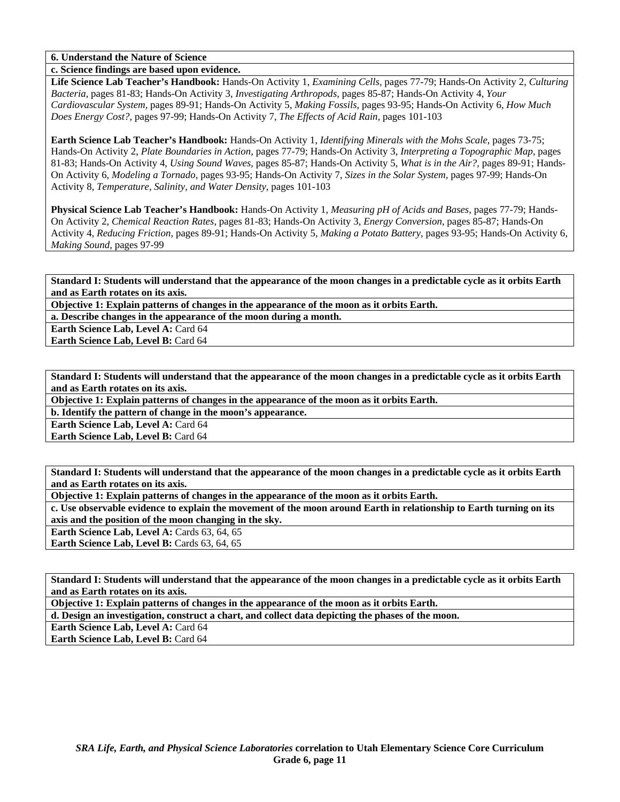**c. Science findings are based upon evidence.** 

**Life Science Lab Teacher's Handbook:** Hands-On Activity 1, *Examining Cells,* pages 77-79; Hands-On Activity 2, *Culturing Bacteria,* pages 81-83; Hands-On Activity 3, *Investigating Arthropods,* pages 85-87; Hands-On Activity 4, *Your Cardiovascular System,* pages 89-91; Hands-On Activity 5, *Making Fossils,* pages 93-95; Hands-On Activity 6, *How Much Does Energy Cost?,* pages 97-99; Hands-On Activity 7, *The Effects of Acid Rain,* pages 101-103

**Earth Science Lab Teacher's Handbook:** Hands-On Activity 1, *Identifying Minerals with the Mohs Scale,* pages 73-75; Hands-On Activity 2, *Plate Boundaries in Action,* pages 77-79; Hands-On Activity 3, *Interpreting a Topographic Map,* pages 81-83; Hands-On Activity 4, *Using Sound Waves,* pages 85-87; Hands-On Activity 5, *What is in the Air?,* pages 89-91; Hands-On Activity 6, *Modeling a Tornado,* pages 93-95; Hands-On Activity 7, *Sizes in the Solar System,* pages 97-99; Hands-On Activity 8, *Temperature, Salinity, and Water Density,* pages 101-103

**Physical Science Lab Teacher's Handbook:** Hands-On Activity 1, *Measuring pH of Acids and Bases,* pages 77-79; Hands-On Activity 2, *Chemical Reaction Rates,* pages 81-83; Hands-On Activity 3, *Energy Conversion,* pages 85-87; Hands-On Activity 4, *Reducing Friction,* pages 89-91; Hands-On Activity 5, *Making a Potato Battery,* pages 93-95; Hands-On Activity 6, *Making Sound,* pages 97-99

**Standard I: Students will understand that the appearance of the moon changes in a predictable cycle as it orbits Earth and as Earth rotates on its axis.** 

**Objective 1: Explain patterns of changes in the appearance of the moon as it orbits Earth.** 

**a. Describe changes in the appearance of the moon during a month.** 

**Earth Science Lab, Level A: Card 64 Earth Science Lab, Level B:** Card 64

**Standard I: Students will understand that the appearance of the moon changes in a predictable cycle as it orbits Earth and as Earth rotates on its axis.** 

**Objective 1: Explain patterns of changes in the appearance of the moon as it orbits Earth.** 

**b. Identify the pattern of change in the moon's appearance.** 

**Earth Science Lab, Level A: Card 64** 

**Earth Science Lab, Level B: Card 64** 

**Standard I: Students will understand that the appearance of the moon changes in a predictable cycle as it orbits Earth and as Earth rotates on its axis.** 

**Objective 1: Explain patterns of changes in the appearance of the moon as it orbits Earth.** 

**c. Use observable evidence to explain the movement of the moon around Earth in relationship to Earth turning on its axis and the position of the moon changing in the sky.** 

**Earth Science Lab, Level A: Cards 63, 64, 65** 

**Earth Science Lab, Level B:** Cards 63, 64, 65

**Standard I: Students will understand that the appearance of the moon changes in a predictable cycle as it orbits Earth and as Earth rotates on its axis.** 

**Objective 1: Explain patterns of changes in the appearance of the moon as it orbits Earth.** 

**d. Design an investigation, construct a chart, and collect data depicting the phases of the moon.** 

**Earth Science Lab, Level A: Card 64** 

**Earth Science Lab, Level B:** Card 64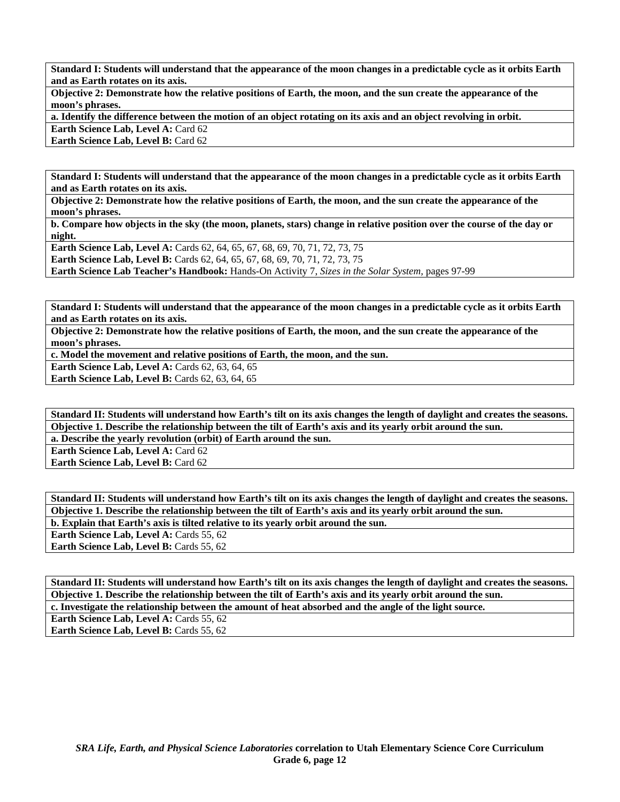**Standard I: Students will understand that the appearance of the moon changes in a predictable cycle as it orbits Earth and as Earth rotates on its axis.** 

**Objective 2: Demonstrate how the relative positions of Earth, the moon, and the sun create the appearance of the moon's phrases.** 

**a. Identify the difference between the motion of an object rotating on its axis and an object revolving in orbit.** 

**Earth Science Lab, Level A: Card 62** 

**Earth Science Lab, Level B: Card 62** 

**Standard I: Students will understand that the appearance of the moon changes in a predictable cycle as it orbits Earth and as Earth rotates on its axis.** 

**Objective 2: Demonstrate how the relative positions of Earth, the moon, and the sun create the appearance of the moon's phrases.** 

**b. Compare how objects in the sky (the moon, planets, stars) change in relative position over the course of the day or night.** 

**Earth Science Lab, Level A: Cards 62, 64, 65, 67, 68, 69, 70, 71, 72, 73, 75 Earth Science Lab, Level B:** Cards 62, 64, 65, 67, 68, 69, 70, 71, 72, 73, 75 **Earth Science Lab Teacher's Handbook:** Hands-On Activity 7, *Sizes in the Solar System,* pages 97-99

**Standard I: Students will understand that the appearance of the moon changes in a predictable cycle as it orbits Earth and as Earth rotates on its axis.** 

**Objective 2: Demonstrate how the relative positions of Earth, the moon, and the sun create the appearance of the moon's phrases.** 

**c. Model the movement and relative positions of Earth, the moon, and the sun.** 

**Earth Science Lab, Level A: Cards 62, 63, 64, 65** 

**Earth Science Lab, Level B: Cards 62, 63, 64, 65** 

**Standard II: Students will understand how Earth's tilt on its axis changes the length of daylight and creates the seasons. Objective 1. Describe the relationship between the tilt of Earth's axis and its yearly orbit around the sun.** 

**a. Describe the yearly revolution (orbit) of Earth around the sun.** 

**Earth Science Lab, Level A: Card 62 Earth Science Lab, Level B: Card 62** 

**Standard II: Students will understand how Earth's tilt on its axis changes the length of daylight and creates the seasons. Objective 1. Describe the relationship between the tilt of Earth's axis and its yearly orbit around the sun. b. Explain that Earth's axis is tilted relative to its yearly orbit around the sun.** 

**Earth Science Lab, Level A: Cards 55, 62** Earth Science Lab, Level B: Cards 55, 62

**Standard II: Students will understand how Earth's tilt on its axis changes the length of daylight and creates the seasons. Objective 1. Describe the relationship between the tilt of Earth's axis and its yearly orbit around the sun. c. Investigate the relationship between the amount of heat absorbed and the angle of the light source.** 

**Earth Science Lab, Level A: Cards 55, 62** 

Earth Science Lab, Level B: Cards 55, 62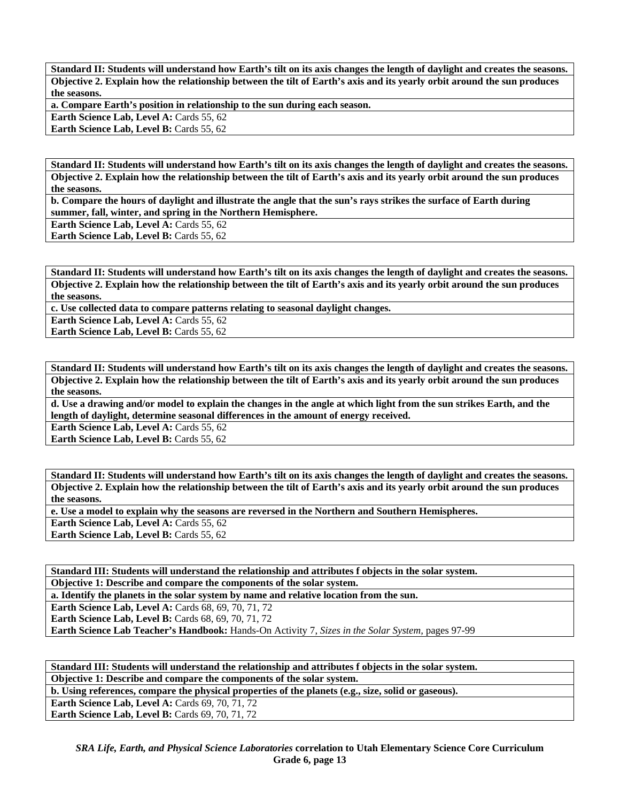**Standard II: Students will understand how Earth's tilt on its axis changes the length of daylight and creates the seasons. Objective 2. Explain how the relationship between the tilt of Earth's axis and its yearly orbit around the sun produces the seasons.** 

**a. Compare Earth's position in relationship to the sun during each season.** 

Earth Science Lab, Level A: Cards 55, 62

**Earth Science Lab, Level B: Cards 55, 62** 

**Standard II: Students will understand how Earth's tilt on its axis changes the length of daylight and creates the seasons. Objective 2. Explain how the relationship between the tilt of Earth's axis and its yearly orbit around the sun produces the seasons.** 

**b. Compare the hours of daylight and illustrate the angle that the sun's rays strikes the surface of Earth during summer, fall, winter, and spring in the Northern Hemisphere.** 

**Earth Science Lab, Level A: Cards 55, 62** 

**Earth Science Lab, Level B: Cards 55, 62** 

**Standard II: Students will understand how Earth's tilt on its axis changes the length of daylight and creates the seasons. Objective 2. Explain how the relationship between the tilt of Earth's axis and its yearly orbit around the sun produces the seasons.** 

**c. Use collected data to compare patterns relating to seasonal daylight changes.** 

**Earth Science Lab, Level A: Cards 55, 62** 

**Earth Science Lab, Level B: Cards 55, 62** 

**Standard II: Students will understand how Earth's tilt on its axis changes the length of daylight and creates the seasons. Objective 2. Explain how the relationship between the tilt of Earth's axis and its yearly orbit around the sun produces the seasons.** 

**d. Use a drawing and/or model to explain the changes in the angle at which light from the sun strikes Earth, and the length of daylight, determine seasonal differences in the amount of energy received.** 

**Earth Science Lab, Level A: Cards 55, 62** 

**Earth Science Lab, Level B: Cards 55, 62** 

**Standard II: Students will understand how Earth's tilt on its axis changes the length of daylight and creates the seasons. Objective 2. Explain how the relationship between the tilt of Earth's axis and its yearly orbit around the sun produces the seasons.** 

**e. Use a model to explain why the seasons are reversed in the Northern and Southern Hemispheres.** 

**Earth Science Lab, Level A: Cards 55, 62** 

Earth Science Lab, Level B: Cards 55, 62

**Standard III: Students will understand the relationship and attributes f objects in the solar system. Objective 1: Describe and compare the components of the solar system.** 

**a. Identify the planets in the solar system by name and relative location from the sun.** 

**Earth Science Lab, Level A: Cards 68, 69, 70, 71, 72** 

**Earth Science Lab, Level B: Cards 68, 69, 70, 71, 72** 

**Earth Science Lab Teacher's Handbook:** Hands-On Activity 7, *Sizes in the Solar System,* pages 97-99

**Standard III: Students will understand the relationship and attributes f objects in the solar system. Objective 1: Describe and compare the components of the solar system.** 

**b. Using references, compare the physical properties of the planets (e.g., size, solid or gaseous).** 

**Earth Science Lab, Level A: Cards 69, 70, 71, 72** 

**Earth Science Lab, Level B: Cards 69, 70, 71, 72**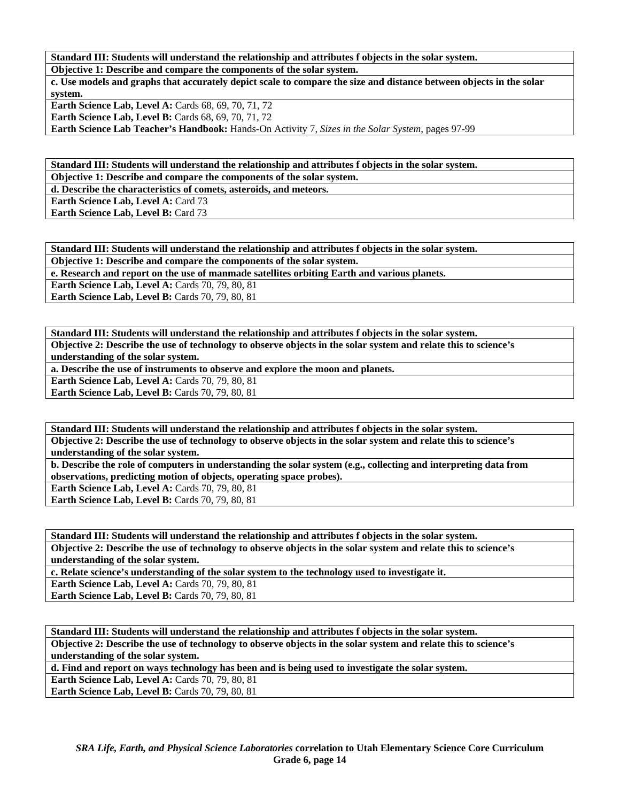**Standard III: Students will understand the relationship and attributes f objects in the solar system. Objective 1: Describe and compare the components of the solar system.** 

**c. Use models and graphs that accurately depict scale to compare the size and distance between objects in the solar system. Earth Science Lab, Level A: Cards 68, 69, 70, 71, 72** 

**Earth Science Lab, Level B: Cards 68, 69, 70, 71, 72** 

**Earth Science Lab Teacher's Handbook:** Hands-On Activity 7, *Sizes in the Solar System,* pages 97-99

**Standard III: Students will understand the relationship and attributes f objects in the solar system. Objective 1: Describe and compare the components of the solar system.** 

**d. Describe the characteristics of comets, asteroids, and meteors.** 

**Earth Science Lab, Level A: Card 73** 

**Earth Science Lab, Level B: Card 73** 

**Standard III: Students will understand the relationship and attributes f objects in the solar system.** 

**Objective 1: Describe and compare the components of the solar system.** 

**e. Research and report on the use of manmade satellites orbiting Earth and various planets.** 

**Earth Science Lab, Level A: Cards 70, 79, 80, 81 Earth Science Lab, Level B: Cards 70, 79, 80, 81** 

**Standard III: Students will understand the relationship and attributes f objects in the solar system. Objective 2: Describe the use of technology to observe objects in the solar system and relate this to science's understanding of the solar system.** 

**a. Describe the use of instruments to observe and explore the moon and planets.** 

**Earth Science Lab, Level A: Cards 70, 79, 80, 81** 

**Earth Science Lab, Level B: Cards 70, 79, 80, 81** 

**Standard III: Students will understand the relationship and attributes f objects in the solar system. Objective 2: Describe the use of technology to observe objects in the solar system and relate this to science's understanding of the solar system.** 

**b. Describe the role of computers in understanding the solar system (e.g., collecting and interpreting data from observations, predicting motion of objects, operating space probes).** 

**Earth Science Lab, Level A: Cards 70, 79, 80, 81** 

**Earth Science Lab, Level B: Cards 70, 79, 80, 81** 

**Standard III: Students will understand the relationship and attributes f objects in the solar system. Objective 2: Describe the use of technology to observe objects in the solar system and relate this to science's understanding of the solar system.** 

**c. Relate science's understanding of the solar system to the technology used to investigate it.** 

**Earth Science Lab, Level A: Cards 70, 79, 80, 81** 

**Earth Science Lab, Level B: Cards 70, 79, 80, 81** 

**Standard III: Students will understand the relationship and attributes f objects in the solar system. Objective 2: Describe the use of technology to observe objects in the solar system and relate this to science's understanding of the solar system.** 

**d. Find and report on ways technology has been and is being used to investigate the solar system.** 

**Earth Science Lab, Level A: Cards 70, 79, 80, 81** 

**Earth Science Lab, Level B: Cards 70, 79, 80, 81**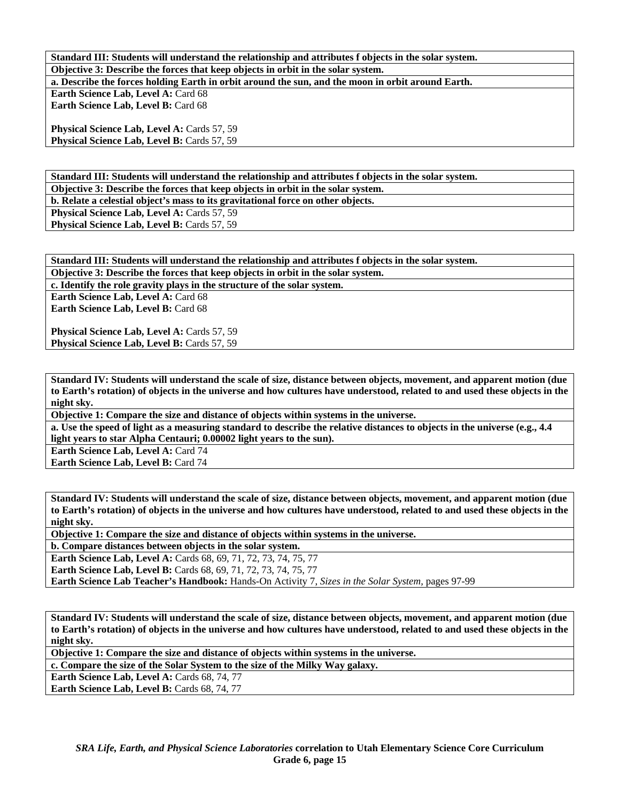**Standard III: Students will understand the relationship and attributes f objects in the solar system. Objective 3: Describe the forces that keep objects in orbit in the solar system.** 

**a. Describe the forces holding Earth in orbit around the sun, and the moon in orbit around Earth.** 

**Earth Science Lab, Level A: Card 68 Earth Science Lab, Level B: Card 68** 

Physical Science Lab, Level A: Cards 57, 59 **Physical Science Lab, Level B: Cards 57, 59** 

**Standard III: Students will understand the relationship and attributes f objects in the solar system. Objective 3: Describe the forces that keep objects in orbit in the solar system.** 

**b. Relate a celestial object's mass to its gravitational force on other objects.** 

Physical Science Lab, Level A: Cards 57, 59

**Physical Science Lab, Level B: Cards 57, 59** 

**Standard III: Students will understand the relationship and attributes f objects in the solar system.** 

**Objective 3: Describe the forces that keep objects in orbit in the solar system.** 

**c. Identify the role gravity plays in the structure of the solar system.** 

**Earth Science Lab, Level A: Card 68 Earth Science Lab, Level B: Card 68** 

**Physical Science Lab, Level A: Cards 57, 59** Physical Science Lab, Level B: Cards 57, 59

**Standard IV: Students will understand the scale of size, distance between objects, movement, and apparent motion (due to Earth's rotation) of objects in the universe and how cultures have understood, related to and used these objects in the night sky.** 

**Objective 1: Compare the size and distance of objects within systems in the universe.** 

**a. Use the speed of light as a measuring standard to describe the relative distances to objects in the universe (e.g., 4.4 light years to star Alpha Centauri; 0.00002 light years to the sun).** 

**Earth Science Lab, Level A: Card 74 Earth Science Lab, Level B: Card 74** 

**Standard IV: Students will understand the scale of size, distance between objects, movement, and apparent motion (due to Earth's rotation) of objects in the universe and how cultures have understood, related to and used these objects in the night sky.** 

**Objective 1: Compare the size and distance of objects within systems in the universe.** 

**b. Compare distances between objects in the solar system.** 

**Earth Science Lab, Level A:** Cards 68, 69, 71, 72, 73, 74, 75, 77

**Earth Science Lab, Level B:** Cards 68, 69, 71, 72, 73, 74, 75, 77

**Earth Science Lab Teacher's Handbook:** Hands-On Activity 7, *Sizes in the Solar System,* pages 97-99

**Standard IV: Students will understand the scale of size, distance between objects, movement, and apparent motion (due to Earth's rotation) of objects in the universe and how cultures have understood, related to and used these objects in the night sky.** 

**Objective 1: Compare the size and distance of objects within systems in the universe.** 

**c. Compare the size of the Solar System to the size of the Milky Way galaxy.** 

**Earth Science Lab, Level A: Cards 68, 74, 77** 

Earth Science Lab, Level B: Cards 68, 74, 77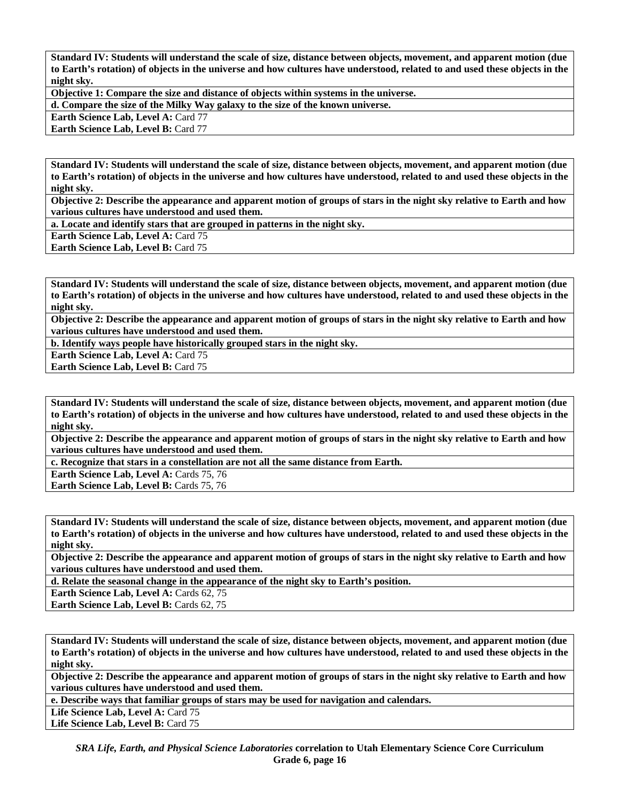**Standard IV: Students will understand the scale of size, distance between objects, movement, and apparent motion (due to Earth's rotation) of objects in the universe and how cultures have understood, related to and used these objects in the night sky.** 

**Objective 1: Compare the size and distance of objects within systems in the universe.** 

**d. Compare the size of the Milky Way galaxy to the size of the known universe.** 

**Earth Science Lab, Level A:** Card 77

**Earth Science Lab, Level B: Card 77** 

**Standard IV: Students will understand the scale of size, distance between objects, movement, and apparent motion (due to Earth's rotation) of objects in the universe and how cultures have understood, related to and used these objects in the night sky.** 

**Objective 2: Describe the appearance and apparent motion of groups of stars in the night sky relative to Earth and how various cultures have understood and used them.** 

**a. Locate and identify stars that are grouped in patterns in the night sky.** 

**Earth Science Lab, Level A: Card 75** 

**Earth Science Lab, Level B: Card 75** 

**Standard IV: Students will understand the scale of size, distance between objects, movement, and apparent motion (due to Earth's rotation) of objects in the universe and how cultures have understood, related to and used these objects in the night sky.** 

**Objective 2: Describe the appearance and apparent motion of groups of stars in the night sky relative to Earth and how various cultures have understood and used them.** 

**b. Identify ways people have historically grouped stars in the night sky.** 

**Earth Science Lab, Level A: Card 75** 

**Earth Science Lab, Level B: Card 75** 

**Standard IV: Students will understand the scale of size, distance between objects, movement, and apparent motion (due to Earth's rotation) of objects in the universe and how cultures have understood, related to and used these objects in the night sky.** 

**Objective 2: Describe the appearance and apparent motion of groups of stars in the night sky relative to Earth and how various cultures have understood and used them.** 

**c. Recognize that stars in a constellation are not all the same distance from Earth.** 

Earth Science Lab, Level A: Cards 75, 76

Earth Science Lab, Level B: Cards 75, 76

**Standard IV: Students will understand the scale of size, distance between objects, movement, and apparent motion (due to Earth's rotation) of objects in the universe and how cultures have understood, related to and used these objects in the night sky.** 

**Objective 2: Describe the appearance and apparent motion of groups of stars in the night sky relative to Earth and how various cultures have understood and used them.** 

**d. Relate the seasonal change in the appearance of the night sky to Earth's position.** 

**Earth Science Lab, Level A: Cards 62, 75** 

Earth Science Lab, Level B: Cards 62, 75

**Standard IV: Students will understand the scale of size, distance between objects, movement, and apparent motion (due to Earth's rotation) of objects in the universe and how cultures have understood, related to and used these objects in the night sky.** 

**Objective 2: Describe the appearance and apparent motion of groups of stars in the night sky relative to Earth and how various cultures have understood and used them.** 

**e. Describe ways that familiar groups of stars may be used for navigation and calendars.** 

Life Science Lab, Level A: Card 75

Life Science Lab, Level B: Card 75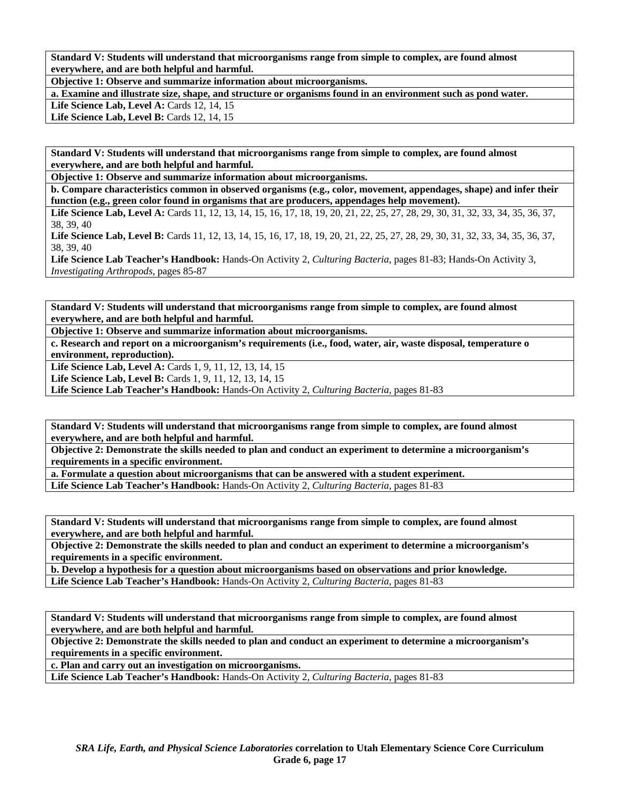**Standard V: Students will understand that microorganisms range from simple to complex, are found almost everywhere, and are both helpful and harmful.** 

**Objective 1: Observe and summarize information about microorganisms.** 

**a. Examine and illustrate size, shape, and structure or organisms found in an environment such as pond water.** 

**Life Science Lab, Level A: Cards 12, 14, 15** 

**Life Science Lab, Level B: Cards 12, 14, 15** 

**Standard V: Students will understand that microorganisms range from simple to complex, are found almost everywhere, and are both helpful and harmful.** 

**Objective 1: Observe and summarize information about microorganisms.** 

**b. Compare characteristics common in observed organisms (e.g., color, movement, appendages, shape) and infer their function (e.g., green color found in organisms that are producers, appendages help movement).** 

Life Science Lab, Level A: Cards 11, 12, 13, 14, 15, 16, 17, 18, 19, 20, 21, 22, 25, 27, 28, 29, 30, 31, 32, 33, 34, 35, 36, 37, 38, 39, 40

Life Science Lab, Level B: Cards 11, 12, 13, 14, 15, 16, 17, 18, 19, 20, 21, 22, 25, 27, 28, 29, 30, 31, 32, 33, 34, 35, 36, 37, 38, 39, 40

**Life Science Lab Teacher's Handbook:** Hands-On Activity 2, *Culturing Bacteria,* pages 81-83; Hands-On Activity 3, *Investigating Arthropods,* pages 85-87

**Standard V: Students will understand that microorganisms range from simple to complex, are found almost everywhere, and are both helpful and harmful.** 

**Objective 1: Observe and summarize information about microorganisms.** 

**c. Research and report on a microorganism's requirements (i.e., food, water, air, waste disposal, temperature o environment, reproduction).** 

**Life Science Lab, Level A:** Cards 1, 9, 11, 12, 13, 14, 15

**Life Science Lab, Level B:** Cards 1, 9, 11, 12, 13, 14, 15

**Life Science Lab Teacher's Handbook:** Hands-On Activity 2, *Culturing Bacteria,* pages 81-83

**Standard V: Students will understand that microorganisms range from simple to complex, are found almost everywhere, and are both helpful and harmful.** 

**Objective 2: Demonstrate the skills needed to plan and conduct an experiment to determine a microorganism's requirements in a specific environment.** 

**a. Formulate a question about microorganisms that can be answered with a student experiment.** 

**Life Science Lab Teacher's Handbook:** Hands-On Activity 2, *Culturing Bacteria,* pages 81-83

**Standard V: Students will understand that microorganisms range from simple to complex, are found almost everywhere, and are both helpful and harmful.** 

**Objective 2: Demonstrate the skills needed to plan and conduct an experiment to determine a microorganism's requirements in a specific environment.** 

**b. Develop a hypothesis for a question about microorganisms based on observations and prior knowledge.** 

**Life Science Lab Teacher's Handbook:** Hands-On Activity 2, *Culturing Bacteria,* pages 81-83

**Standard V: Students will understand that microorganisms range from simple to complex, are found almost everywhere, and are both helpful and harmful.** 

**Objective 2: Demonstrate the skills needed to plan and conduct an experiment to determine a microorganism's requirements in a specific environment.** 

**c. Plan and carry out an investigation on microorganisms.** 

**Life Science Lab Teacher's Handbook:** Hands-On Activity 2, *Culturing Bacteria,* pages 81-83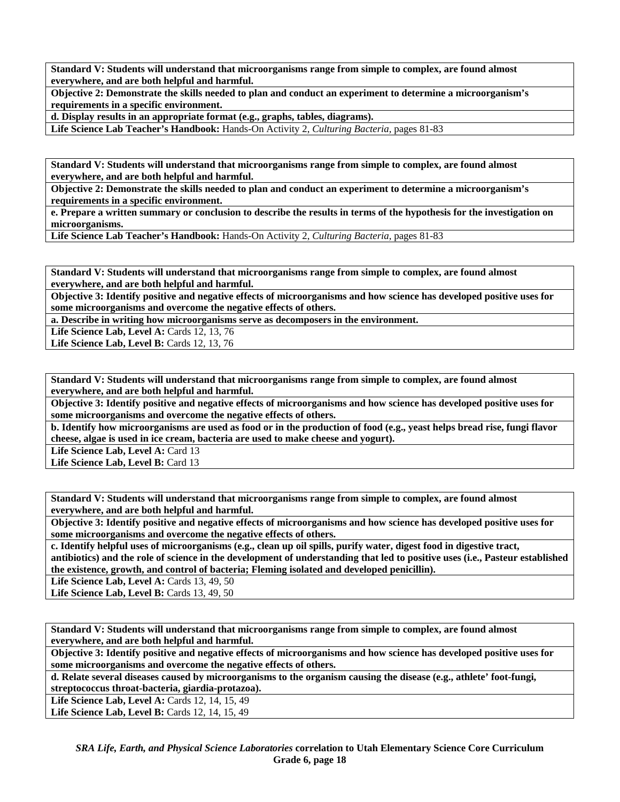**Standard V: Students will understand that microorganisms range from simple to complex, are found almost everywhere, and are both helpful and harmful.** 

**Objective 2: Demonstrate the skills needed to plan and conduct an experiment to determine a microorganism's requirements in a specific environment.** 

**d. Display results in an appropriate format (e.g., graphs, tables, diagrams).** 

**Life Science Lab Teacher's Handbook:** Hands-On Activity 2, *Culturing Bacteria,* pages 81-83

**Standard V: Students will understand that microorganisms range from simple to complex, are found almost everywhere, and are both helpful and harmful.** 

**Objective 2: Demonstrate the skills needed to plan and conduct an experiment to determine a microorganism's requirements in a specific environment.** 

**e. Prepare a written summary or conclusion to describe the results in terms of the hypothesis for the investigation on microorganisms.** 

**Life Science Lab Teacher's Handbook:** Hands-On Activity 2, *Culturing Bacteria,* pages 81-83

**Standard V: Students will understand that microorganisms range from simple to complex, are found almost everywhere, and are both helpful and harmful.** 

**Objective 3: Identify positive and negative effects of microorganisms and how science has developed positive uses for some microorganisms and overcome the negative effects of others.** 

**a. Describe in writing how microorganisms serve as decomposers in the environment.** 

**Life Science Lab, Level A: Cards 12, 13, 76** 

**Life Science Lab, Level B: Cards 12, 13, 76** 

**Standard V: Students will understand that microorganisms range from simple to complex, are found almost everywhere, and are both helpful and harmful.** 

**Objective 3: Identify positive and negative effects of microorganisms and how science has developed positive uses for some microorganisms and overcome the negative effects of others.** 

**b. Identify how microorganisms are used as food or in the production of food (e.g., yeast helps bread rise, fungi flavor cheese, algae is used in ice cream, bacteria are used to make cheese and yogurt).** 

Life Science Lab, Level A: Card 13 Life Science Lab, Level B: Card 13

**Standard V: Students will understand that microorganisms range from simple to complex, are found almost everywhere, and are both helpful and harmful.** 

**Objective 3: Identify positive and negative effects of microorganisms and how science has developed positive uses for some microorganisms and overcome the negative effects of others.** 

**c. Identify helpful uses of microorganisms (e.g., clean up oil spills, purify water, digest food in digestive tract, antibiotics) and the role of science in the development of understanding that led to positive uses (i.e., Pasteur established the existence, growth, and control of bacteria; Fleming isolated and developed penicillin).** 

**Life Science Lab, Level A: Cards 13, 49, 50** 

**Life Science Lab, Level B:** Cards 13, 49, 50

**Standard V: Students will understand that microorganisms range from simple to complex, are found almost everywhere, and are both helpful and harmful.** 

**Objective 3: Identify positive and negative effects of microorganisms and how science has developed positive uses for some microorganisms and overcome the negative effects of others.** 

**d. Relate several diseases caused by microorganisms to the organism causing the disease (e.g., athlete' foot-fungi, streptococcus throat-bacteria, giardia-protazoa).** 

**Life Science Lab, Level A: Cards 12, 14, 15, 49** 

Life Science Lab, Level B: Cards 12, 14, 15, 49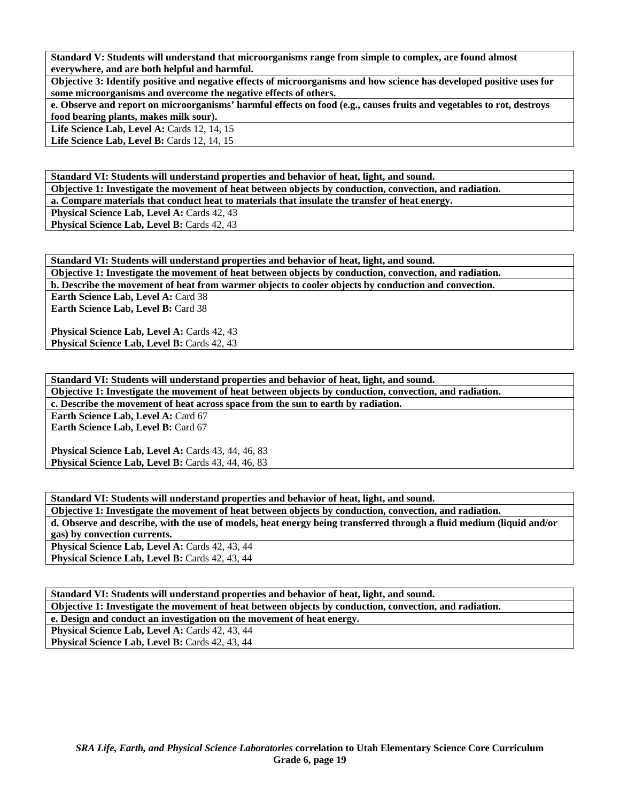**Standard V: Students will understand that microorganisms range from simple to complex, are found almost everywhere, and are both helpful and harmful.** 

**Objective 3: Identify positive and negative effects of microorganisms and how science has developed positive uses for some microorganisms and overcome the negative effects of others.** 

**e. Observe and report on microorganisms' harmful effects on food (e.g., causes fruits and vegetables to rot, destroys food bearing plants, makes milk sour).** 

**Life Science Lab, Level A: Cards 12, 14, 15** 

**Life Science Lab, Level B: Cards 12, 14, 15** 

**Standard VI: Students will understand properties and behavior of heat, light, and sound. Objective 1: Investigate the movement of heat between objects by conduction, convection, and radiation. a. Compare materials that conduct heat to materials that insulate the transfer of heat energy.** 

Physical Science Lab, Level A: Cards 42, 43

**Physical Science Lab, Level B: Cards 42, 43** 

| Standard VI: Students will understand properties and behavior of heat, light, and sound.                |
|---------------------------------------------------------------------------------------------------------|
| Objective 1: Investigate the movement of heat between objects by conduction, convection, and radiation. |
| b. Describe the movement of heat from warmer objects to cooler objects by conduction and convection.    |
| Earth Science Lab, Level A: Card 38                                                                     |
| <b>Earth Science Lab, Level B: Card 38</b>                                                              |
|                                                                                                         |
| <b>Physical Science Lab, Level A: Cards 42, 43</b>                                                      |
| Physical Science Lab, Level B: Cards 42, 43                                                             |

**Standard VI: Students will understand properties and behavior of heat, light, and sound.** 

**Objective 1: Investigate the movement of heat between objects by conduction, convection, and radiation.** 

**c. Describe the movement of heat across space from the sun to earth by radiation.** 

**Earth Science Lab, Level A: Card 67 Earth Science Lab, Level B: Card 67** 

**Physical Science Lab, Level A: Cards 43, 44, 46, 83 Physical Science Lab, Level B: Cards 43, 44, 46, 83** 

**Standard VI: Students will understand properties and behavior of heat, light, and sound. Objective 1: Investigate the movement of heat between objects by conduction, convection, and radiation. d. Observe and describe, with the use of models, heat energy being transferred through a fluid medium (liquid and/or gas) by convection currents.**  Physical Science Lab, Level A: Cards 42, 43, 44 **Physical Science Lab, Level B: Cards 42, 43, 44** 

**Standard VI: Students will understand properties and behavior of heat, light, and sound. Objective 1: Investigate the movement of heat between objects by conduction, convection, and radiation. e. Design and conduct an investigation on the movement of heat energy.** 

Physical Science Lab, Level A: Cards 42, 43, 44

Physical Science Lab, Level B: Cards 42, 43, 44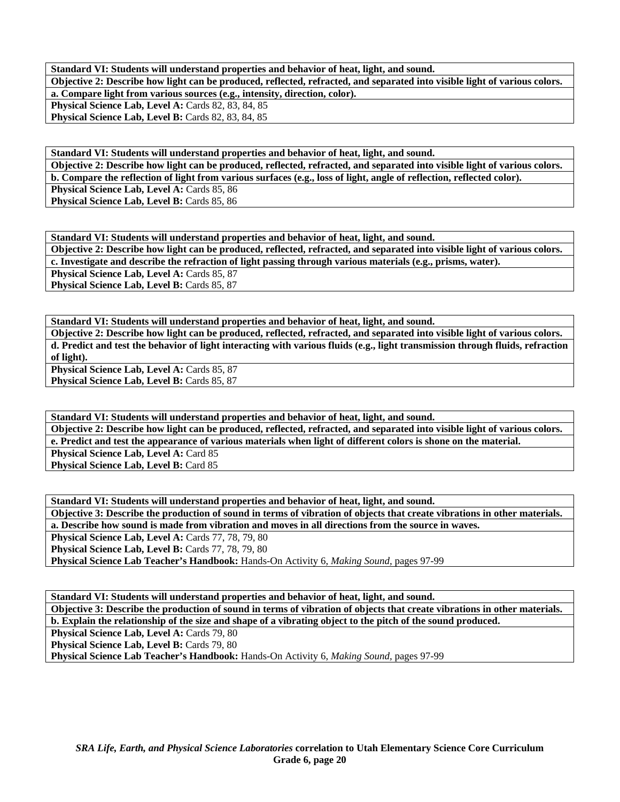**Standard VI: Students will understand properties and behavior of heat, light, and sound. Objective 2: Describe how light can be produced, reflected, refracted, and separated into visible light of various colors. a. Compare light from various sources (e.g., intensity, direction, color). Physical Science Lab, Level A: Cards 82, 83, 84, 85** Physical Science Lab, Level B: Cards 82, 83, 84, 85

**Standard VI: Students will understand properties and behavior of heat, light, and sound. Objective 2: Describe how light can be produced, reflected, refracted, and separated into visible light of various colors. b. Compare the reflection of light from various surfaces (e.g., loss of light, angle of reflection, reflected color).**  Physical Science Lab, Level A: Cards 85, 86 **Physical Science Lab, Level B: Cards 85, 86** 

**Standard VI: Students will understand properties and behavior of heat, light, and sound. Objective 2: Describe how light can be produced, reflected, refracted, and separated into visible light of various colors. c. Investigate and describe the refraction of light passing through various materials (e.g., prisms, water).**  Physical Science Lab, Level A: Cards 85, 87 **Physical Science Lab, Level B: Cards 85, 87** 

**Standard VI: Students will understand properties and behavior of heat, light, and sound. Objective 2: Describe how light can be produced, reflected, refracted, and separated into visible light of various colors. d. Predict and test the behavior of light interacting with various fluids (e.g., light transmission through fluids, refraction of light).** 

**Physical Science Lab, Level A: Cards 85, 87** Physical Science Lab, Level B: Cards 85, 87

**Standard VI: Students will understand properties and behavior of heat, light, and sound. Objective 2: Describe how light can be produced, reflected, refracted, and separated into visible light of various colors. e. Predict and test the appearance of various materials when light of different colors is shone on the material. Physical Science Lab, Level A: Card 85 Physical Science Lab, Level B: Card 85** 

**Standard VI: Students will understand properties and behavior of heat, light, and sound. Objective 3: Describe the production of sound in terms of vibration of objects that create vibrations in other materials. a. Describe how sound is made from vibration and moves in all directions from the source in waves. Physical Science Lab, Level A: Cards 77, 78, 79, 80 Physical Science Lab, Level B:** Cards 77, 78, 79, 80

**Physical Science Lab Teacher's Handbook:** Hands-On Activity 6, *Making Sound,* pages 97-99

**Standard VI: Students will understand properties and behavior of heat, light, and sound. Objective 3: Describe the production of sound in terms of vibration of objects that create vibrations in other materials.** 

**b. Explain the relationship of the size and shape of a vibrating object to the pitch of the sound produced.** 

Physical Science Lab, Level A: Cards 79, 80

**Physical Science Lab, Level B: Cards 79, 80** 

**Physical Science Lab Teacher's Handbook:** Hands-On Activity 6, *Making Sound,* pages 97-99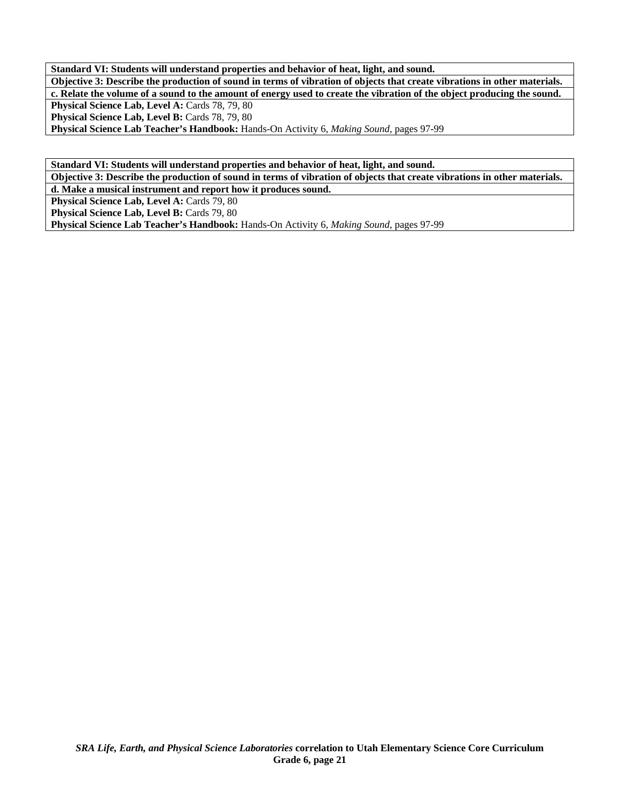**Standard VI: Students will understand properties and behavior of heat, light, and sound. Objective 3: Describe the production of sound in terms of vibration of objects that create vibrations in other materials. c. Relate the volume of a sound to the amount of energy used to create the vibration of the object producing the sound.**  Physical Science Lab, Level A: Cards 78, 79, 80 Physical Science Lab, Level B: Cards 78, 79, 80 **Physical Science Lab Teacher's Handbook:** Hands-On Activity 6, *Making Sound,* pages 97-99

**Standard VI: Students will understand properties and behavior of heat, light, and sound.** 

**Objective 3: Describe the production of sound in terms of vibration of objects that create vibrations in other materials. d. Make a musical instrument and report how it produces sound.** 

Physical Science Lab, Level A: Cards 79, 80

Physical Science Lab, Level B: Cards 79, 80

**Physical Science Lab Teacher's Handbook:** Hands-On Activity 6, *Making Sound,* pages 97-99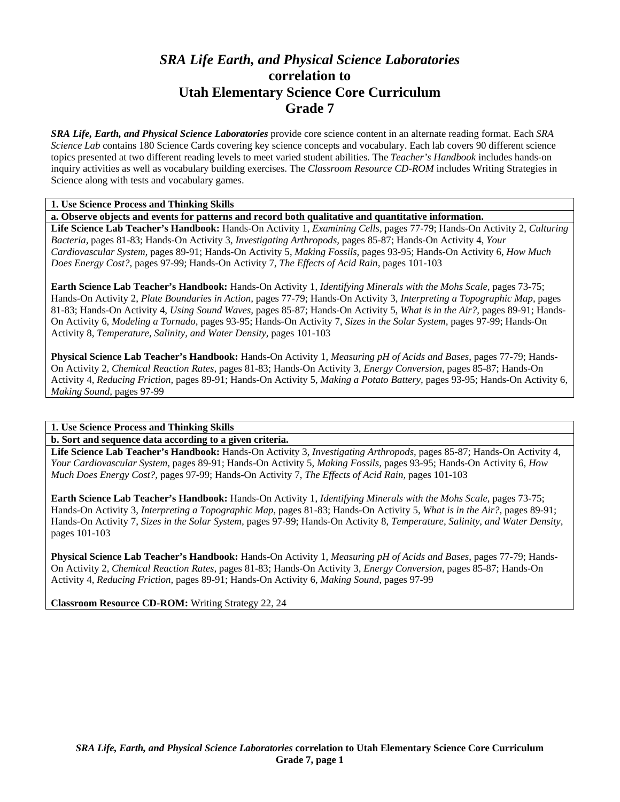# *SRA Life Earth, and Physical Science Laboratories*  **correlation to Utah Elementary Science Core Curriculum Grade 7**

*SRA Life, Earth, and Physical Science Laboratories* provide core science content in an alternate reading format. Each *SRA Science Lab* contains 180 Science Cards covering key science concepts and vocabulary. Each lab covers 90 different science topics presented at two different reading levels to meet varied student abilities. The *Teacher's Handbook* includes hands-on inquiry activities as well as vocabulary building exercises. The *Classroom Resource CD-ROM* includes Writing Strategies in Science along with tests and vocabulary games.

### **1. Use Science Process and Thinking Skills**

**a. Observe objects and events for patterns and record both qualitative and quantitative information.** 

**Life Science Lab Teacher's Handbook:** Hands-On Activity 1, *Examining Cells,* pages 77-79; Hands-On Activity 2, *Culturing Bacteria,* pages 81-83; Hands-On Activity 3, *Investigating Arthropods,* pages 85-87; Hands-On Activity 4, *Your Cardiovascular System,* pages 89-91; Hands-On Activity 5, *Making Fossils,* pages 93-95; Hands-On Activity 6, *How Much Does Energy Cost?,* pages 97-99; Hands-On Activity 7, *The Effects of Acid Rain,* pages 101-103

**Earth Science Lab Teacher's Handbook:** Hands-On Activity 1, *Identifying Minerals with the Mohs Scale,* pages 73-75; Hands-On Activity 2, *Plate Boundaries in Action,* pages 77-79; Hands-On Activity 3, *Interpreting a Topographic Map,* pages 81-83; Hands-On Activity 4, *Using Sound Waves,* pages 85-87; Hands-On Activity 5, *What is in the Air?,* pages 89-91; Hands-On Activity 6, *Modeling a Tornado,* pages 93-95; Hands-On Activity 7, *Sizes in the Solar System,* pages 97-99; Hands-On Activity 8, *Temperature, Salinity, and Water Density,* pages 101-103

**Physical Science Lab Teacher's Handbook:** Hands-On Activity 1, *Measuring pH of Acids and Bases,* pages 77-79; Hands-On Activity 2, *Chemical Reaction Rates,* pages 81-83; Hands-On Activity 3, *Energy Conversion,* pages 85-87; Hands-On Activity 4, *Reducing Friction,* pages 89-91; Hands-On Activity 5, *Making a Potato Battery,* pages 93-95; Hands-On Activity 6, *Making Sound,* pages 97-99

### **1. Use Science Process and Thinking Skills**

**b. Sort and sequence data according to a given criteria.** 

**Life Science Lab Teacher's Handbook:** Hands-On Activity 3, *Investigating Arthropods,* pages 85-87; Hands-On Activity 4, *Your Cardiovascular System,* pages 89-91; Hands-On Activity 5, *Making Fossils,* pages 93-95; Hands-On Activity 6, *How Much Does Energy Cost?,* pages 97-99; Hands-On Activity 7, *The Effects of Acid Rain,* pages 101-103

**Earth Science Lab Teacher's Handbook:** Hands-On Activity 1, *Identifying Minerals with the Mohs Scale,* pages 73-75; Hands-On Activity 3, *Interpreting a Topographic Map,* pages 81-83; Hands-On Activity 5, *What is in the Air?,* pages 89-91; Hands-On Activity 7, *Sizes in the Solar System,* pages 97-99; Hands-On Activity 8, *Temperature, Salinity, and Water Density,* pages 101-103

**Physical Science Lab Teacher's Handbook:** Hands-On Activity 1, *Measuring pH of Acids and Bases,* pages 77-79; Hands-On Activity 2, *Chemical Reaction Rates,* pages 81-83; Hands-On Activity 3, *Energy Conversion,* pages 85-87; Hands-On Activity 4, *Reducing Friction,* pages 89-91; Hands-On Activity 6, *Making Sound,* pages 97-99

**Classroom Resource CD-ROM:** Writing Strategy 22, 24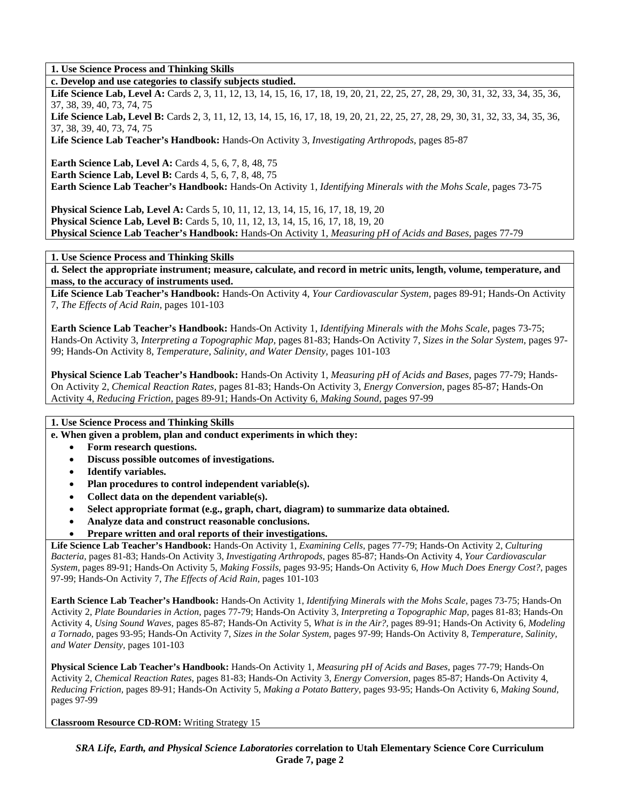**1. Use Science Process and Thinking Skills** 

**c. Develop and use categories to classify subjects studied.** 

Life Science Lab, Level A: Cards 2, 3, 11, 12, 13, 14, 15, 16, 17, 18, 19, 20, 21, 22, 25, 27, 28, 29, 30, 31, 32, 33, 34, 35, 36, 37, 38, 39, 40, 73, 74, 75

Life Science Lab, Level B: Cards 2, 3, 11, 12, 13, 14, 15, 16, 17, 18, 19, 20, 21, 22, 25, 27, 28, 29, 30, 31, 32, 33, 34, 35, 36, 37, 38, 39, 40, 73, 74, 75

**Life Science Lab Teacher's Handbook:** Hands-On Activity 3, *Investigating Arthropods,* pages 85-87

**Earth Science Lab, Level A: Cards 4, 5, 6, 7, 8, 48, 75** 

**Earth Science Lab, Level B:** Cards 4, 5, 6, 7, 8, 48, 75

**Earth Science Lab Teacher's Handbook:** Hands-On Activity 1, *Identifying Minerals with the Mohs Scale,* pages 73-75

**Physical Science Lab, Level A:** Cards 5, 10, 11, 12, 13, 14, 15, 16, 17, 18, 19, 20 **Physical Science Lab, Level B:** Cards 5, 10, 11, 12, 13, 14, 15, 16, 17, 18, 19, 20 **Physical Science Lab Teacher's Handbook:** Hands-On Activity 1, *Measuring pH of Acids and Bases,* pages 77-79

**1. Use Science Process and Thinking Skills** 

**d. Select the appropriate instrument; measure, calculate, and record in metric units, length, volume, temperature, and mass, to the accuracy of instruments used.** 

**Life Science Lab Teacher's Handbook:** Hands-On Activity 4, *Your Cardiovascular System,* pages 89-91; Hands-On Activity 7, *The Effects of Acid Rain,* pages 101-103

**Earth Science Lab Teacher's Handbook:** Hands-On Activity 1, *Identifying Minerals with the Mohs Scale,* pages 73-75; Hands-On Activity 3, *Interpreting a Topographic Map,* pages 81-83; Hands-On Activity 7, *Sizes in the Solar System,* pages 97- 99; Hands-On Activity 8, *Temperature, Salinity, and Water Density,* pages 101-103

**Physical Science Lab Teacher's Handbook:** Hands-On Activity 1, *Measuring pH of Acids and Bases,* pages 77-79; Hands-On Activity 2, *Chemical Reaction Rates,* pages 81-83; Hands-On Activity 3, *Energy Conversion,* pages 85-87; Hands-On Activity 4, *Reducing Friction,* pages 89-91; Hands-On Activity 6, *Making Sound,* pages 97-99

### **1. Use Science Process and Thinking Skills**

**e. When given a problem, plan and conduct experiments in which they:** 

- **Form research questions.**
- **Discuss possible outcomes of investigations.**
- **Identify variables.**
- **Plan procedures to control independent variable(s).**
- **Collect data on the dependent variable(s).**
- **Select appropriate format (e.g., graph, chart, diagram) to summarize data obtained.**
- **Analyze data and construct reasonable conclusions.**
- **Prepare written and oral reports of their investigations.**

**Life Science Lab Teacher's Handbook:** Hands-On Activity 1, *Examining Cells,* pages 77-79; Hands-On Activity 2, *Culturing Bacteria,* pages 81-83; Hands-On Activity 3, *Investigating Arthropods,* pages 85-87; Hands-On Activity 4, *Your Cardiovascular System,* pages 89-91; Hands-On Activity 5, *Making Fossils,* pages 93-95; Hands-On Activity 6, *How Much Does Energy Cost?,* pages 97-99; Hands-On Activity 7, *The Effects of Acid Rain,* pages 101-103

**Earth Science Lab Teacher's Handbook:** Hands-On Activity 1, *Identifying Minerals with the Mohs Scale,* pages 73-75; Hands-On Activity 2, *Plate Boundaries in Action,* pages 77-79; Hands-On Activity 3, *Interpreting a Topographic Map,* pages 81-83; Hands-On Activity 4, *Using Sound Waves,* pages 85-87; Hands-On Activity 5, *What is in the Air?,* pages 89-91; Hands-On Activity 6, *Modeling a Tornado,* pages 93-95; Hands-On Activity 7, *Sizes in the Solar System,* pages 97-99; Hands-On Activity 8, *Temperature, Salinity, and Water Density,* pages 101-103

**Physical Science Lab Teacher's Handbook:** Hands-On Activity 1, *Measuring pH of Acids and Bases,* pages 77-79; Hands-On Activity 2, *Chemical Reaction Rates,* pages 81-83; Hands-On Activity 3, *Energy Conversion,* pages 85-87; Hands-On Activity 4, *Reducing Friction,* pages 89-91; Hands-On Activity 5, *Making a Potato Battery,* pages 93-95; Hands-On Activity 6, *Making Sound,* pages 97-99

**Classroom Resource CD-ROM:** Writing Strategy 15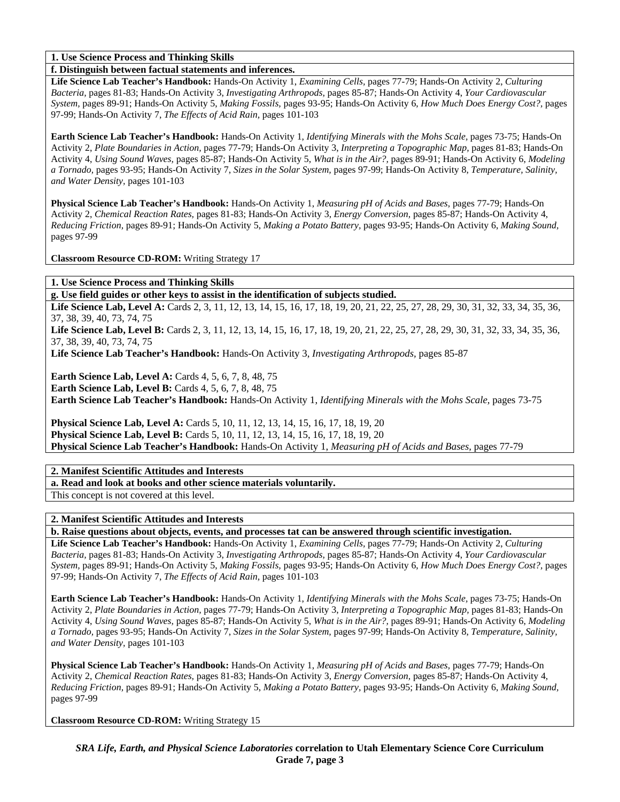**1. Use Science Process and Thinking Skills** 

**f. Distinguish between factual statements and inferences.** 

**Life Science Lab Teacher's Handbook:** Hands-On Activity 1, *Examining Cells,* pages 77-79; Hands-On Activity 2, *Culturing Bacteria,* pages 81-83; Hands-On Activity 3, *Investigating Arthropods,* pages 85-87; Hands-On Activity 4, *Your Cardiovascular System,* pages 89-91; Hands-On Activity 5, *Making Fossils,* pages 93-95; Hands-On Activity 6, *How Much Does Energy Cost?,* pages 97-99; Hands-On Activity 7, *The Effects of Acid Rain,* pages 101-103

**Earth Science Lab Teacher's Handbook:** Hands-On Activity 1, *Identifying Minerals with the Mohs Scale,* pages 73-75; Hands-On Activity 2, *Plate Boundaries in Action,* pages 77-79; Hands-On Activity 3, *Interpreting a Topographic Map,* pages 81-83; Hands-On Activity 4, *Using Sound Waves,* pages 85-87; Hands-On Activity 5, *What is in the Air?,* pages 89-91; Hands-On Activity 6, *Modeling a Tornado,* pages 93-95; Hands-On Activity 7, *Sizes in the Solar System,* pages 97-99; Hands-On Activity 8, *Temperature, Salinity, and Water Density,* pages 101-103

**Physical Science Lab Teacher's Handbook:** Hands-On Activity 1, *Measuring pH of Acids and Bases,* pages 77-79; Hands-On Activity 2, *Chemical Reaction Rates,* pages 81-83; Hands-On Activity 3, *Energy Conversion,* pages 85-87; Hands-On Activity 4, *Reducing Friction,* pages 89-91; Hands-On Activity 5, *Making a Potato Battery,* pages 93-95; Hands-On Activity 6, *Making Sound,* pages 97-99

**Classroom Resource CD-ROM:** Writing Strategy 17

**1. Use Science Process and Thinking Skills** 

**g. Use field guides or other keys to assist in the identification of subjects studied.** 

Life Science Lab, Level A: Cards 2, 3, 11, 12, 13, 14, 15, 16, 17, 18, 19, 20, 21, 22, 25, 27, 28, 29, 30, 31, 32, 33, 34, 35, 36, 37, 38, 39, 40, 73, 74, 75

Life Science Lab, Level B: Cards 2, 3, 11, 12, 13, 14, 15, 16, 17, 18, 19, 20, 21, 22, 25, 27, 28, 29, 30, 31, 32, 33, 34, 35, 36, 37, 38, 39, 40, 73, 74, 75

**Life Science Lab Teacher's Handbook:** Hands-On Activity 3, *Investigating Arthropods,* pages 85-87

**Earth Science Lab, Level A: Cards 4, 5, 6, 7, 8, 48, 75** 

**Earth Science Lab, Level B:** Cards 4, 5, 6, 7, 8, 48, 75

**Earth Science Lab Teacher's Handbook:** Hands-On Activity 1, *Identifying Minerals with the Mohs Scale,* pages 73-75

**Physical Science Lab, Level A:** Cards 5, 10, 11, 12, 13, 14, 15, 16, 17, 18, 19, 20 **Physical Science Lab, Level B:** Cards 5, 10, 11, 12, 13, 14, 15, 16, 17, 18, 19, 20 **Physical Science Lab Teacher's Handbook:** Hands-On Activity 1, *Measuring pH of Acids and Bases,* pages 77-79

**2. Manifest Scientific Attitudes and Interests** 

**a. Read and look at books and other science materials voluntarily.** 

This concept is not covered at this level.

**2. Manifest Scientific Attitudes and Interests** 

**b. Raise questions about objects, events, and processes tat can be answered through scientific investigation.** 

**Life Science Lab Teacher's Handbook:** Hands-On Activity 1, *Examining Cells,* pages 77-79; Hands-On Activity 2, *Culturing Bacteria,* pages 81-83; Hands-On Activity 3, *Investigating Arthropods,* pages 85-87; Hands-On Activity 4, *Your Cardiovascular System,* pages 89-91; Hands-On Activity 5, *Making Fossils,* pages 93-95; Hands-On Activity 6, *How Much Does Energy Cost?,* pages 97-99; Hands-On Activity 7, *The Effects of Acid Rain,* pages 101-103

**Earth Science Lab Teacher's Handbook:** Hands-On Activity 1, *Identifying Minerals with the Mohs Scale,* pages 73-75; Hands-On Activity 2, *Plate Boundaries in Action,* pages 77-79; Hands-On Activity 3, *Interpreting a Topographic Map,* pages 81-83; Hands-On Activity 4, *Using Sound Waves,* pages 85-87; Hands-On Activity 5, *What is in the Air?,* pages 89-91; Hands-On Activity 6, *Modeling a Tornado,* pages 93-95; Hands-On Activity 7, *Sizes in the Solar System,* pages 97-99; Hands-On Activity 8, *Temperature, Salinity, and Water Density,* pages 101-103

**Physical Science Lab Teacher's Handbook:** Hands-On Activity 1, *Measuring pH of Acids and Bases,* pages 77-79; Hands-On Activity 2, *Chemical Reaction Rates,* pages 81-83; Hands-On Activity 3, *Energy Conversion,* pages 85-87; Hands-On Activity 4, *Reducing Friction,* pages 89-91; Hands-On Activity 5, *Making a Potato Battery,* pages 93-95; Hands-On Activity 6, *Making Sound,* pages 97-99

**Classroom Resource CD-ROM:** Writing Strategy 15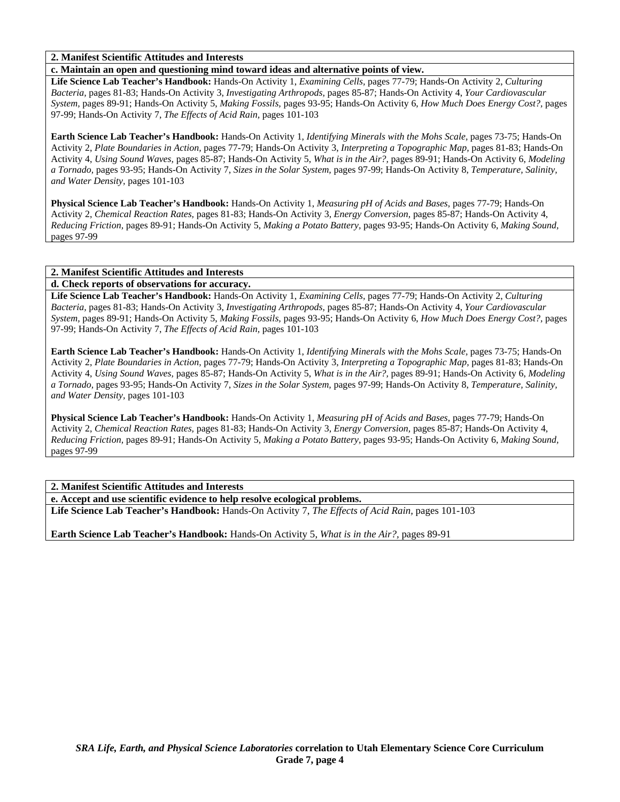### **2. Manifest Scientific Attitudes and Interests**

**c. Maintain an open and questioning mind toward ideas and alternative points of view.** 

**Life Science Lab Teacher's Handbook:** Hands-On Activity 1, *Examining Cells,* pages 77-79; Hands-On Activity 2, *Culturing Bacteria,* pages 81-83; Hands-On Activity 3, *Investigating Arthropods,* pages 85-87; Hands-On Activity 4, *Your Cardiovascular System,* pages 89-91; Hands-On Activity 5, *Making Fossils,* pages 93-95; Hands-On Activity 6, *How Much Does Energy Cost?,* pages 97-99; Hands-On Activity 7, *The Effects of Acid Rain,* pages 101-103

**Earth Science Lab Teacher's Handbook:** Hands-On Activity 1, *Identifying Minerals with the Mohs Scale,* pages 73-75; Hands-On Activity 2, *Plate Boundaries in Action,* pages 77-79; Hands-On Activity 3, *Interpreting a Topographic Map,* pages 81-83; Hands-On Activity 4, *Using Sound Waves,* pages 85-87; Hands-On Activity 5, *What is in the Air?,* pages 89-91; Hands-On Activity 6, *Modeling a Tornado,* pages 93-95; Hands-On Activity 7, *Sizes in the Solar System,* pages 97-99; Hands-On Activity 8, *Temperature, Salinity, and Water Density,* pages 101-103

**Physical Science Lab Teacher's Handbook:** Hands-On Activity 1, *Measuring pH of Acids and Bases,* pages 77-79; Hands-On Activity 2, *Chemical Reaction Rates,* pages 81-83; Hands-On Activity 3, *Energy Conversion,* pages 85-87; Hands-On Activity 4, *Reducing Friction,* pages 89-91; Hands-On Activity 5, *Making a Potato Battery,* pages 93-95; Hands-On Activity 6, *Making Sound,* pages 97-99

### **2. Manifest Scientific Attitudes and Interests**

### **d. Check reports of observations for accuracy.**

**Life Science Lab Teacher's Handbook:** Hands-On Activity 1, *Examining Cells,* pages 77-79; Hands-On Activity 2, *Culturing Bacteria,* pages 81-83; Hands-On Activity 3, *Investigating Arthropods,* pages 85-87; Hands-On Activity 4, *Your Cardiovascular System,* pages 89-91; Hands-On Activity 5, *Making Fossils,* pages 93-95; Hands-On Activity 6, *How Much Does Energy Cost?,* pages 97-99; Hands-On Activity 7, *The Effects of Acid Rain,* pages 101-103

**Earth Science Lab Teacher's Handbook:** Hands-On Activity 1, *Identifying Minerals with the Mohs Scale,* pages 73-75; Hands-On Activity 2, *Plate Boundaries in Action,* pages 77-79; Hands-On Activity 3, *Interpreting a Topographic Map,* pages 81-83; Hands-On Activity 4, *Using Sound Waves,* pages 85-87; Hands-On Activity 5, *What is in the Air?,* pages 89-91; Hands-On Activity 6, *Modeling a Tornado,* pages 93-95; Hands-On Activity 7, *Sizes in the Solar System,* pages 97-99; Hands-On Activity 8, *Temperature, Salinity, and Water Density,* pages 101-103

**Physical Science Lab Teacher's Handbook:** Hands-On Activity 1, *Measuring pH of Acids and Bases,* pages 77-79; Hands-On Activity 2, *Chemical Reaction Rates,* pages 81-83; Hands-On Activity 3, *Energy Conversion,* pages 85-87; Hands-On Activity 4, *Reducing Friction,* pages 89-91; Hands-On Activity 5, *Making a Potato Battery,* pages 93-95; Hands-On Activity 6, *Making Sound,* pages 97-99

### **2. Manifest Scientific Attitudes and Interests**

**e. Accept and use scientific evidence to help resolve ecological problems.** 

**Life Science Lab Teacher's Handbook:** Hands-On Activity 7, *The Effects of Acid Rain,* pages 101-103

**Earth Science Lab Teacher's Handbook:** Hands-On Activity 5, *What is in the Air?,* pages 89-91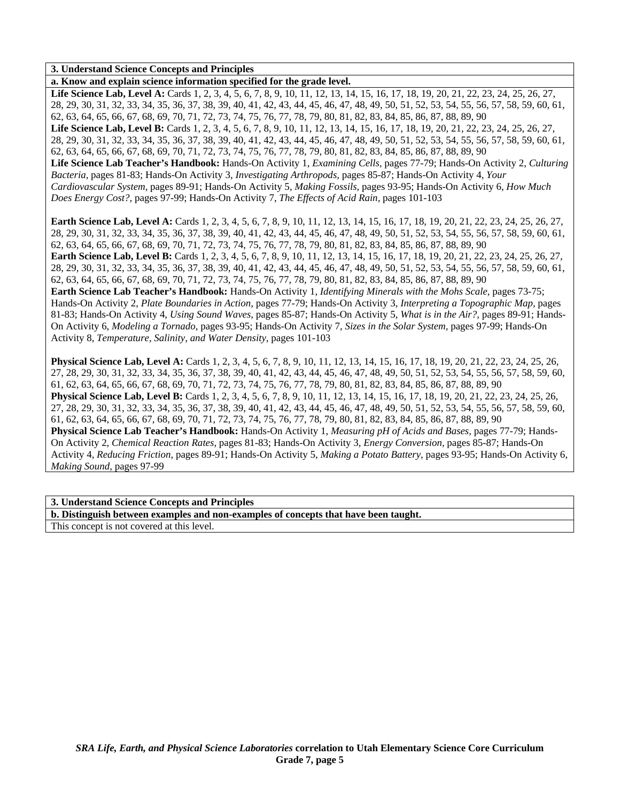### **3. Understand Science Concepts and Principles**

**a. Know and explain science information specified for the grade level.** 

Life Science Lab, Level A: Cards 1, 2, 3, 4, 5, 6, 7, 8, 9, 10, 11, 12, 13, 14, 15, 16, 17, 18, 19, 20, 21, 22, 23, 24, 25, 26, 27, 28, 29, 30, 31, 32, 33, 34, 35, 36, 37, 38, 39, 40, 41, 42, 43, 44, 45, 46, 47, 48, 49, 50, 51, 52, 53, 54, 55, 56, 57, 58, 59, 60, 61, 62, 63, 64, 65, 66, 67, 68, 69, 70, 71, 72, 73, 74, 75, 76, 77, 78, 79, 80, 81, 82, 83, 84, 85, 86, 87, 88, 89, 90 Life Science Lab, Level B: Cards 1, 2, 3, 4, 5, 6, 7, 8, 9, 10, 11, 12, 13, 14, 15, 16, 17, 18, 19, 20, 21, 22, 23, 24, 25, 26, 27, 28, 29, 30, 31, 32, 33, 34, 35, 36, 37, 38, 39, 40, 41, 42, 43, 44, 45, 46, 47, 48, 49, 50, 51, 52, 53, 54, 55, 56, 57, 58, 59, 60, 61, 62, 63, 64, 65, 66, 67, 68, 69, 70, 71, 72, 73, 74, 75, 76, 77, 78, 79, 80, 81, 82, 83, 84, 85, 86, 87, 88, 89, 90 **Life Science Lab Teacher's Handbook:** Hands-On Activity 1, *Examining Cells,* pages 77-79; Hands-On Activity 2, *Culturing Bacteria,* pages 81-83; Hands-On Activity 3, *Investigating Arthropods,* pages 85-87; Hands-On Activity 4, *Your Cardiovascular System,* pages 89-91; Hands-On Activity 5, *Making Fossils,* pages 93-95; Hands-On Activity 6, *How Much Does Energy Cost?,* pages 97-99; Hands-On Activity 7, *The Effects of Acid Rain,* pages 101-103

**Earth Science Lab, Level A:** Cards 1, 2, 3, 4, 5, 6, 7, 8, 9, 10, 11, 12, 13, 14, 15, 16, 17, 18, 19, 20, 21, 22, 23, 24, 25, 26, 27, 28, 29, 30, 31, 32, 33, 34, 35, 36, 37, 38, 39, 40, 41, 42, 43, 44, 45, 46, 47, 48, 49, 50, 51, 52, 53, 54, 55, 56, 57, 58, 59, 60, 61, 62, 63, 64, 65, 66, 67, 68, 69, 70, 71, 72, 73, 74, 75, 76, 77, 78, 79, 80, 81, 82, 83, 84, 85, 86, 87, 88, 89, 90 **Earth Science Lab, Level B:** Cards 1, 2, 3, 4, 5, 6, 7, 8, 9, 10, 11, 12, 13, 14, 15, 16, 17, 18, 19, 20, 21, 22, 23, 24, 25, 26, 27, 28, 29, 30, 31, 32, 33, 34, 35, 36, 37, 38, 39, 40, 41, 42, 43, 44, 45, 46, 47, 48, 49, 50, 51, 52, 53, 54, 55, 56, 57, 58, 59, 60, 61, 62, 63, 64, 65, 66, 67, 68, 69, 70, 71, 72, 73, 74, 75, 76, 77, 78, 79, 80, 81, 82, 83, 84, 85, 86, 87, 88, 89, 90 **Earth Science Lab Teacher's Handbook:** Hands-On Activity 1, *Identifying Minerals with the Mohs Scale,* pages 73-75; Hands-On Activity 2, *Plate Boundaries in Action,* pages 77-79; Hands-On Activity 3, *Interpreting a Topographic Map,* pages 81-83; Hands-On Activity 4, *Using Sound Waves,* pages 85-87; Hands-On Activity 5, *What is in the Air?,* pages 89-91; Hands-On Activity 6, *Modeling a Tornado,* pages 93-95; Hands-On Activity 7, *Sizes in the Solar System,* pages 97-99; Hands-On Activity 8, *Temperature, Salinity, and Water Density,* pages 101-103

**Physical Science Lab, Level A:** Cards 1, 2, 3, 4, 5, 6, 7, 8, 9, 10, 11, 12, 13, 14, 15, 16, 17, 18, 19, 20, 21, 22, 23, 24, 25, 26, 27, 28, 29, 30, 31, 32, 33, 34, 35, 36, 37, 38, 39, 40, 41, 42, 43, 44, 45, 46, 47, 48, 49, 50, 51, 52, 53, 54, 55, 56, 57, 58, 59, 60, 61, 62, 63, 64, 65, 66, 67, 68, 69, 70, 71, 72, 73, 74, 75, 76, 77, 78, 79, 80, 81, 82, 83, 84, 85, 86, 87, 88, 89, 90 **Physical Science Lab, Level B:** Cards 1, 2, 3, 4, 5, 6, 7, 8, 9, 10, 11, 12, 13, 14, 15, 16, 17, 18, 19, 20, 21, 22, 23, 24, 25, 26, 27, 28, 29, 30, 31, 32, 33, 34, 35, 36, 37, 38, 39, 40, 41, 42, 43, 44, 45, 46, 47, 48, 49, 50, 51, 52, 53, 54, 55, 56, 57, 58, 59, 60, 61, 62, 63, 64, 65, 66, 67, 68, 69, 70, 71, 72, 73, 74, 75, 76, 77, 78, 79, 80, 81, 82, 83, 84, 85, 86, 87, 88, 89, 90 **Physical Science Lab Teacher's Handbook:** Hands-On Activity 1, *Measuring pH of Acids and Bases,* pages 77-79; Hands-On Activity 2, *Chemical Reaction Rates,* pages 81-83; Hands-On Activity 3, *Energy Conversion,* pages 85-87; Hands-On Activity 4, *Reducing Friction,* pages 89-91; Hands-On Activity 5, *Making a Potato Battery,* pages 93-95; Hands-On Activity 6, *Making Sound,* pages 97-99

#### **3. Understand Science Concepts and Principles**

**b. Distinguish between examples and non-examples of concepts that have been taught.**  This concept is not covered at this level.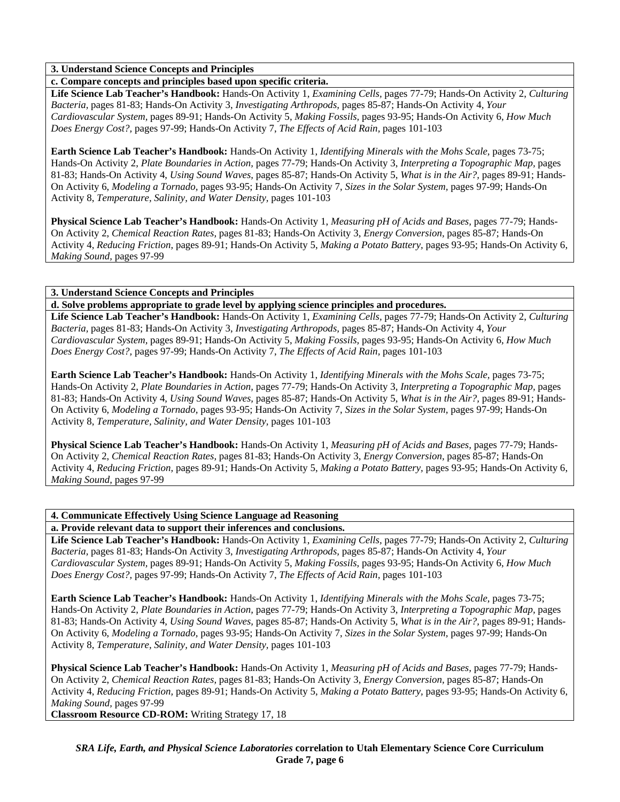### **3. Understand Science Concepts and Principles**

### **c. Compare concepts and principles based upon specific criteria.**

**Life Science Lab Teacher's Handbook:** Hands-On Activity 1, *Examining Cells,* pages 77-79; Hands-On Activity 2, *Culturing Bacteria,* pages 81-83; Hands-On Activity 3, *Investigating Arthropods,* pages 85-87; Hands-On Activity 4, *Your Cardiovascular System,* pages 89-91; Hands-On Activity 5, *Making Fossils,* pages 93-95; Hands-On Activity 6, *How Much Does Energy Cost?,* pages 97-99; Hands-On Activity 7, *The Effects of Acid Rain,* pages 101-103

**Earth Science Lab Teacher's Handbook:** Hands-On Activity 1, *Identifying Minerals with the Mohs Scale,* pages 73-75; Hands-On Activity 2, *Plate Boundaries in Action,* pages 77-79; Hands-On Activity 3, *Interpreting a Topographic Map,* pages 81-83; Hands-On Activity 4, *Using Sound Waves,* pages 85-87; Hands-On Activity 5, *What is in the Air?,* pages 89-91; Hands-On Activity 6, *Modeling a Tornado,* pages 93-95; Hands-On Activity 7, *Sizes in the Solar System,* pages 97-99; Hands-On Activity 8, *Temperature, Salinity, and Water Density,* pages 101-103

**Physical Science Lab Teacher's Handbook:** Hands-On Activity 1, *Measuring pH of Acids and Bases,* pages 77-79; Hands-On Activity 2, *Chemical Reaction Rates,* pages 81-83; Hands-On Activity 3, *Energy Conversion,* pages 85-87; Hands-On Activity 4, *Reducing Friction,* pages 89-91; Hands-On Activity 5, *Making a Potato Battery,* pages 93-95; Hands-On Activity 6, *Making Sound,* pages 97-99

### **3. Understand Science Concepts and Principles**

**d. Solve problems appropriate to grade level by applying science principles and procedures.** 

**Life Science Lab Teacher's Handbook:** Hands-On Activity 1, *Examining Cells,* pages 77-79; Hands-On Activity 2, *Culturing Bacteria,* pages 81-83; Hands-On Activity 3, *Investigating Arthropods,* pages 85-87; Hands-On Activity 4, *Your Cardiovascular System,* pages 89-91; Hands-On Activity 5, *Making Fossils,* pages 93-95; Hands-On Activity 6, *How Much Does Energy Cost?,* pages 97-99; Hands-On Activity 7, *The Effects of Acid Rain,* pages 101-103

**Earth Science Lab Teacher's Handbook:** Hands-On Activity 1, *Identifying Minerals with the Mohs Scale,* pages 73-75; Hands-On Activity 2, *Plate Boundaries in Action,* pages 77-79; Hands-On Activity 3, *Interpreting a Topographic Map,* pages 81-83; Hands-On Activity 4, *Using Sound Waves,* pages 85-87; Hands-On Activity 5, *What is in the Air?,* pages 89-91; Hands-On Activity 6, *Modeling a Tornado,* pages 93-95; Hands-On Activity 7, *Sizes in the Solar System,* pages 97-99; Hands-On Activity 8, *Temperature, Salinity, and Water Density,* pages 101-103

**Physical Science Lab Teacher's Handbook:** Hands-On Activity 1, *Measuring pH of Acids and Bases,* pages 77-79; Hands-On Activity 2, *Chemical Reaction Rates,* pages 81-83; Hands-On Activity 3, *Energy Conversion,* pages 85-87; Hands-On Activity 4, *Reducing Friction,* pages 89-91; Hands-On Activity 5, *Making a Potato Battery,* pages 93-95; Hands-On Activity 6, *Making Sound,* pages 97-99

# **4. Communicate Effectively Using Science Language ad Reasoning**

**a. Provide relevant data to support their inferences and conclusions.** 

**Life Science Lab Teacher's Handbook:** Hands-On Activity 1, *Examining Cells,* pages 77-79; Hands-On Activity 2, *Culturing Bacteria,* pages 81-83; Hands-On Activity 3, *Investigating Arthropods,* pages 85-87; Hands-On Activity 4, *Your Cardiovascular System,* pages 89-91; Hands-On Activity 5, *Making Fossils,* pages 93-95; Hands-On Activity 6, *How Much Does Energy Cost?,* pages 97-99; Hands-On Activity 7, *The Effects of Acid Rain,* pages 101-103

**Earth Science Lab Teacher's Handbook:** Hands-On Activity 1, *Identifying Minerals with the Mohs Scale,* pages 73-75; Hands-On Activity 2, *Plate Boundaries in Action,* pages 77-79; Hands-On Activity 3, *Interpreting a Topographic Map,* pages 81-83; Hands-On Activity 4, *Using Sound Waves,* pages 85-87; Hands-On Activity 5, *What is in the Air?,* pages 89-91; Hands-On Activity 6, *Modeling a Tornado,* pages 93-95; Hands-On Activity 7, *Sizes in the Solar System,* pages 97-99; Hands-On Activity 8, *Temperature, Salinity, and Water Density,* pages 101-103

**Physical Science Lab Teacher's Handbook:** Hands-On Activity 1, *Measuring pH of Acids and Bases,* pages 77-79; Hands-On Activity 2, *Chemical Reaction Rates,* pages 81-83; Hands-On Activity 3, *Energy Conversion,* pages 85-87; Hands-On Activity 4, *Reducing Friction,* pages 89-91; Hands-On Activity 5, *Making a Potato Battery,* pages 93-95; Hands-On Activity 6, *Making Sound,* pages 97-99

**Classroom Resource CD-ROM:** Writing Strategy 17, 18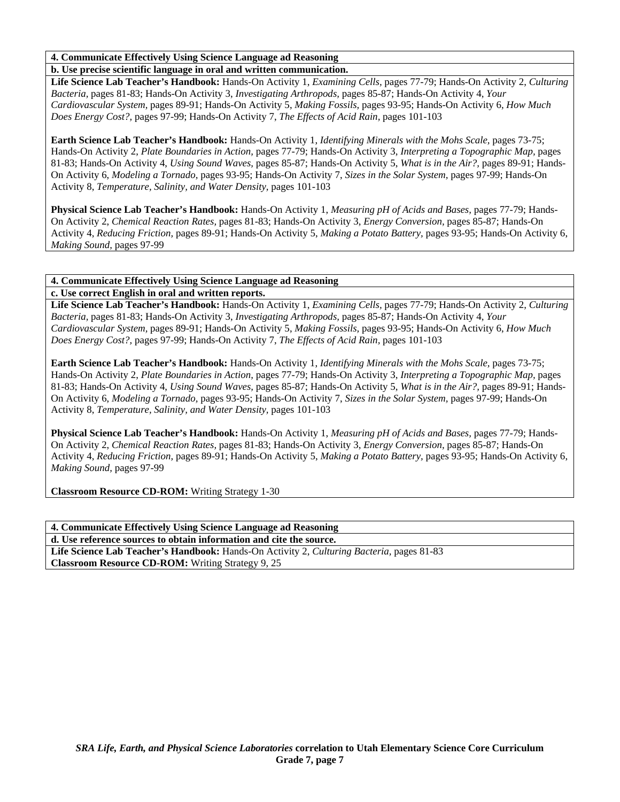# **4. Communicate Effectively Using Science Language ad Reasoning**

## **b. Use precise scientific language in oral and written communication.**

**Life Science Lab Teacher's Handbook:** Hands-On Activity 1, *Examining Cells,* pages 77-79; Hands-On Activity 2, *Culturing Bacteria,* pages 81-83; Hands-On Activity 3, *Investigating Arthropods,* pages 85-87; Hands-On Activity 4, *Your Cardiovascular System,* pages 89-91; Hands-On Activity 5, *Making Fossils,* pages 93-95; Hands-On Activity 6, *How Much Does Energy Cost?,* pages 97-99; Hands-On Activity 7, *The Effects of Acid Rain,* pages 101-103

**Earth Science Lab Teacher's Handbook:** Hands-On Activity 1, *Identifying Minerals with the Mohs Scale,* pages 73-75; Hands-On Activity 2, *Plate Boundaries in Action,* pages 77-79; Hands-On Activity 3, *Interpreting a Topographic Map,* pages 81-83; Hands-On Activity 4, *Using Sound Waves,* pages 85-87; Hands-On Activity 5, *What is in the Air?,* pages 89-91; Hands-On Activity 6, *Modeling a Tornado,* pages 93-95; Hands-On Activity 7, *Sizes in the Solar System,* pages 97-99; Hands-On Activity 8, *Temperature, Salinity, and Water Density,* pages 101-103

**Physical Science Lab Teacher's Handbook:** Hands-On Activity 1, *Measuring pH of Acids and Bases,* pages 77-79; Hands-On Activity 2, *Chemical Reaction Rates,* pages 81-83; Hands-On Activity 3, *Energy Conversion,* pages 85-87; Hands-On Activity 4, *Reducing Friction,* pages 89-91; Hands-On Activity 5, *Making a Potato Battery,* pages 93-95; Hands-On Activity 6, *Making Sound,* pages 97-99

# **4. Communicate Effectively Using Science Language ad Reasoning**

**c. Use correct English in oral and written reports.** 

**Life Science Lab Teacher's Handbook:** Hands-On Activity 1, *Examining Cells,* pages 77-79; Hands-On Activity 2, *Culturing Bacteria,* pages 81-83; Hands-On Activity 3, *Investigating Arthropods,* pages 85-87; Hands-On Activity 4, *Your Cardiovascular System,* pages 89-91; Hands-On Activity 5, *Making Fossils,* pages 93-95; Hands-On Activity 6, *How Much Does Energy Cost?,* pages 97-99; Hands-On Activity 7, *The Effects of Acid Rain,* pages 101-103

**Earth Science Lab Teacher's Handbook:** Hands-On Activity 1, *Identifying Minerals with the Mohs Scale,* pages 73-75; Hands-On Activity 2, *Plate Boundaries in Action,* pages 77-79; Hands-On Activity 3, *Interpreting a Topographic Map,* pages 81-83; Hands-On Activity 4, *Using Sound Waves,* pages 85-87; Hands-On Activity 5, *What is in the Air?,* pages 89-91; Hands-On Activity 6, *Modeling a Tornado,* pages 93-95; Hands-On Activity 7, *Sizes in the Solar System,* pages 97-99; Hands-On Activity 8, *Temperature, Salinity, and Water Density,* pages 101-103

**Physical Science Lab Teacher's Handbook:** Hands-On Activity 1, *Measuring pH of Acids and Bases,* pages 77-79; Hands-On Activity 2, *Chemical Reaction Rates,* pages 81-83; Hands-On Activity 3, *Energy Conversion,* pages 85-87; Hands-On Activity 4, *Reducing Friction,* pages 89-91; Hands-On Activity 5, *Making a Potato Battery,* pages 93-95; Hands-On Activity 6, *Making Sound,* pages 97-99

**Classroom Resource CD-ROM:** Writing Strategy 1-30

| 4. Communicate Effectively Using Science Language ad Reasoning                            |
|-------------------------------------------------------------------------------------------|
| d. Use reference sources to obtain information and cite the source.                       |
| Life Science Lab Teacher's Handbook: Hands-On Activity 2, Culturing Bacteria, pages 81-83 |
| <b>Classroom Resource CD-ROM:</b> Writing Strategy 9, 25                                  |
|                                                                                           |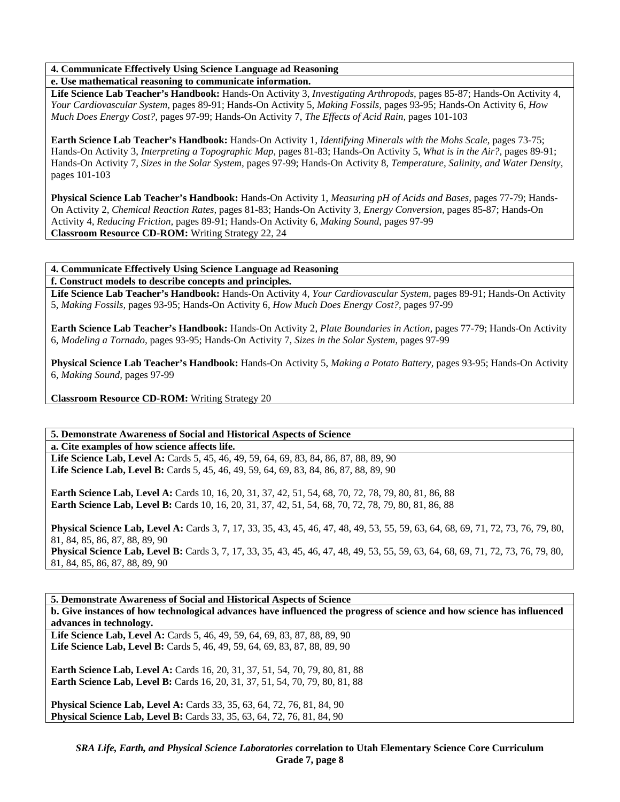# **4. Communicate Effectively Using Science Language ad Reasoning**

### **e. Use mathematical reasoning to communicate information.**

**Life Science Lab Teacher's Handbook:** Hands-On Activity 3, *Investigating Arthropods,* pages 85-87; Hands-On Activity 4, *Your Cardiovascular System,* pages 89-91; Hands-On Activity 5, *Making Fossils,* pages 93-95; Hands-On Activity 6, *How Much Does Energy Cost?,* pages 97-99; Hands-On Activity 7, *The Effects of Acid Rain,* pages 101-103

**Earth Science Lab Teacher's Handbook:** Hands-On Activity 1, *Identifying Minerals with the Mohs Scale,* pages 73-75; Hands-On Activity 3, *Interpreting a Topographic Map,* pages 81-83; Hands-On Activity 5, *What is in the Air?,* pages 89-91; Hands-On Activity 7, *Sizes in the Solar System,* pages 97-99; Hands-On Activity 8, *Temperature, Salinity, and Water Density,* pages 101-103

**Physical Science Lab Teacher's Handbook:** Hands-On Activity 1, *Measuring pH of Acids and Bases,* pages 77-79; Hands-On Activity 2, *Chemical Reaction Rates,* pages 81-83; Hands-On Activity 3, *Energy Conversion,* pages 85-87; Hands-On Activity 4, *Reducing Friction,* pages 89-91; Hands-On Activity 6, *Making Sound,* pages 97-99 **Classroom Resource CD-ROM:** Writing Strategy 22, 24

### **4. Communicate Effectively Using Science Language ad Reasoning**

**f. Construct models to describe concepts and principles.** 

**Life Science Lab Teacher's Handbook:** Hands-On Activity 4, *Your Cardiovascular System,* pages 89-91; Hands-On Activity 5, *Making Fossils,* pages 93-95; Hands-On Activity 6, *How Much Does Energy Cost?,* pages 97-99

**Earth Science Lab Teacher's Handbook:** Hands-On Activity 2, *Plate Boundaries in Action,* pages 77-79; Hands-On Activity 6, *Modeling a Tornado,* pages 93-95; Hands-On Activity 7, *Sizes in the Solar System,* pages 97-99

**Physical Science Lab Teacher's Handbook:** Hands-On Activity 5, *Making a Potato Battery,* pages 93-95; Hands-On Activity 6, *Making Sound,* pages 97-99

**Classroom Resource CD-ROM:** Writing Strategy 20

# **5. Demonstrate Awareness of Social and Historical Aspects of Science**

**a. Cite examples of how science affects life.** 

Life Science Lab, Level A: Cards 5, 45, 46, 49, 59, 64, 69, 83, 84, 86, 87, 88, 89, 90 **Life Science Lab, Level B:** Cards 5, 45, 46, 49, 59, 64, 69, 83, 84, 86, 87, 88, 89, 90

**Earth Science Lab, Level A:** Cards 10, 16, 20, 31, 37, 42, 51, 54, 68, 70, 72, 78, 79, 80, 81, 86, 88 **Earth Science Lab, Level B:** Cards 10, 16, 20, 31, 37, 42, 51, 54, 68, 70, 72, 78, 79, 80, 81, 86, 88

**Physical Science Lab, Level A:** Cards 3, 7, 17, 33, 35, 43, 45, 46, 47, 48, 49, 53, 55, 59, 63, 64, 68, 69, 71, 72, 73, 76, 79, 80, 81, 84, 85, 86, 87, 88, 89, 90

**Physical Science Lab, Level B:** Cards 3, 7, 17, 33, 35, 43, 45, 46, 47, 48, 49, 53, 55, 59, 63, 64, 68, 69, 71, 72, 73, 76, 79, 80, 81, 84, 85, 86, 87, 88, 89, 90

**5. Demonstrate Awareness of Social and Historical Aspects of Science b. Give instances of how technological advances have influenced the progress of science and how science has influenced advances in technology.** 

Life Science Lab, Level A: Cards 5, 46, 49, 59, 64, 69, 83, 87, 88, 89, 90 Life Science Lab, Level B: Cards 5, 46, 49, 59, 64, 69, 83, 87, 88, 89, 90

**Earth Science Lab, Level A: Cards 16, 20, 31, 37, 51, 54, 70, 79, 80, 81, 88 Earth Science Lab, Level B:** Cards 16, 20, 31, 37, 51, 54, 70, 79, 80, 81, 88

**Physical Science Lab, Level A:** Cards 33, 35, 63, 64, 72, 76, 81, 84, 90 **Physical Science Lab, Level B:** Cards 33, 35, 63, 64, 72, 76, 81, 84, 90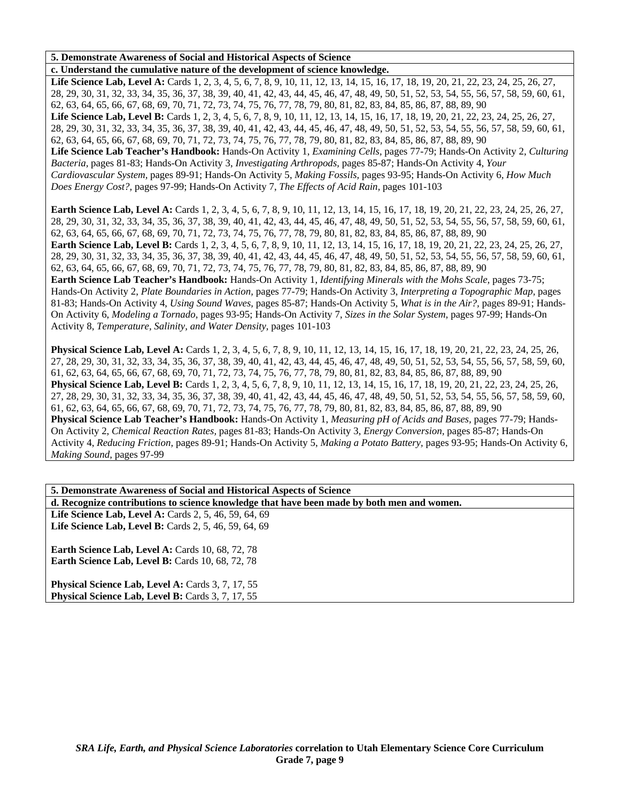### **5. Demonstrate Awareness of Social and Historical Aspects of Science**

**c. Understand the cumulative nature of the development of science knowledge.**  Life Science Lab, Level A: Cards 1, 2, 3, 4, 5, 6, 7, 8, 9, 10, 11, 12, 13, 14, 15, 16, 17, 18, 19, 20, 21, 22, 23, 24, 25, 26, 27, 28, 29, 30, 31, 32, 33, 34, 35, 36, 37, 38, 39, 40, 41, 42, 43, 44, 45, 46, 47, 48, 49, 50, 51, 52, 53, 54, 55, 56, 57, 58, 59, 60, 61, 62, 63, 64, 65, 66, 67, 68, 69, 70, 71, 72, 73, 74, 75, 76, 77, 78, 79, 80, 81, 82, 83, 84, 85, 86, 87, 88, 89, 90 Life Science Lab, Level B: Cards 1, 2, 3, 4, 5, 6, 7, 8, 9, 10, 11, 12, 13, 14, 15, 16, 17, 18, 19, 20, 21, 22, 23, 24, 25, 26, 27, 28, 29, 30, 31, 32, 33, 34, 35, 36, 37, 38, 39, 40, 41, 42, 43, 44, 45, 46, 47, 48, 49, 50, 51, 52, 53, 54, 55, 56, 57, 58, 59, 60, 61, 62, 63, 64, 65, 66, 67, 68, 69, 70, 71, 72, 73, 74, 75, 76, 77, 78, 79, 80, 81, 82, 83, 84, 85, 86, 87, 88, 89, 90 **Life Science Lab Teacher's Handbook:** Hands-On Activity 1, *Examining Cells,* pages 77-79; Hands-On Activity 2, *Culturing Bacteria,* pages 81-83; Hands-On Activity 3, *Investigating Arthropods,* pages 85-87; Hands-On Activity 4, *Your Cardiovascular System,* pages 89-91; Hands-On Activity 5, *Making Fossils,* pages 93-95; Hands-On Activity 6, *How Much Does Energy Cost?,* pages 97-99; Hands-On Activity 7, *The Effects of Acid Rain,* pages 101-103

**Earth Science Lab, Level A:** Cards 1, 2, 3, 4, 5, 6, 7, 8, 9, 10, 11, 12, 13, 14, 15, 16, 17, 18, 19, 20, 21, 22, 23, 24, 25, 26, 27, 28, 29, 30, 31, 32, 33, 34, 35, 36, 37, 38, 39, 40, 41, 42, 43, 44, 45, 46, 47, 48, 49, 50, 51, 52, 53, 54, 55, 56, 57, 58, 59, 60, 61, 62, 63, 64, 65, 66, 67, 68, 69, 70, 71, 72, 73, 74, 75, 76, 77, 78, 79, 80, 81, 82, 83, 84, 85, 86, 87, 88, 89, 90 Earth Science Lab, Level B: Cards 1, 2, 3, 4, 5, 6, 7, 8, 9, 10, 11, 12, 13, 14, 15, 16, 17, 18, 19, 20, 21, 22, 23, 24, 25, 26, 27, 28, 29, 30, 31, 32, 33, 34, 35, 36, 37, 38, 39, 40, 41, 42, 43, 44, 45, 46, 47, 48, 49, 50, 51, 52, 53, 54, 55, 56, 57, 58, 59, 60, 61, 62, 63, 64, 65, 66, 67, 68, 69, 70, 71, 72, 73, 74, 75, 76, 77, 78, 79, 80, 81, 82, 83, 84, 85, 86, 87, 88, 89, 90 **Earth Science Lab Teacher's Handbook:** Hands-On Activity 1, *Identifying Minerals with the Mohs Scale,* pages 73-75; Hands-On Activity 2, *Plate Boundaries in Action,* pages 77-79; Hands-On Activity 3, *Interpreting a Topographic Map,* pages

81-83; Hands-On Activity 4, *Using Sound Waves,* pages 85-87; Hands-On Activity 5, *What is in the Air?,* pages 89-91; Hands-On Activity 6, *Modeling a Tornado,* pages 93-95; Hands-On Activity 7, *Sizes in the Solar System,* pages 97-99; Hands-On Activity 8, *Temperature, Salinity, and Water Density,* pages 101-103

**Physical Science Lab, Level A:** Cards 1, 2, 3, 4, 5, 6, 7, 8, 9, 10, 11, 12, 13, 14, 15, 16, 17, 18, 19, 20, 21, 22, 23, 24, 25, 26, 27, 28, 29, 30, 31, 32, 33, 34, 35, 36, 37, 38, 39, 40, 41, 42, 43, 44, 45, 46, 47, 48, 49, 50, 51, 52, 53, 54, 55, 56, 57, 58, 59, 60, 61, 62, 63, 64, 65, 66, 67, 68, 69, 70, 71, 72, 73, 74, 75, 76, 77, 78, 79, 80, 81, 82, 83, 84, 85, 86, 87, 88, 89, 90 **Physical Science Lab, Level B:** Cards 1, 2, 3, 4, 5, 6, 7, 8, 9, 10, 11, 12, 13, 14, 15, 16, 17, 18, 19, 20, 21, 22, 23, 24, 25, 26, 27, 28, 29, 30, 31, 32, 33, 34, 35, 36, 37, 38, 39, 40, 41, 42, 43, 44, 45, 46, 47, 48, 49, 50, 51, 52, 53, 54, 55, 56, 57, 58, 59, 60, 61, 62, 63, 64, 65, 66, 67, 68, 69, 70, 71, 72, 73, 74, 75, 76, 77, 78, 79, 80, 81, 82, 83, 84, 85, 86, 87, 88, 89, 90 **Physical Science Lab Teacher's Handbook:** Hands-On Activity 1, *Measuring pH of Acids and Bases,* pages 77-79; Hands-On Activity 2, *Chemical Reaction Rates,* pages 81-83; Hands-On Activity 3, *Energy Conversion,* pages 85-87; Hands-On Activity 4, *Reducing Friction,* pages 89-91; Hands-On Activity 5, *Making a Potato Battery,* pages 93-95; Hands-On Activity 6, *Making Sound,* pages 97-99

| 5. Demonstrate Awareness of Social and Historical Aspects of Science                                          |
|---------------------------------------------------------------------------------------------------------------|
| d. Recognize contributions to science knowledge that have been made by both men and women.                    |
| Life Science Lab, Level A: Cards 2, 5, 46, 59, 64, 69                                                         |
| Life Science Lab, Level B: Cards 2, 5, 46, 59, 64, 69                                                         |
| Earth Science Lab, Level A: Cards 10, 68, 72, 78<br>Earth Science Lab, Level B: Cards 10, 68, 72, 78          |
| Physical Science Lab, Level A: Cards 3, 7, 17, 55<br><b>Physical Science Lab, Level B:</b> Cards 3, 7, 17, 55 |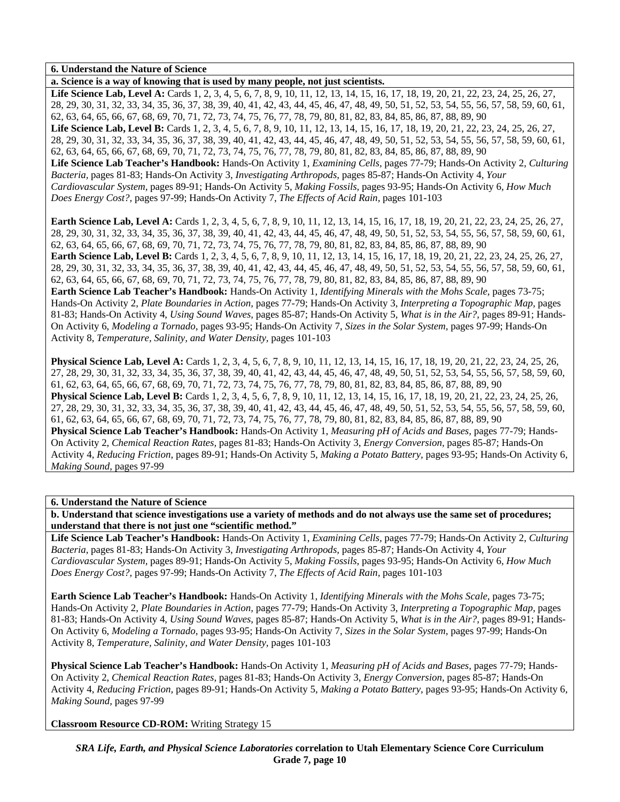**a. Science is a way of knowing that is used by many people, not just scientists.**  Life Science Lab, Level A: Cards 1, 2, 3, 4, 5, 6, 7, 8, 9, 10, 11, 12, 13, 14, 15, 16, 17, 18, 19, 20, 21, 22, 23, 24, 25, 26, 27, 28, 29, 30, 31, 32, 33, 34, 35, 36, 37, 38, 39, 40, 41, 42, 43, 44, 45, 46, 47, 48, 49, 50, 51, 52, 53, 54, 55, 56, 57, 58, 59, 60, 61, 62, 63, 64, 65, 66, 67, 68, 69, 70, 71, 72, 73, 74, 75, 76, 77, 78, 79, 80, 81, 82, 83, 84, 85, 86, 87, 88, 89, 90 Life Science Lab, Level B: Cards 1, 2, 3, 4, 5, 6, 7, 8, 9, 10, 11, 12, 13, 14, 15, 16, 17, 18, 19, 20, 21, 22, 23, 24, 25, 26, 27, 28, 29, 30, 31, 32, 33, 34, 35, 36, 37, 38, 39, 40, 41, 42, 43, 44, 45, 46, 47, 48, 49, 50, 51, 52, 53, 54, 55, 56, 57, 58, 59, 60, 61, 62, 63, 64, 65, 66, 67, 68, 69, 70, 71, 72, 73, 74, 75, 76, 77, 78, 79, 80, 81, 82, 83, 84, 85, 86, 87, 88, 89, 90 **Life Science Lab Teacher's Handbook:** Hands-On Activity 1, *Examining Cells,* pages 77-79; Hands-On Activity 2, *Culturing Bacteria,* pages 81-83; Hands-On Activity 3, *Investigating Arthropods,* pages 85-87; Hands-On Activity 4, *Your* 

*Cardiovascular System,* pages 89-91; Hands-On Activity 5, *Making Fossils,* pages 93-95; Hands-On Activity 6, *How Much Does Energy Cost?,* pages 97-99; Hands-On Activity 7, *The Effects of Acid Rain,* pages 101-103

**Earth Science Lab, Level A:** Cards 1, 2, 3, 4, 5, 6, 7, 8, 9, 10, 11, 12, 13, 14, 15, 16, 17, 18, 19, 20, 21, 22, 23, 24, 25, 26, 27, 28, 29, 30, 31, 32, 33, 34, 35, 36, 37, 38, 39, 40, 41, 42, 43, 44, 45, 46, 47, 48, 49, 50, 51, 52, 53, 54, 55, 56, 57, 58, 59, 60, 61, 62, 63, 64, 65, 66, 67, 68, 69, 70, 71, 72, 73, 74, 75, 76, 77, 78, 79, 80, 81, 82, 83, 84, 85, 86, 87, 88, 89, 90 **Earth Science Lab, Level B:** Cards 1, 2, 3, 4, 5, 6, 7, 8, 9, 10, 11, 12, 13, 14, 15, 16, 17, 18, 19, 20, 21, 22, 23, 24, 25, 26, 27, 28, 29, 30, 31, 32, 33, 34, 35, 36, 37, 38, 39, 40, 41, 42, 43, 44, 45, 46, 47, 48, 49, 50, 51, 52, 53, 54, 55, 56, 57, 58, 59, 60, 61, 62, 63, 64, 65, 66, 67, 68, 69, 70, 71, 72, 73, 74, 75, 76, 77, 78, 79, 80, 81, 82, 83, 84, 85, 86, 87, 88, 89, 90 **Earth Science Lab Teacher's Handbook:** Hands-On Activity 1, *Identifying Minerals with the Mohs Scale,* pages 73-75; Hands-On Activity 2, *Plate Boundaries in Action,* pages 77-79; Hands-On Activity 3, *Interpreting a Topographic Map,* pages 81-83; Hands-On Activity 4, *Using Sound Waves,* pages 85-87; Hands-On Activity 5, *What is in the Air?,* pages 89-91; Hands-On Activity 6, *Modeling a Tornado,* pages 93-95; Hands-On Activity 7, *Sizes in the Solar System,* pages 97-99; Hands-On Activity 8, *Temperature, Salinity, and Water Density,* pages 101-103

**Physical Science Lab, Level A:** Cards 1, 2, 3, 4, 5, 6, 7, 8, 9, 10, 11, 12, 13, 14, 15, 16, 17, 18, 19, 20, 21, 22, 23, 24, 25, 26, 27, 28, 29, 30, 31, 32, 33, 34, 35, 36, 37, 38, 39, 40, 41, 42, 43, 44, 45, 46, 47, 48, 49, 50, 51, 52, 53, 54, 55, 56, 57, 58, 59, 60, 61, 62, 63, 64, 65, 66, 67, 68, 69, 70, 71, 72, 73, 74, 75, 76, 77, 78, 79, 80, 81, 82, 83, 84, 85, 86, 87, 88, 89, 90 **Physical Science Lab, Level B:** Cards 1, 2, 3, 4, 5, 6, 7, 8, 9, 10, 11, 12, 13, 14, 15, 16, 17, 18, 19, 20, 21, 22, 23, 24, 25, 26, 27, 28, 29, 30, 31, 32, 33, 34, 35, 36, 37, 38, 39, 40, 41, 42, 43, 44, 45, 46, 47, 48, 49, 50, 51, 52, 53, 54, 55, 56, 57, 58, 59, 60, 61, 62, 63, 64, 65, 66, 67, 68, 69, 70, 71, 72, 73, 74, 75, 76, 77, 78, 79, 80, 81, 82, 83, 84, 85, 86, 87, 88, 89, 90 **Physical Science Lab Teacher's Handbook:** Hands-On Activity 1, *Measuring pH of Acids and Bases,* pages 77-79; Hands-On Activity 2, *Chemical Reaction Rates,* pages 81-83; Hands-On Activity 3, *Energy Conversion,* pages 85-87; Hands-On Activity 4, *Reducing Friction,* pages 89-91; Hands-On Activity 5, *Making a Potato Battery,* pages 93-95; Hands-On Activity 6, *Making Sound,* pages 97-99

**6. Understand the Nature of Science** 

**b. Understand that science investigations use a variety of methods and do not always use the same set of procedures; understand that there is not just one "scientific method."** 

**Life Science Lab Teacher's Handbook:** Hands-On Activity 1, *Examining Cells,* pages 77-79; Hands-On Activity 2, *Culturing Bacteria,* pages 81-83; Hands-On Activity 3, *Investigating Arthropods,* pages 85-87; Hands-On Activity 4, *Your Cardiovascular System,* pages 89-91; Hands-On Activity 5, *Making Fossils,* pages 93-95; Hands-On Activity 6, *How Much Does Energy Cost?,* pages 97-99; Hands-On Activity 7, *The Effects of Acid Rain,* pages 101-103

**Earth Science Lab Teacher's Handbook:** Hands-On Activity 1, *Identifying Minerals with the Mohs Scale,* pages 73-75; Hands-On Activity 2, *Plate Boundaries in Action,* pages 77-79; Hands-On Activity 3, *Interpreting a Topographic Map,* pages 81-83; Hands-On Activity 4, *Using Sound Waves,* pages 85-87; Hands-On Activity 5, *What is in the Air?,* pages 89-91; Hands-On Activity 6, *Modeling a Tornado,* pages 93-95; Hands-On Activity 7, *Sizes in the Solar System,* pages 97-99; Hands-On Activity 8, *Temperature, Salinity, and Water Density,* pages 101-103

**Physical Science Lab Teacher's Handbook:** Hands-On Activity 1, *Measuring pH of Acids and Bases,* pages 77-79; Hands-On Activity 2, *Chemical Reaction Rates,* pages 81-83; Hands-On Activity 3, *Energy Conversion,* pages 85-87; Hands-On Activity 4, *Reducing Friction,* pages 89-91; Hands-On Activity 5, *Making a Potato Battery,* pages 93-95; Hands-On Activity 6, *Making Sound,* pages 97-99

**Classroom Resource CD-ROM:** Writing Strategy 15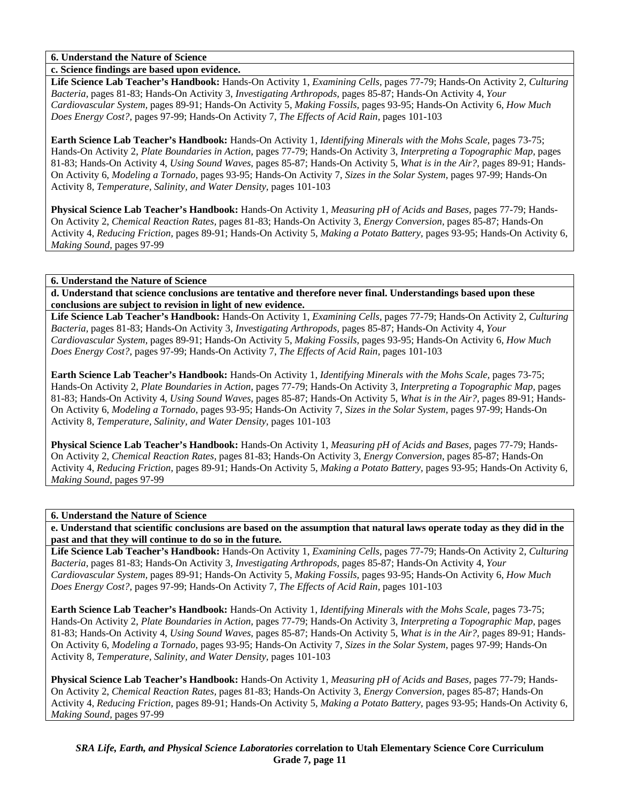### **c. Science findings are based upon evidence.**

**Life Science Lab Teacher's Handbook:** Hands-On Activity 1, *Examining Cells,* pages 77-79; Hands-On Activity 2, *Culturing Bacteria,* pages 81-83; Hands-On Activity 3, *Investigating Arthropods,* pages 85-87; Hands-On Activity 4, *Your Cardiovascular System,* pages 89-91; Hands-On Activity 5, *Making Fossils,* pages 93-95; Hands-On Activity 6, *How Much Does Energy Cost?,* pages 97-99; Hands-On Activity 7, *The Effects of Acid Rain,* pages 101-103

**Earth Science Lab Teacher's Handbook:** Hands-On Activity 1, *Identifying Minerals with the Mohs Scale,* pages 73-75; Hands-On Activity 2, *Plate Boundaries in Action,* pages 77-79; Hands-On Activity 3, *Interpreting a Topographic Map,* pages 81-83; Hands-On Activity 4, *Using Sound Waves,* pages 85-87; Hands-On Activity 5, *What is in the Air?,* pages 89-91; Hands-On Activity 6, *Modeling a Tornado,* pages 93-95; Hands-On Activity 7, *Sizes in the Solar System,* pages 97-99; Hands-On Activity 8, *Temperature, Salinity, and Water Density,* pages 101-103

**Physical Science Lab Teacher's Handbook:** Hands-On Activity 1, *Measuring pH of Acids and Bases,* pages 77-79; Hands-On Activity 2, *Chemical Reaction Rates,* pages 81-83; Hands-On Activity 3, *Energy Conversion,* pages 85-87; Hands-On Activity 4, *Reducing Friction,* pages 89-91; Hands-On Activity 5, *Making a Potato Battery,* pages 93-95; Hands-On Activity 6, *Making Sound,* pages 97-99

### **6. Understand the Nature of Science**

**d. Understand that science conclusions are tentative and therefore never final. Understandings based upon these conclusions are subject to revision in light of new evidence.** 

**Life Science Lab Teacher's Handbook:** Hands-On Activity 1, *Examining Cells,* pages 77-79; Hands-On Activity 2, *Culturing Bacteria,* pages 81-83; Hands-On Activity 3, *Investigating Arthropods,* pages 85-87; Hands-On Activity 4, *Your Cardiovascular System,* pages 89-91; Hands-On Activity 5, *Making Fossils,* pages 93-95; Hands-On Activity 6, *How Much Does Energy Cost?,* pages 97-99; Hands-On Activity 7, *The Effects of Acid Rain,* pages 101-103

**Earth Science Lab Teacher's Handbook:** Hands-On Activity 1, *Identifying Minerals with the Mohs Scale,* pages 73-75; Hands-On Activity 2, *Plate Boundaries in Action,* pages 77-79; Hands-On Activity 3, *Interpreting a Topographic Map,* pages 81-83; Hands-On Activity 4, *Using Sound Waves,* pages 85-87; Hands-On Activity 5, *What is in the Air?,* pages 89-91; Hands-On Activity 6, *Modeling a Tornado,* pages 93-95; Hands-On Activity 7, *Sizes in the Solar System,* pages 97-99; Hands-On Activity 8, *Temperature, Salinity, and Water Density,* pages 101-103

**Physical Science Lab Teacher's Handbook:** Hands-On Activity 1, *Measuring pH of Acids and Bases,* pages 77-79; Hands-On Activity 2, *Chemical Reaction Rates,* pages 81-83; Hands-On Activity 3, *Energy Conversion,* pages 85-87; Hands-On Activity 4, *Reducing Friction,* pages 89-91; Hands-On Activity 5, *Making a Potato Battery,* pages 93-95; Hands-On Activity 6, *Making Sound,* pages 97-99

#### **6. Understand the Nature of Science**

**e. Understand that scientific conclusions are based on the assumption that natural laws operate today as they did in the past and that they will continue to do so in the future.** 

**Life Science Lab Teacher's Handbook:** Hands-On Activity 1, *Examining Cells,* pages 77-79; Hands-On Activity 2, *Culturing Bacteria,* pages 81-83; Hands-On Activity 3, *Investigating Arthropods,* pages 85-87; Hands-On Activity 4, *Your Cardiovascular System,* pages 89-91; Hands-On Activity 5, *Making Fossils,* pages 93-95; Hands-On Activity 6, *How Much Does Energy Cost?,* pages 97-99; Hands-On Activity 7, *The Effects of Acid Rain,* pages 101-103

**Earth Science Lab Teacher's Handbook:** Hands-On Activity 1, *Identifying Minerals with the Mohs Scale,* pages 73-75; Hands-On Activity 2, *Plate Boundaries in Action,* pages 77-79; Hands-On Activity 3, *Interpreting a Topographic Map,* pages 81-83; Hands-On Activity 4, *Using Sound Waves,* pages 85-87; Hands-On Activity 5, *What is in the Air?,* pages 89-91; Hands-On Activity 6, *Modeling a Tornado,* pages 93-95; Hands-On Activity 7, *Sizes in the Solar System,* pages 97-99; Hands-On Activity 8, *Temperature, Salinity, and Water Density,* pages 101-103

**Physical Science Lab Teacher's Handbook:** Hands-On Activity 1, *Measuring pH of Acids and Bases,* pages 77-79; Hands-On Activity 2, *Chemical Reaction Rates,* pages 81-83; Hands-On Activity 3, *Energy Conversion,* pages 85-87; Hands-On Activity 4, *Reducing Friction,* pages 89-91; Hands-On Activity 5, *Making a Potato Battery,* pages 93-95; Hands-On Activity 6, *Making Sound,* pages 97-99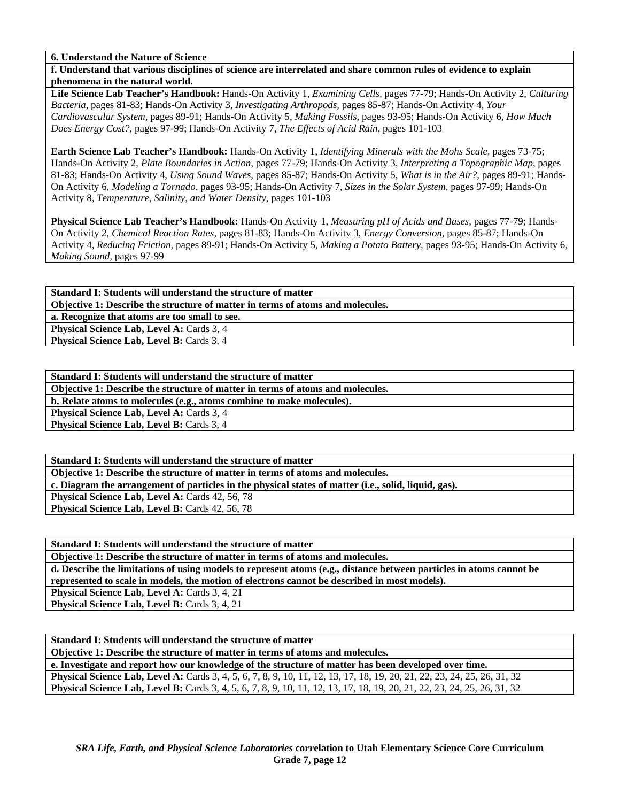**f. Understand that various disciplines of science are interrelated and share common rules of evidence to explain phenomena in the natural world.** 

**Life Science Lab Teacher's Handbook:** Hands-On Activity 1, *Examining Cells,* pages 77-79; Hands-On Activity 2, *Culturing Bacteria,* pages 81-83; Hands-On Activity 3, *Investigating Arthropods,* pages 85-87; Hands-On Activity 4, *Your Cardiovascular System,* pages 89-91; Hands-On Activity 5, *Making Fossils,* pages 93-95; Hands-On Activity 6, *How Much Does Energy Cost?,* pages 97-99; Hands-On Activity 7, *The Effects of Acid Rain,* pages 101-103

**Earth Science Lab Teacher's Handbook:** Hands-On Activity 1, *Identifying Minerals with the Mohs Scale,* pages 73-75; Hands-On Activity 2, *Plate Boundaries in Action,* pages 77-79; Hands-On Activity 3, *Interpreting a Topographic Map,* pages 81-83; Hands-On Activity 4, *Using Sound Waves,* pages 85-87; Hands-On Activity 5, *What is in the Air?,* pages 89-91; Hands-On Activity 6, *Modeling a Tornado,* pages 93-95; Hands-On Activity 7, *Sizes in the Solar System,* pages 97-99; Hands-On Activity 8, *Temperature, Salinity, and Water Density,* pages 101-103

**Physical Science Lab Teacher's Handbook:** Hands-On Activity 1, *Measuring pH of Acids and Bases,* pages 77-79; Hands-On Activity 2, *Chemical Reaction Rates,* pages 81-83; Hands-On Activity 3, *Energy Conversion,* pages 85-87; Hands-On Activity 4, *Reducing Friction,* pages 89-91; Hands-On Activity 5, *Making a Potato Battery,* pages 93-95; Hands-On Activity 6, *Making Sound,* pages 97-99

**Standard I: Students will understand the structure of matter Objective 1: Describe the structure of matter in terms of atoms and molecules. a. Recognize that atoms are too small to see. Physical Science Lab, Level A: Cards 3, 4** 

**Physical Science Lab, Level B: Cards 3, 4** 

**Standard I: Students will understand the structure of matter** 

**Objective 1: Describe the structure of matter in terms of atoms and molecules.** 

**b. Relate atoms to molecules (e.g., atoms combine to make molecules).** 

Physical Science Lab, Level A: Cards 3, 4

**Physical Science Lab, Level B: Cards 3, 4** 

**Standard I: Students will understand the structure of matter Objective 1: Describe the structure of matter in terms of atoms and molecules.** 

**c. Diagram the arrangement of particles in the physical states of matter (i.e., solid, liquid, gas).** 

Physical Science Lab, Level A: Cards 42, 56, 78 Physical Science Lab, Level B: Cards 42, 56, 78

**Standard I: Students will understand the structure of matter** 

**Objective 1: Describe the structure of matter in terms of atoms and molecules.** 

**d. Describe the limitations of using models to represent atoms (e.g., distance between particles in atoms cannot be represented to scale in models, the motion of electrons cannot be described in most models).**  Physical Science Lab, Level A: Cards 3, 4, 21

**Physical Science Lab, Level B: Cards 3, 4, 21** 

**Standard I: Students will understand the structure of matter Objective 1: Describe the structure of matter in terms of atoms and molecules. e. Investigate and report how our knowledge of the structure of matter has been developed over time. Physical Science Lab, Level A:** Cards 3, 4, 5, 6, 7, 8, 9, 10, 11, 12, 13, 17, 18, 19, 20, 21, 22, 23, 24, 25, 26, 31, 32 **Physical Science Lab, Level B:** Cards 3, 4, 5, 6, 7, 8, 9, 10, 11, 12, 13, 17, 18, 19, 20, 21, 22, 23, 24, 25, 26, 31, 32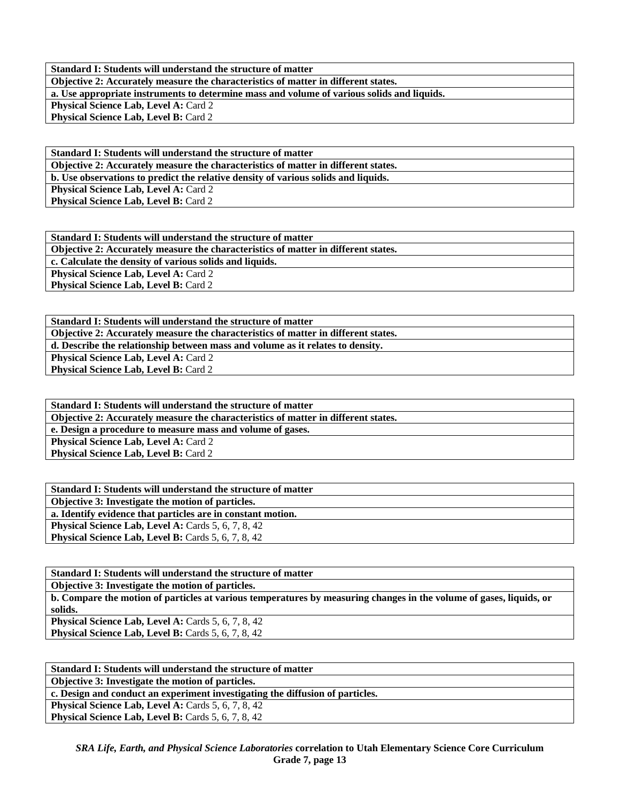**Standard I: Students will understand the structure of matter Objective 2: Accurately measure the characteristics of matter in different states. a. Use appropriate instruments to determine mass and volume of various solids and liquids. Physical Science Lab, Level A: Card 2** Physical Science Lab, Level B: Card 2

**Standard I: Students will understand the structure of matter Objective 2: Accurately measure the characteristics of matter in different states. b. Use observations to predict the relative density of various solids and liquids. Physical Science Lab, Level A: Card 2 Physical Science Lab, Level B: Card 2** 

**Standard I: Students will understand the structure of matter Objective 2: Accurately measure the characteristics of matter in different states. c. Calculate the density of various solids and liquids.**  Physical Science Lab, Level A: Card 2 **Physical Science Lab, Level B: Card 2** 

**Standard I: Students will understand the structure of matter Objective 2: Accurately measure the characteristics of matter in different states. d. Describe the relationship between mass and volume as it relates to density. Physical Science Lab, Level A: Card 2 Physical Science Lab, Level B: Card 2** 

**Standard I: Students will understand the structure of matter Objective 2: Accurately measure the characteristics of matter in different states. e. Design a procedure to measure mass and volume of gases. Physical Science Lab, Level A: Card 2 Physical Science Lab, Level B: Card 2** 

| Standard I: Students will understand the structure of matter |
|--------------------------------------------------------------|
| Objective 3: Investigate the motion of particles.            |
| a. Identify evidence that particles are in constant motion.  |
| <b>Physical Science Lab, Level A: Cards 5, 6, 7, 8, 42</b>   |
| <b>Physical Science Lab, Level B:</b> Cards 5, 6, 7, 8, 42   |

| Standard I: Students will understand the structure of matter                                                        |
|---------------------------------------------------------------------------------------------------------------------|
| <b>Objective 3: Investigate the motion of particles.</b>                                                            |
| b. Compare the motion of particles at various temperatures by measuring changes in the volume of gases, liquids, or |
| solids.                                                                                                             |
| <b>Physical Science Lab, Level A: Cards 5, 6, 7, 8, 42</b>                                                          |
| <b>Physical Science Lab, Level B:</b> Cards 5, 6, 7, 8, 42                                                          |
|                                                                                                                     |

| Standard I: Students will understand the structure of matter                  |
|-------------------------------------------------------------------------------|
| <b>Objective 3: Investigate the motion of particles.</b>                      |
| c. Design and conduct an experiment investigating the diffusion of particles. |
| <b>Physical Science Lab, Level A: Cards 5, 6, 7, 8, 42</b>                    |
| <b>Physical Science Lab, Level B:</b> Cards 5, 6, 7, 8, 42                    |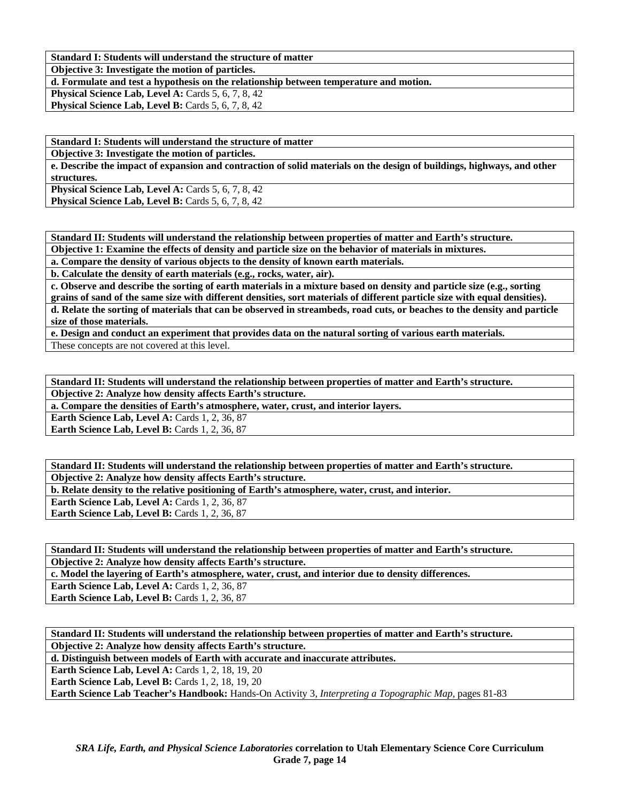**Standard I: Students will understand the structure of matter** 

**Objective 3: Investigate the motion of particles.** 

**d. Formulate and test a hypothesis on the relationship between temperature and motion.** 

**Physical Science Lab, Level A: Cards 5, 6, 7, 8, 42 Physical Science Lab, Level B: Cards 5, 6, 7, 8, 42** 

**Standard I: Students will understand the structure of matter** 

**Objective 3: Investigate the motion of particles.** 

**e. Describe the impact of expansion and contraction of solid materials on the design of buildings, highways, and other structures.** 

**Physical Science Lab, Level A: Cards 5, 6, 7, 8, 42 Physical Science Lab, Level B:** Cards 5, 6, 7, 8, 42

**Standard II: Students will understand the relationship between properties of matter and Earth's structure.** 

**Objective 1: Examine the effects of density and particle size on the behavior of materials in mixtures.** 

**a. Compare the density of various objects to the density of known earth materials.** 

**b. Calculate the density of earth materials (e.g., rocks, water, air).** 

**c. Observe and describe the sorting of earth materials in a mixture based on density and particle size (e.g., sorting grains of sand of the same size with different densities, sort materials of different particle size with equal densities).** 

**d. Relate the sorting of materials that can be observed in streambeds, road cuts, or beaches to the density and particle size of those materials.** 

**e. Design and conduct an experiment that provides data on the natural sorting of various earth materials.** 

These concepts are not covered at this level.

**Standard II: Students will understand the relationship between properties of matter and Earth's structure. Objective 2: Analyze how density affects Earth's structure.** 

**a. Compare the densities of Earth's atmosphere, water, crust, and interior layers.** 

**Earth Science Lab, Level A: Cards 1, 2, 36, 87 Earth Science Lab, Level B:** Cards 1, 2, 36, 87

**Standard II: Students will understand the relationship between properties of matter and Earth's structure. Objective 2: Analyze how density affects Earth's structure.** 

**b. Relate density to the relative positioning of Earth's atmosphere, water, crust, and interior.** 

**Earth Science Lab, Level A: Cards 1, 2, 36, 87 Earth Science Lab, Level B:** Cards 1, 2, 36, 87

**Standard II: Students will understand the relationship between properties of matter and Earth's structure. Objective 2: Analyze how density affects Earth's structure.** 

**c. Model the layering of Earth's atmosphere, water, crust, and interior due to density differences.** 

**Earth Science Lab, Level A: Cards 1, 2, 36, 87 Earth Science Lab, Level B: Cards 1, 2, 36, 87** 

**Standard II: Students will understand the relationship between properties of matter and Earth's structure. Objective 2: Analyze how density affects Earth's structure.** 

**d. Distinguish between models of Earth with accurate and inaccurate attributes.** 

**Earth Science Lab, Level A: Cards 1, 2, 18, 19, 20** 

**Earth Science Lab, Level B: Cards 1, 2, 18, 19, 20** 

**Earth Science Lab Teacher's Handbook:** Hands-On Activity 3, *Interpreting a Topographic Map,* pages 81-83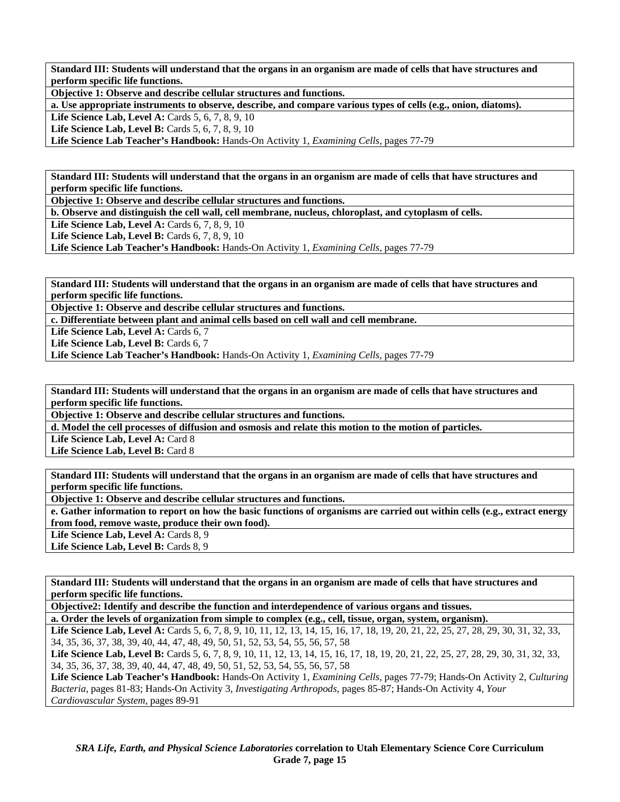**Standard III: Students will understand that the organs in an organism are made of cells that have structures and perform specific life functions.** 

**Objective 1: Observe and describe cellular structures and functions.** 

**a. Use appropriate instruments to observe, describe, and compare various types of cells (e.g., onion, diatoms).** 

**Life Science Lab, Level A: Cards 5, 6, 7, 8, 9, 10** 

**Life Science Lab, Level B:** Cards 5, 6, 7, 8, 9, 10

**Life Science Lab Teacher's Handbook:** Hands-On Activity 1, *Examining Cells,* pages 77-79

**Standard III: Students will understand that the organs in an organism are made of cells that have structures and perform specific life functions.** 

**Objective 1: Observe and describe cellular structures and functions.** 

**b. Observe and distinguish the cell wall, cell membrane, nucleus, chloroplast, and cytoplasm of cells.** 

**Life Science Lab, Level A: Cards 6, 7, 8, 9, 10** 

**Life Science Lab, Level B:** Cards 6, 7, 8, 9, 10

**Life Science Lab Teacher's Handbook:** Hands-On Activity 1, *Examining Cells,* pages 77-79

**Standard III: Students will understand that the organs in an organism are made of cells that have structures and perform specific life functions.** 

**Objective 1: Observe and describe cellular structures and functions.** 

**c. Differentiate between plant and animal cells based on cell wall and cell membrane.** 

Life Science Lab, Level A: Cards 6, 7

Life Science Lab, Level B: Cards 6, 7

**Life Science Lab Teacher's Handbook:** Hands-On Activity 1, *Examining Cells,* pages 77-79

**Standard III: Students will understand that the organs in an organism are made of cells that have structures and perform specific life functions.** 

**Objective 1: Observe and describe cellular structures and functions.** 

**d. Model the cell processes of diffusion and osmosis and relate this motion to the motion of particles.** 

Life Science Lab, Level A: Card 8

Life Science Lab, Level B: Card 8

**Standard III: Students will understand that the organs in an organism are made of cells that have structures and perform specific life functions.** 

**Objective 1: Observe and describe cellular structures and functions.** 

**e. Gather information to report on how the basic functions of organisms are carried out within cells (e.g., extract energy from food, remove waste, produce their own food).** 

Life Science Lab, Level A: Cards 8, 9

Life Science Lab, Level B: Cards 8, 9

**Standard III: Students will understand that the organs in an organism are made of cells that have structures and perform specific life functions.** 

**Objective2: Identify and describe the function and interdependence of various organs and tissues.** 

**a. Order the levels of organization from simple to complex (e.g., cell, tissue, organ, system, organism).** 

Life Science Lab, Level A: Cards 5, 6, 7, 8, 9, 10, 11, 12, 13, 14, 15, 16, 17, 18, 19, 20, 21, 22, 25, 27, 28, 29, 30, 31, 32, 33, 34, 35, 36, 37, 38, 39, 40, 44, 47, 48, 49, 50, 51, 52, 53, 54, 55, 56, 57, 58

Life Science Lab, Level B: Cards 5, 6, 7, 8, 9, 10, 11, 12, 13, 14, 15, 16, 17, 18, 19, 20, 21, 22, 25, 27, 28, 29, 30, 31, 32, 33, 34, 35, 36, 37, 38, 39, 40, 44, 47, 48, 49, 50, 51, 52, 53, 54, 55, 56, 57, 58

**Life Science Lab Teacher's Handbook:** Hands-On Activity 1, *Examining Cells,* pages 77-79; Hands-On Activity 2, *Culturing Bacteria,* pages 81-83; Hands-On Activity 3, *Investigating Arthropods,* pages 85-87; Hands-On Activity 4, *Your Cardiovascular System,* pages 89-91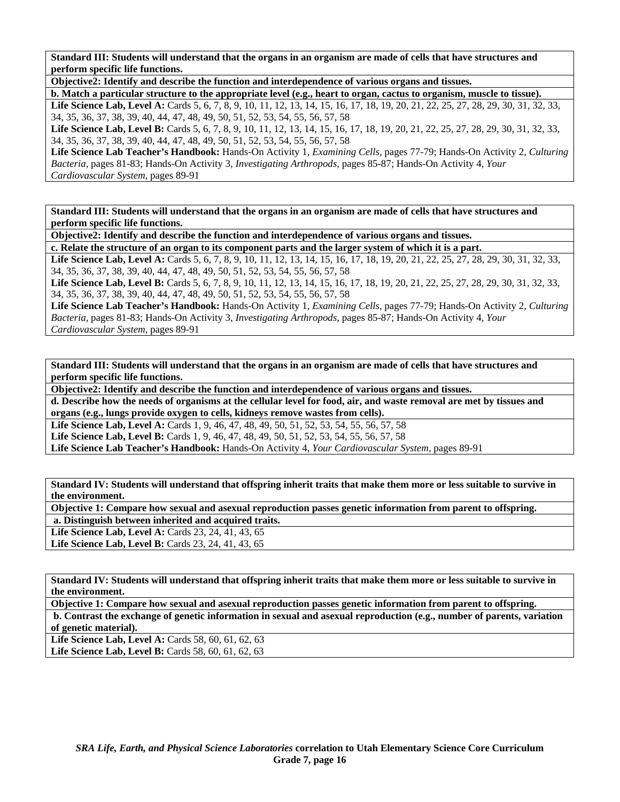**Standard III: Students will understand that the organs in an organism are made of cells that have structures and perform specific life functions.** 

**Objective2: Identify and describe the function and interdependence of various organs and tissues.** 

**b. Match a particular structure to the appropriate level (e.g., heart to organ, cactus to organism, muscle to tissue).**  Life Science Lab, Level A: Cards 5, 6, 7, 8, 9, 10, 11, 12, 13, 14, 15, 16, 17, 18, 19, 20, 21, 22, 25, 27, 28, 29, 30, 31, 32, 33, 34, 35, 36, 37, 38, 39, 40, 44, 47, 48, 49, 50, 51, 52, 53, 54, 55, 56, 57, 58

Life Science Lab, Level B: Cards 5, 6, 7, 8, 9, 10, 11, 12, 13, 14, 15, 16, 17, 18, 19, 20, 21, 22, 25, 27, 28, 29, 30, 31, 32, 33, 34, 35, 36, 37, 38, 39, 40, 44, 47, 48, 49, 50, 51, 52, 53, 54, 55, 56, 57, 58

**Life Science Lab Teacher's Handbook:** Hands-On Activity 1, *Examining Cells,* pages 77-79; Hands-On Activity 2, *Culturing Bacteria,* pages 81-83; Hands-On Activity 3, *Investigating Arthropods,* pages 85-87; Hands-On Activity 4, *Your Cardiovascular System,* pages 89-91

**Standard III: Students will understand that the organs in an organism are made of cells that have structures and perform specific life functions.** 

**Objective2: Identify and describe the function and interdependence of various organs and tissues.** 

**c. Relate the structure of an organ to its component parts and the larger system of which it is a part.**  Life Science Lab, Level A: Cards 5, 6, 7, 8, 9, 10, 11, 12, 13, 14, 15, 16, 17, 18, 19, 20, 21, 22, 25, 27, 28, 29, 30, 31, 32, 33,

34, 35, 36, 37, 38, 39, 40, 44, 47, 48, 49, 50, 51, 52, 53, 54, 55, 56, 57, 58 Life Science Lab, Level B: Cards 5, 6, 7, 8, 9, 10, 11, 12, 13, 14, 15, 16, 17, 18, 19, 20, 21, 22, 25, 27, 28, 29, 30, 31, 32, 33, 34, 35, 36, 37, 38, 39, 40, 44, 47, 48, 49, 50, 51, 52, 53, 54, 55, 56, 57, 58

**Life Science Lab Teacher's Handbook:** Hands-On Activity 1, *Examining Cells,* pages 77-79; Hands-On Activity 2, *Culturing Bacteria,* pages 81-83; Hands-On Activity 3, *Investigating Arthropods,* pages 85-87; Hands-On Activity 4, *Your Cardiovascular System,* pages 89-91

**Standard III: Students will understand that the organs in an organism are made of cells that have structures and perform specific life functions.** 

**Objective2: Identify and describe the function and interdependence of various organs and tissues.** 

**d. Describe how the needs of organisms at the cellular level for food, air, and waste removal are met by tissues and organs (e.g., lungs provide oxygen to cells, kidneys remove wastes from cells).** 

Life Science Lab, Level A: Cards 1, 9, 46, 47, 48, 49, 50, 51, 52, 53, 54, 55, 56, 57, 58

Life Science Lab, Level B: Cards 1, 9, 46, 47, 48, 49, 50, 51, 52, 53, 54, 55, 56, 57, 58

**Life Science Lab Teacher's Handbook:** Hands-On Activity 4, *Your Cardiovascular System,* pages 89-91

**Standard IV: Students will understand that offspring inherit traits that make them more or less suitable to survive in the environment.** 

**Objective 1: Compare how sexual and asexual reproduction passes genetic information from parent to offspring. a. Distinguish between inherited and acquired traits.** 

**Life Science Lab, Level A: Cards 23, 24, 41, 43, 65** 

Life Science Lab, Level B: Cards 23, 24, 41, 43, 65

**Standard IV: Students will understand that offspring inherit traits that make them more or less suitable to survive in the environment.** 

**Objective 1: Compare how sexual and asexual reproduction passes genetic information from parent to offspring. b. Contrast the exchange of genetic information in sexual and asexual reproduction (e.g., number of parents, variation of genetic material).** 

Life Science Lab, Level A: Cards 58, 60, 61, 62, 63 Life Science Lab, Level B: Cards 58, 60, 61, 62, 63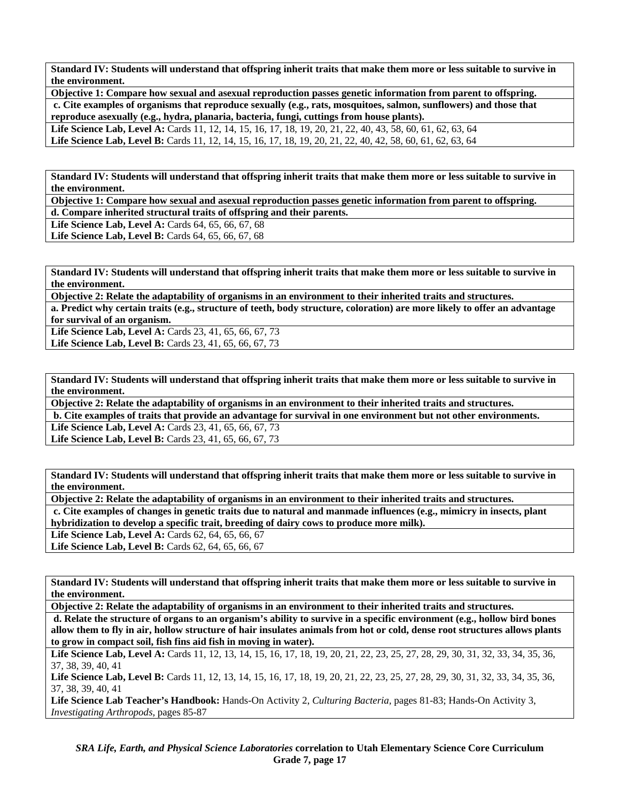**Standard IV: Students will understand that offspring inherit traits that make them more or less suitable to survive in the environment.** 

**Objective 1: Compare how sexual and asexual reproduction passes genetic information from parent to offspring. c. Cite examples of organisms that reproduce sexually (e.g., rats, mosquitoes, salmon, sunflowers) and those that reproduce asexually (e.g., hydra, planaria, bacteria, fungi, cuttings from house plants). Life Science Lab, Level A:** Cards 11, 12, 14, 15, 16, 17, 18, 19, 20, 21, 22, 40, 43, 58, 60, 61, 62, 63, 64 **Life Science Lab, Level B:** Cards 11, 12, 14, 15, 16, 17, 18, 19, 20, 21, 22, 40, 42, 58, 60, 61, 62, 63, 64

**Standard IV: Students will understand that offspring inherit traits that make them more or less suitable to survive in the environment.** 

**Objective 1: Compare how sexual and asexual reproduction passes genetic information from parent to offspring.** 

**d. Compare inherited structural traits of offspring and their parents.** 

**Life Science Lab, Level A: Cards 64, 65, 66, 67, 68** 

**Life Science Lab, Level B:** Cards 64, 65, 66, 67, 68

**Standard IV: Students will understand that offspring inherit traits that make them more or less suitable to survive in the environment.** 

**Objective 2: Relate the adaptability of organisms in an environment to their inherited traits and structures.** 

**a. Predict why certain traits (e.g., structure of teeth, body structure, coloration) are more likely to offer an advantage for survival of an organism.** 

**Life Science Lab, Level A:** Cards 23, 41, 65, 66, 67, 73 Life Science Lab, Level B: Cards 23, 41, 65, 66, 67, 73

**Standard IV: Students will understand that offspring inherit traits that make them more or less suitable to survive in the environment.** 

**Objective 2: Relate the adaptability of organisms in an environment to their inherited traits and structures.** 

 **b. Cite examples of traits that provide an advantage for survival in one environment but not other environments.** 

**Life Science Lab, Level A: Cards 23, 41, 65, 66, 67, 73** 

Life Science Lab, Level B: Cards 23, 41, 65, 66, 67, 73

**Standard IV: Students will understand that offspring inherit traits that make them more or less suitable to survive in the environment.** 

**Objective 2: Relate the adaptability of organisms in an environment to their inherited traits and structures.** 

 **c. Cite examples of changes in genetic traits due to natural and manmade influences (e.g., mimicry in insects, plant hybridization to develop a specific trait, breeding of dairy cows to produce more milk).** 

Life Science Lab, Level A: Cards 62, 64, 65, 66, 67 Life Science Lab, Level B: Cards 62, 64, 65, 66, 67

**Standard IV: Students will understand that offspring inherit traits that make them more or less suitable to survive in the environment.** 

**Objective 2: Relate the adaptability of organisms in an environment to their inherited traits and structures.** 

 **d. Relate the structure of organs to an organism's ability to survive in a specific environment (e.g., hollow bird bones allow them to fly in air, hollow structure of hair insulates animals from hot or cold, dense root structures allows plants to grow in compact soil, fish fins aid fish in moving in water).** 

**Life Science Lab, Level A:** Cards 11, 12, 13, 14, 15, 16, 17, 18, 19, 20, 21, 22, 23, 25, 27, 28, 29, 30, 31, 32, 33, 34, 35, 36, 37, 38, 39, 40, 41

Life Science Lab, Level B: Cards 11, 12, 13, 14, 15, 16, 17, 18, 19, 20, 21, 22, 23, 25, 27, 28, 29, 30, 31, 32, 33, 34, 35, 36, 37, 38, 39, 40, 41

**Life Science Lab Teacher's Handbook:** Hands-On Activity 2, *Culturing Bacteria,* pages 81-83; Hands-On Activity 3, *Investigating Arthropods,* pages 85-87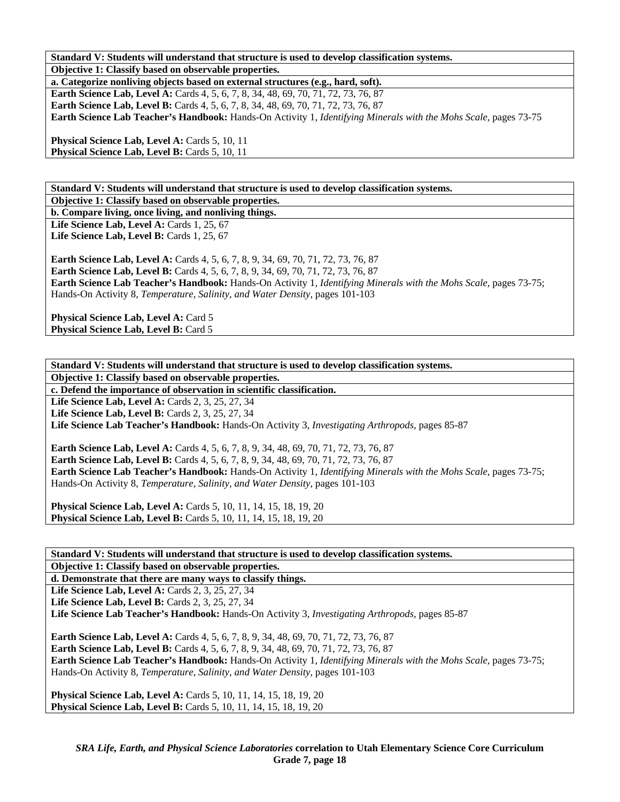**Standard V: Students will understand that structure is used to develop classification systems. Objective 1: Classify based on observable properties.** 

**a. Categorize nonliving objects based on external structures (e.g., hard, soft). Earth Science Lab, Level A:** Cards 4, 5, 6, 7, 8, 34, 48, 69, 70, 71, 72, 73, 76, 87 **Earth Science Lab, Level B:** Cards 4, 5, 6, 7, 8, 34, 48, 69, 70, 71, 72, 73, 76, 87 **Earth Science Lab Teacher's Handbook:** Hands-On Activity 1, *Identifying Minerals with the Mohs Scale,* pages 73-75

**Physical Science Lab, Level A: Cards 5, 10, 11 Physical Science Lab, Level B: Cards 5, 10, 11** 

**Standard V: Students will understand that structure is used to develop classification systems. Objective 1: Classify based on observable properties.** 

**b. Compare living, once living, and nonliving things.** 

**Life Science Lab, Level A: Cards 1, 25, 67 Life Science Lab, Level B:** Cards 1, 25, 67

**Earth Science Lab, Level A:** Cards 4, 5, 6, 7, 8, 9, 34, 69, 70, 71, 72, 73, 76, 87 **Earth Science Lab, Level B:** Cards 4, 5, 6, 7, 8, 9, 34, 69, 70, 71, 72, 73, 76, 87 **Earth Science Lab Teacher's Handbook:** Hands-On Activity 1, *Identifying Minerals with the Mohs Scale,* pages 73-75; Hands-On Activity 8, *Temperature, Salinity, and Water Density,* pages 101-103

**Physical Science Lab, Level A: Card 5** Physical Science Lab, Level B: Card 5

**Standard V: Students will understand that structure is used to develop classification systems. Objective 1: Classify based on observable properties. c. Defend the importance of observation in scientific classification. Life Science Lab, Level A: Cards 2, 3, 25, 27, 34** 

**Life Science Lab, Level B:** Cards 2, 3, 25, 27, 34

**Life Science Lab Teacher's Handbook:** Hands-On Activity 3, *Investigating Arthropods,* pages 85-87

**Earth Science Lab, Level A:** Cards 4, 5, 6, 7, 8, 9, 34, 48, 69, 70, 71, 72, 73, 76, 87 **Earth Science Lab, Level B:** Cards 4, 5, 6, 7, 8, 9, 34, 48, 69, 70, 71, 72, 73, 76, 87 **Earth Science Lab Teacher's Handbook:** Hands-On Activity 1, *Identifying Minerals with the Mohs Scale,* pages 73-75; Hands-On Activity 8, *Temperature, Salinity, and Water Density,* pages 101-103

**Physical Science Lab, Level A: Cards 5, 10, 11, 14, 15, 18, 19, 20 Physical Science Lab, Level B:** Cards 5, 10, 11, 14, 15, 18, 19, 20

**Standard V: Students will understand that structure is used to develop classification systems. Objective 1: Classify based on observable properties.** 

**d. Demonstrate that there are many ways to classify things.** 

Life Science Lab, Level A: Cards 2, 3, 25, 27, 34

**Life Science Lab, Level B:** Cards 2, 3, 25, 27, 34

**Life Science Lab Teacher's Handbook:** Hands-On Activity 3, *Investigating Arthropods,* pages 85-87

**Earth Science Lab, Level A:** Cards 4, 5, 6, 7, 8, 9, 34, 48, 69, 70, 71, 72, 73, 76, 87 **Earth Science Lab, Level B:** Cards 4, 5, 6, 7, 8, 9, 34, 48, 69, 70, 71, 72, 73, 76, 87 **Earth Science Lab Teacher's Handbook:** Hands-On Activity 1, *Identifying Minerals with the Mohs Scale,* pages 73-75; Hands-On Activity 8, *Temperature, Salinity, and Water Density,* pages 101-103

**Physical Science Lab, Level A: Cards 5, 10, 11, 14, 15, 18, 19, 20 Physical Science Lab, Level B:** Cards 5, 10, 11, 14, 15, 18, 19, 20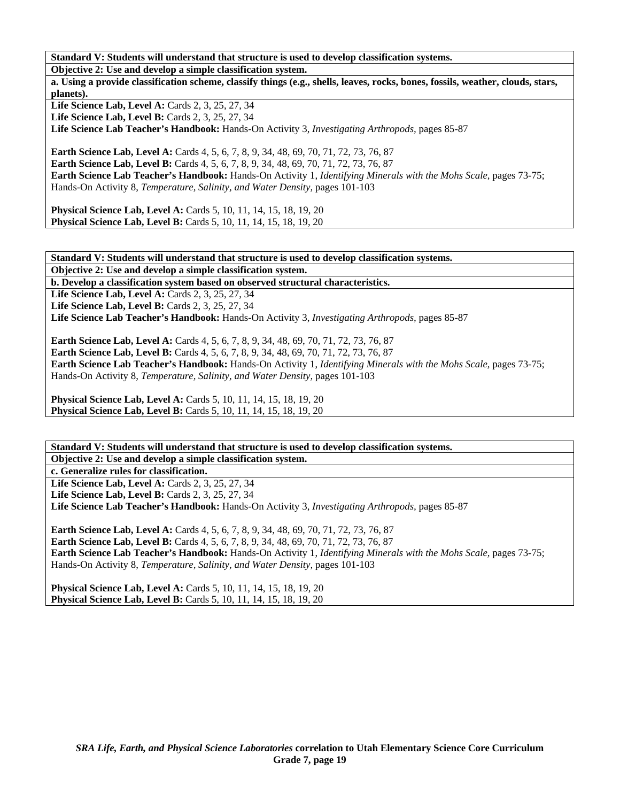**Standard V: Students will understand that structure is used to develop classification systems.** 

**Objective 2: Use and develop a simple classification system.** 

**a. Using a provide classification scheme, classify things (e.g., shells, leaves, rocks, bones, fossils, weather, clouds, stars, planets).** 

**Life Science Lab, Level A: Cards 2, 3, 25, 27, 34** 

**Life Science Lab, Level B:** Cards 2, 3, 25, 27, 34

**Life Science Lab Teacher's Handbook:** Hands-On Activity 3, *Investigating Arthropods,* pages 85-87

**Earth Science Lab, Level A:** Cards 4, 5, 6, 7, 8, 9, 34, 48, 69, 70, 71, 72, 73, 76, 87 **Earth Science Lab, Level B:** Cards 4, 5, 6, 7, 8, 9, 34, 48, 69, 70, 71, 72, 73, 76, 87 **Earth Science Lab Teacher's Handbook:** Hands-On Activity 1, *Identifying Minerals with the Mohs Scale,* pages 73-75; Hands-On Activity 8, *Temperature, Salinity, and Water Density,* pages 101-103

**Physical Science Lab, Level A:** Cards 5, 10, 11, 14, 15, 18, 19, 20 **Physical Science Lab, Level B:** Cards 5, 10, 11, 14, 15, 18, 19, 20

**Standard V: Students will understand that structure is used to develop classification systems.** 

**Objective 2: Use and develop a simple classification system.** 

**b. Develop a classification system based on observed structural characteristics.** 

**Life Science Lab, Level A: Cards 2, 3, 25, 27, 34** 

Life Science Lab, Level B: Cards 2, 3, 25, 27, 34

**Life Science Lab Teacher's Handbook:** Hands-On Activity 3, *Investigating Arthropods,* pages 85-87

**Earth Science Lab, Level A:** Cards 4, 5, 6, 7, 8, 9, 34, 48, 69, 70, 71, 72, 73, 76, 87 **Earth Science Lab, Level B:** Cards 4, 5, 6, 7, 8, 9, 34, 48, 69, 70, 71, 72, 73, 76, 87 **Earth Science Lab Teacher's Handbook:** Hands-On Activity 1, *Identifying Minerals with the Mohs Scale,* pages 73-75; Hands-On Activity 8, *Temperature, Salinity, and Water Density,* pages 101-103

**Physical Science Lab, Level A:** Cards 5, 10, 11, 14, 15, 18, 19, 20 **Physical Science Lab, Level B:** Cards 5, 10, 11, 14, 15, 18, 19, 20

**Standard V: Students will understand that structure is used to develop classification systems. Objective 2: Use and develop a simple classification system.** 

**c. Generalize rules for classification.** 

Life Science Lab, Level A: Cards 2, 3, 25, 27, 34 **Life Science Lab, Level B: Cards 2, 3, 25, 27, 34 Life Science Lab Teacher's Handbook:** Hands-On Activity 3, *Investigating Arthropods,* pages 85-87

Earth Science Lab, Level A: Cards 4, 5, 6, 7, 8, 9, 34, 48, 69, 70, 71, 72, 73, 76, 87 **Earth Science Lab, Level B:** Cards 4, 5, 6, 7, 8, 9, 34, 48, 69, 70, 71, 72, 73, 76, 87 **Earth Science Lab Teacher's Handbook:** Hands-On Activity 1, *Identifying Minerals with the Mohs Scale,* pages 73-75; Hands-On Activity 8, *Temperature, Salinity, and Water Density,* pages 101-103

**Physical Science Lab, Level A: Cards 5, 10, 11, 14, 15, 18, 19, 20 Physical Science Lab, Level B:** Cards 5, 10, 11, 14, 15, 18, 19, 20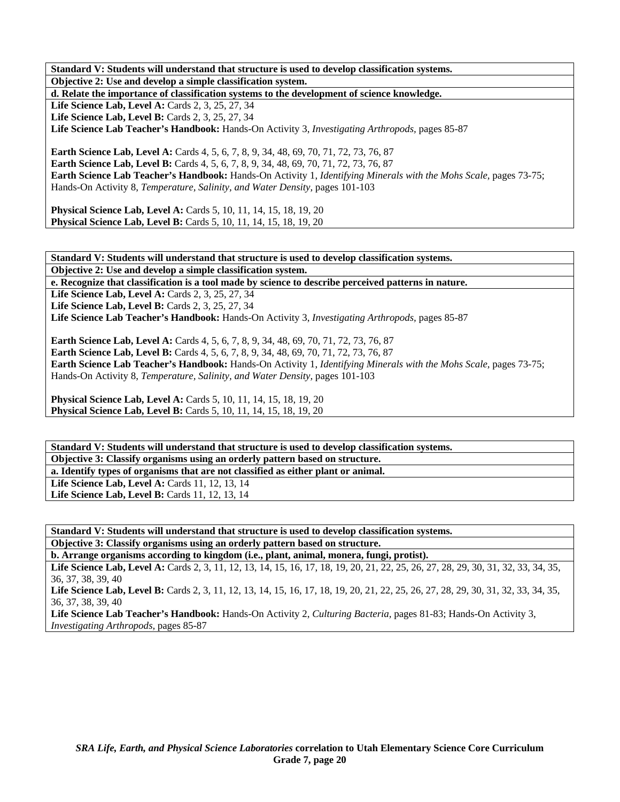**Standard V: Students will understand that structure is used to develop classification systems. Objective 2: Use and develop a simple classification system. d. Relate the importance of classification systems to the development of science knowledge.**  Life Science Lab, Level A: Cards 2, 3, 25, 27, 34 **Life Science Lab, Level B:** Cards 2, 3, 25, 27, 34 **Life Science Lab Teacher's Handbook:** Hands-On Activity 3, *Investigating Arthropods,* pages 85-87 **Earth Science Lab, Level A:** Cards 4, 5, 6, 7, 8, 9, 34, 48, 69, 70, 71, 72, 73, 76, 87 **Earth Science Lab, Level B:** Cards 4, 5, 6, 7, 8, 9, 34, 48, 69, 70, 71, 72, 73, 76, 87 **Earth Science Lab Teacher's Handbook:** Hands-On Activity 1, *Identifying Minerals with the Mohs Scale,* pages 73-75; Hands-On Activity 8, *Temperature, Salinity, and Water Density,* pages 101-103

**Physical Science Lab, Level A:** Cards 5, 10, 11, 14, 15, 18, 19, 20 **Physical Science Lab, Level B:** Cards 5, 10, 11, 14, 15, 18, 19, 20

**Standard V: Students will understand that structure is used to develop classification systems. Objective 2: Use and develop a simple classification system.** 

**e. Recognize that classification is a tool made by science to describe perceived patterns in nature.** 

**Life Science Lab, Level A: Cards 2, 3, 25, 27, 34** 

**Life Science Lab, Level B: Cards 2, 3, 25, 27, 34** 

**Life Science Lab Teacher's Handbook:** Hands-On Activity 3, *Investigating Arthropods,* pages 85-87

**Earth Science Lab, Level A:** Cards 4, 5, 6, 7, 8, 9, 34, 48, 69, 70, 71, 72, 73, 76, 87 **Earth Science Lab, Level B:** Cards 4, 5, 6, 7, 8, 9, 34, 48, 69, 70, 71, 72, 73, 76, 87 **Earth Science Lab Teacher's Handbook:** Hands-On Activity 1, *Identifying Minerals with the Mohs Scale,* pages 73-75; Hands-On Activity 8, *Temperature, Salinity, and Water Density,* pages 101-103

**Physical Science Lab, Level A:** Cards 5, 10, 11, 14, 15, 18, 19, 20 **Physical Science Lab, Level B:** Cards 5, 10, 11, 14, 15, 18, 19, 20

**Standard V: Students will understand that structure is used to develop classification systems. Objective 3: Classify organisms using an orderly pattern based on structure.** 

**a. Identify types of organisms that are not classified as either plant or animal.** 

Life Science Lab, Level A: Cards 11, 12, 13, 14 Life Science Lab, Level B: Cards 11, 12, 13, 14

**Standard V: Students will understand that structure is used to develop classification systems. Objective 3: Classify organisms using an orderly pattern based on structure.** 

**b. Arrange organisms according to kingdom (i.e., plant, animal, monera, fungi, protist).** 

Life Science Lab, Level A: Cards 2, 3, 11, 12, 13, 14, 15, 16, 17, 18, 19, 20, 21, 22, 25, 26, 27, 28, 29, 30, 31, 32, 33, 34, 35, 36, 37, 38, 39, 40

Life Science Lab, Level B: Cards 2, 3, 11, 12, 13, 14, 15, 16, 17, 18, 19, 20, 21, 22, 25, 26, 27, 28, 29, 30, 31, 32, 33, 34, 35, 36, 37, 38, 39, 40

**Life Science Lab Teacher's Handbook:** Hands-On Activity 2, *Culturing Bacteria,* pages 81-83; Hands-On Activity 3, *Investigating Arthropods,* pages 85-87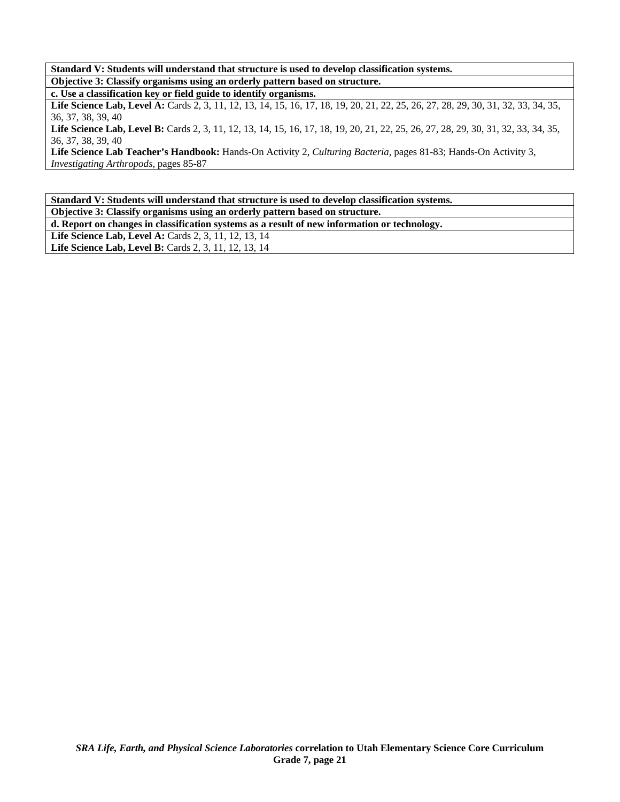**Standard V: Students will understand that structure is used to develop classification systems. Objective 3: Classify organisms using an orderly pattern based on structure.** 

**c. Use a classification key or field guide to identify organisms.** 

Life Science Lab, Level A: Cards 2, 3, 11, 12, 13, 14, 15, 16, 17, 18, 19, 20, 21, 22, 25, 26, 27, 28, 29, 30, 31, 32, 33, 34, 35, 36, 37, 38, 39, 40

Life Science Lab, Level B: Cards 2, 3, 11, 12, 13, 14, 15, 16, 17, 18, 19, 20, 21, 22, 25, 26, 27, 28, 29, 30, 31, 32, 33, 34, 35, 36, 37, 38, 39, 40

**Life Science Lab Teacher's Handbook:** Hands-On Activity 2, *Culturing Bacteria,* pages 81-83; Hands-On Activity 3, *Investigating Arthropods,* pages 85-87

**Standard V: Students will understand that structure is used to develop classification systems. Objective 3: Classify organisms using an orderly pattern based on structure.** 

**d. Report on changes in classification systems as a result of new information or technology.** 

**Life Science Lab, Level A: Cards 2, 3, 11, 12, 13, 14** 

**Life Science Lab, Level B: Cards 2, 3, 11, 12, 13, 14**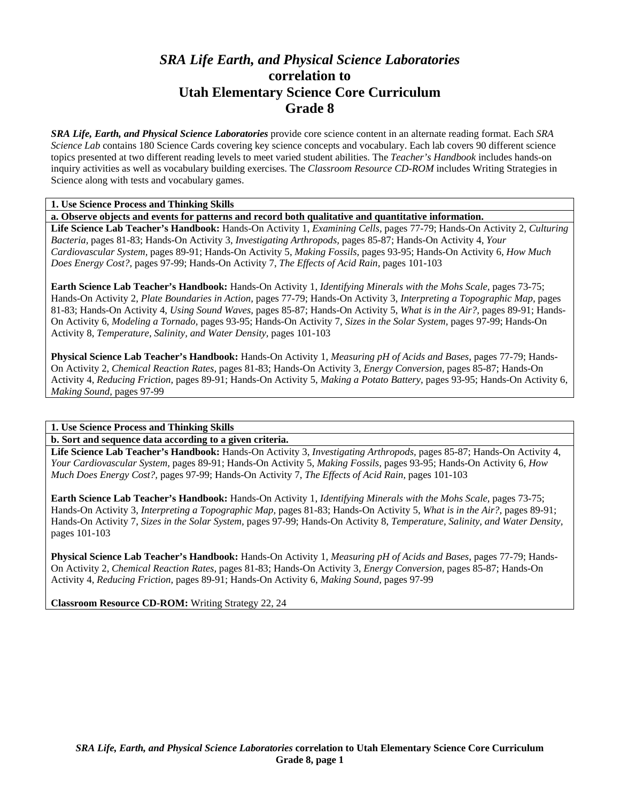# *SRA Life Earth, and Physical Science Laboratories*  **correlation to Utah Elementary Science Core Curriculum Grade 8**

*SRA Life, Earth, and Physical Science Laboratories* provide core science content in an alternate reading format. Each *SRA Science Lab* contains 180 Science Cards covering key science concepts and vocabulary. Each lab covers 90 different science topics presented at two different reading levels to meet varied student abilities. The *Teacher's Handbook* includes hands-on inquiry activities as well as vocabulary building exercises. The *Classroom Resource CD-ROM* includes Writing Strategies in Science along with tests and vocabulary games.

### **1. Use Science Process and Thinking Skills**

**a. Observe objects and events for patterns and record both qualitative and quantitative information.** 

**Life Science Lab Teacher's Handbook:** Hands-On Activity 1, *Examining Cells,* pages 77-79; Hands-On Activity 2, *Culturing Bacteria,* pages 81-83; Hands-On Activity 3, *Investigating Arthropods,* pages 85-87; Hands-On Activity 4, *Your Cardiovascular System,* pages 89-91; Hands-On Activity 5, *Making Fossils,* pages 93-95; Hands-On Activity 6, *How Much Does Energy Cost?,* pages 97-99; Hands-On Activity 7, *The Effects of Acid Rain,* pages 101-103

**Earth Science Lab Teacher's Handbook:** Hands-On Activity 1, *Identifying Minerals with the Mohs Scale,* pages 73-75; Hands-On Activity 2, *Plate Boundaries in Action,* pages 77-79; Hands-On Activity 3, *Interpreting a Topographic Map,* pages 81-83; Hands-On Activity 4, *Using Sound Waves,* pages 85-87; Hands-On Activity 5, *What is in the Air?,* pages 89-91; Hands-On Activity 6, *Modeling a Tornado,* pages 93-95; Hands-On Activity 7, *Sizes in the Solar System,* pages 97-99; Hands-On Activity 8, *Temperature, Salinity, and Water Density,* pages 101-103

**Physical Science Lab Teacher's Handbook:** Hands-On Activity 1, *Measuring pH of Acids and Bases,* pages 77-79; Hands-On Activity 2, *Chemical Reaction Rates,* pages 81-83; Hands-On Activity 3, *Energy Conversion,* pages 85-87; Hands-On Activity 4, *Reducing Friction,* pages 89-91; Hands-On Activity 5, *Making a Potato Battery,* pages 93-95; Hands-On Activity 6, *Making Sound,* pages 97-99

### **1. Use Science Process and Thinking Skills**

**b. Sort and sequence data according to a given criteria.** 

**Life Science Lab Teacher's Handbook:** Hands-On Activity 3, *Investigating Arthropods,* pages 85-87; Hands-On Activity 4, *Your Cardiovascular System,* pages 89-91; Hands-On Activity 5, *Making Fossils,* pages 93-95; Hands-On Activity 6, *How Much Does Energy Cost?,* pages 97-99; Hands-On Activity 7, *The Effects of Acid Rain,* pages 101-103

**Earth Science Lab Teacher's Handbook:** Hands-On Activity 1, *Identifying Minerals with the Mohs Scale,* pages 73-75; Hands-On Activity 3, *Interpreting a Topographic Map,* pages 81-83; Hands-On Activity 5, *What is in the Air?,* pages 89-91; Hands-On Activity 7, *Sizes in the Solar System,* pages 97-99; Hands-On Activity 8, *Temperature, Salinity, and Water Density,* pages 101-103

**Physical Science Lab Teacher's Handbook:** Hands-On Activity 1, *Measuring pH of Acids and Bases,* pages 77-79; Hands-On Activity 2, *Chemical Reaction Rates,* pages 81-83; Hands-On Activity 3, *Energy Conversion,* pages 85-87; Hands-On Activity 4, *Reducing Friction,* pages 89-91; Hands-On Activity 6, *Making Sound,* pages 97-99

**Classroom Resource CD-ROM:** Writing Strategy 22, 24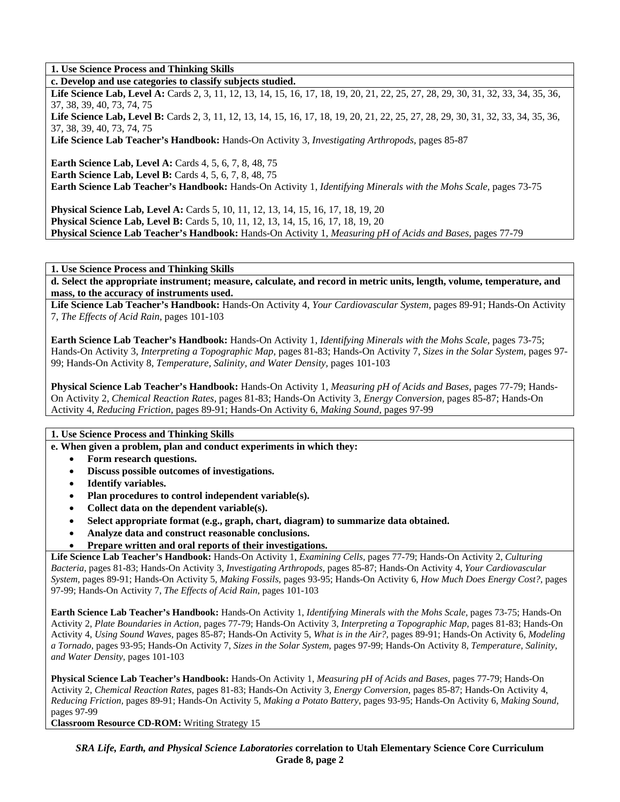### **1. Use Science Process and Thinking Skills**

**c. Develop and use categories to classify subjects studied.** 

Life Science Lab, Level A: Cards 2, 3, 11, 12, 13, 14, 15, 16, 17, 18, 19, 20, 21, 22, 25, 27, 28, 29, 30, 31, 32, 33, 34, 35, 36, 37, 38, 39, 40, 73, 74, 75

Life Science Lab, Level B: Cards 2, 3, 11, 12, 13, 14, 15, 16, 17, 18, 19, 20, 21, 22, 25, 27, 28, 29, 30, 31, 32, 33, 34, 35, 36, 37, 38, 39, 40, 73, 74, 75

**Life Science Lab Teacher's Handbook:** Hands-On Activity 3, *Investigating Arthropods,* pages 85-87

**Earth Science Lab, Level A: Cards 4, 5, 6, 7, 8, 48, 75** 

**Earth Science Lab, Level B:** Cards 4, 5, 6, 7, 8, 48, 75

**Earth Science Lab Teacher's Handbook:** Hands-On Activity 1, *Identifying Minerals with the Mohs Scale,* pages 73-75

**Physical Science Lab, Level A:** Cards 5, 10, 11, 12, 13, 14, 15, 16, 17, 18, 19, 20 **Physical Science Lab, Level B:** Cards 5, 10, 11, 12, 13, 14, 15, 16, 17, 18, 19, 20 **Physical Science Lab Teacher's Handbook:** Hands-On Activity 1, *Measuring pH of Acids and Bases,* pages 77-79

**1. Use Science Process and Thinking Skills** 

**d. Select the appropriate instrument; measure, calculate, and record in metric units, length, volume, temperature, and mass, to the accuracy of instruments used.** 

**Life Science Lab Teacher's Handbook:** Hands-On Activity 4, *Your Cardiovascular System,* pages 89-91; Hands-On Activity 7, *The Effects of Acid Rain,* pages 101-103

**Earth Science Lab Teacher's Handbook:** Hands-On Activity 1, *Identifying Minerals with the Mohs Scale,* pages 73-75; Hands-On Activity 3, *Interpreting a Topographic Map,* pages 81-83; Hands-On Activity 7, *Sizes in the Solar System,* pages 97- 99; Hands-On Activity 8, *Temperature, Salinity, and Water Density,* pages 101-103

**Physical Science Lab Teacher's Handbook:** Hands-On Activity 1, *Measuring pH of Acids and Bases,* pages 77-79; Hands-On Activity 2, *Chemical Reaction Rates,* pages 81-83; Hands-On Activity 3, *Energy Conversion,* pages 85-87; Hands-On Activity 4, *Reducing Friction,* pages 89-91; Hands-On Activity 6, *Making Sound,* pages 97-99

### **1. Use Science Process and Thinking Skills**

**e. When given a problem, plan and conduct experiments in which they:** 

- **Form research questions.**
- **Discuss possible outcomes of investigations.**
- **Identify variables.**
- **Plan procedures to control independent variable(s).**
- **Collect data on the dependent variable(s).**
- **Select appropriate format (e.g., graph, chart, diagram) to summarize data obtained.**
- **Analyze data and construct reasonable conclusions.**
- **Prepare written and oral reports of their investigations.**

**Life Science Lab Teacher's Handbook:** Hands-On Activity 1, *Examining Cells,* pages 77-79; Hands-On Activity 2, *Culturing Bacteria,* pages 81-83; Hands-On Activity 3, *Investigating Arthropods,* pages 85-87; Hands-On Activity 4, *Your Cardiovascular System,* pages 89-91; Hands-On Activity 5, *Making Fossils,* pages 93-95; Hands-On Activity 6, *How Much Does Energy Cost?,* pages 97-99; Hands-On Activity 7, *The Effects of Acid Rain,* pages 101-103

**Earth Science Lab Teacher's Handbook:** Hands-On Activity 1, *Identifying Minerals with the Mohs Scale,* pages 73-75; Hands-On Activity 2, *Plate Boundaries in Action,* pages 77-79; Hands-On Activity 3, *Interpreting a Topographic Map,* pages 81-83; Hands-On Activity 4, *Using Sound Waves,* pages 85-87; Hands-On Activity 5, *What is in the Air?,* pages 89-91; Hands-On Activity 6, *Modeling a Tornado,* pages 93-95; Hands-On Activity 7, *Sizes in the Solar System,* pages 97-99; Hands-On Activity 8, *Temperature, Salinity, and Water Density,* pages 101-103

**Physical Science Lab Teacher's Handbook:** Hands-On Activity 1, *Measuring pH of Acids and Bases,* pages 77-79; Hands-On Activity 2, *Chemical Reaction Rates,* pages 81-83; Hands-On Activity 3, *Energy Conversion,* pages 85-87; Hands-On Activity 4, *Reducing Friction,* pages 89-91; Hands-On Activity 5, *Making a Potato Battery,* pages 93-95; Hands-On Activity 6, *Making Sound,* pages 97-99

**Classroom Resource CD-ROM:** Writing Strategy 15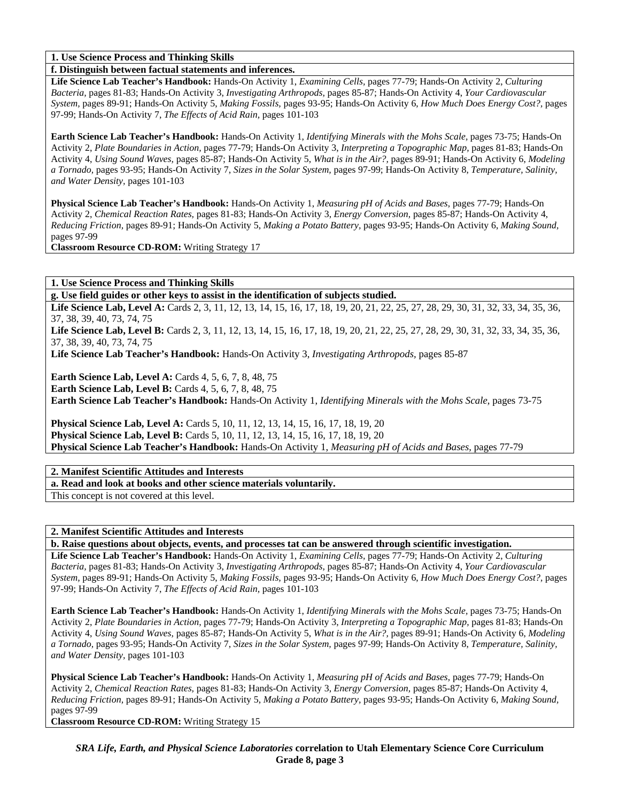**1. Use Science Process and Thinking Skills** 

**f. Distinguish between factual statements and inferences.** 

**Life Science Lab Teacher's Handbook:** Hands-On Activity 1, *Examining Cells,* pages 77-79; Hands-On Activity 2, *Culturing Bacteria,* pages 81-83; Hands-On Activity 3, *Investigating Arthropods,* pages 85-87; Hands-On Activity 4, *Your Cardiovascular System,* pages 89-91; Hands-On Activity 5, *Making Fossils,* pages 93-95; Hands-On Activity 6, *How Much Does Energy Cost?,* pages 97-99; Hands-On Activity 7, *The Effects of Acid Rain,* pages 101-103

**Earth Science Lab Teacher's Handbook:** Hands-On Activity 1, *Identifying Minerals with the Mohs Scale,* pages 73-75; Hands-On Activity 2, *Plate Boundaries in Action,* pages 77-79; Hands-On Activity 3, *Interpreting a Topographic Map,* pages 81-83; Hands-On Activity 4, *Using Sound Waves,* pages 85-87; Hands-On Activity 5, *What is in the Air?,* pages 89-91; Hands-On Activity 6, *Modeling a Tornado,* pages 93-95; Hands-On Activity 7, *Sizes in the Solar System,* pages 97-99; Hands-On Activity 8, *Temperature, Salinity, and Water Density,* pages 101-103

**Physical Science Lab Teacher's Handbook:** Hands-On Activity 1, *Measuring pH of Acids and Bases,* pages 77-79; Hands-On Activity 2, *Chemical Reaction Rates,* pages 81-83; Hands-On Activity 3, *Energy Conversion,* pages 85-87; Hands-On Activity 4, *Reducing Friction,* pages 89-91; Hands-On Activity 5, *Making a Potato Battery,* pages 93-95; Hands-On Activity 6, *Making Sound,* pages 97-99

**Classroom Resource CD-ROM:** Writing Strategy 17

**1. Use Science Process and Thinking Skills** 

**g. Use field guides or other keys to assist in the identification of subjects studied.** 

Life Science Lab, Level A: Cards 2, 3, 11, 12, 13, 14, 15, 16, 17, 18, 19, 20, 21, 22, 25, 27, 28, 29, 30, 31, 32, 33, 34, 35, 36, 37, 38, 39, 40, 73, 74, 75

Life Science Lab, Level B: Cards 2, 3, 11, 12, 13, 14, 15, 16, 17, 18, 19, 20, 21, 22, 25, 27, 28, 29, 30, 31, 32, 33, 34, 35, 36, 37, 38, 39, 40, 73, 74, 75

**Life Science Lab Teacher's Handbook:** Hands-On Activity 3, *Investigating Arthropods,* pages 85-87

**Earth Science Lab, Level A: Cards 4, 5, 6, 7, 8, 48, 75 Earth Science Lab, Level B:** Cards 4, 5, 6, 7, 8, 48, 75 **Earth Science Lab Teacher's Handbook:** Hands-On Activity 1, *Identifying Minerals with the Mohs Scale,* pages 73-75

**Physical Science Lab, Level A:** Cards 5, 10, 11, 12, 13, 14, 15, 16, 17, 18, 19, 20 **Physical Science Lab, Level B:** Cards 5, 10, 11, 12, 13, 14, 15, 16, 17, 18, 19, 20 **Physical Science Lab Teacher's Handbook:** Hands-On Activity 1, *Measuring pH of Acids and Bases,* pages 77-79

**2. Manifest Scientific Attitudes and Interests** 

**a. Read and look at books and other science materials voluntarily.** 

This concept is not covered at this level.

**2. Manifest Scientific Attitudes and Interests** 

**b. Raise questions about objects, events, and processes tat can be answered through scientific investigation.** 

**Life Science Lab Teacher's Handbook:** Hands-On Activity 1, *Examining Cells,* pages 77-79; Hands-On Activity 2, *Culturing Bacteria,* pages 81-83; Hands-On Activity 3, *Investigating Arthropods,* pages 85-87; Hands-On Activity 4, *Your Cardiovascular System,* pages 89-91; Hands-On Activity 5, *Making Fossils,* pages 93-95; Hands-On Activity 6, *How Much Does Energy Cost?,* pages 97-99; Hands-On Activity 7, *The Effects of Acid Rain,* pages 101-103

**Earth Science Lab Teacher's Handbook:** Hands-On Activity 1, *Identifying Minerals with the Mohs Scale,* pages 73-75; Hands-On Activity 2, *Plate Boundaries in Action,* pages 77-79; Hands-On Activity 3, *Interpreting a Topographic Map,* pages 81-83; Hands-On Activity 4, *Using Sound Waves,* pages 85-87; Hands-On Activity 5, *What is in the Air?,* pages 89-91; Hands-On Activity 6, *Modeling a Tornado,* pages 93-95; Hands-On Activity 7, *Sizes in the Solar System,* pages 97-99; Hands-On Activity 8, *Temperature, Salinity, and Water Density,* pages 101-103

**Physical Science Lab Teacher's Handbook:** Hands-On Activity 1, *Measuring pH of Acids and Bases,* pages 77-79; Hands-On Activity 2, *Chemical Reaction Rates,* pages 81-83; Hands-On Activity 3, *Energy Conversion,* pages 85-87; Hands-On Activity 4, *Reducing Friction,* pages 89-91; Hands-On Activity 5, *Making a Potato Battery,* pages 93-95; Hands-On Activity 6, *Making Sound,* pages 97-99

**Classroom Resource CD-ROM:** Writing Strategy 15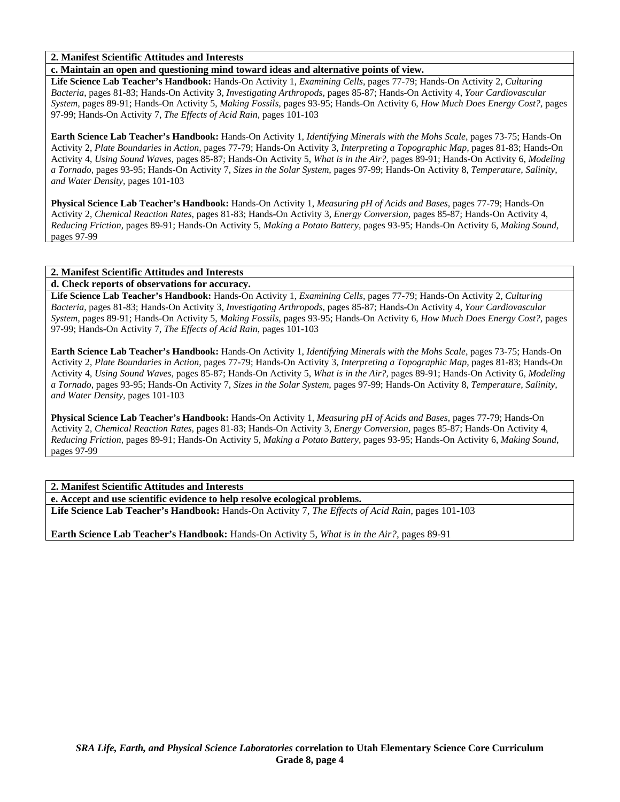### **2. Manifest Scientific Attitudes and Interests**

**c. Maintain an open and questioning mind toward ideas and alternative points of view.** 

**Life Science Lab Teacher's Handbook:** Hands-On Activity 1, *Examining Cells,* pages 77-79; Hands-On Activity 2, *Culturing Bacteria,* pages 81-83; Hands-On Activity 3, *Investigating Arthropods,* pages 85-87; Hands-On Activity 4, *Your Cardiovascular System,* pages 89-91; Hands-On Activity 5, *Making Fossils,* pages 93-95; Hands-On Activity 6, *How Much Does Energy Cost?,* pages 97-99; Hands-On Activity 7, *The Effects of Acid Rain,* pages 101-103

**Earth Science Lab Teacher's Handbook:** Hands-On Activity 1, *Identifying Minerals with the Mohs Scale,* pages 73-75; Hands-On Activity 2, *Plate Boundaries in Action,* pages 77-79; Hands-On Activity 3, *Interpreting a Topographic Map,* pages 81-83; Hands-On Activity 4, *Using Sound Waves,* pages 85-87; Hands-On Activity 5, *What is in the Air?,* pages 89-91; Hands-On Activity 6, *Modeling a Tornado,* pages 93-95; Hands-On Activity 7, *Sizes in the Solar System,* pages 97-99; Hands-On Activity 8, *Temperature, Salinity, and Water Density,* pages 101-103

**Physical Science Lab Teacher's Handbook:** Hands-On Activity 1, *Measuring pH of Acids and Bases,* pages 77-79; Hands-On Activity 2, *Chemical Reaction Rates,* pages 81-83; Hands-On Activity 3, *Energy Conversion,* pages 85-87; Hands-On Activity 4, *Reducing Friction,* pages 89-91; Hands-On Activity 5, *Making a Potato Battery,* pages 93-95; Hands-On Activity 6, *Making Sound,* pages 97-99

### **2. Manifest Scientific Attitudes and Interests**

### **d. Check reports of observations for accuracy.**

**Life Science Lab Teacher's Handbook:** Hands-On Activity 1, *Examining Cells,* pages 77-79; Hands-On Activity 2, *Culturing Bacteria,* pages 81-83; Hands-On Activity 3, *Investigating Arthropods,* pages 85-87; Hands-On Activity 4, *Your Cardiovascular System,* pages 89-91; Hands-On Activity 5, *Making Fossils,* pages 93-95; Hands-On Activity 6, *How Much Does Energy Cost?,* pages 97-99; Hands-On Activity 7, *The Effects of Acid Rain,* pages 101-103

**Earth Science Lab Teacher's Handbook:** Hands-On Activity 1, *Identifying Minerals with the Mohs Scale,* pages 73-75; Hands-On Activity 2, *Plate Boundaries in Action,* pages 77-79; Hands-On Activity 3, *Interpreting a Topographic Map,* pages 81-83; Hands-On Activity 4, *Using Sound Waves,* pages 85-87; Hands-On Activity 5, *What is in the Air?,* pages 89-91; Hands-On Activity 6, *Modeling a Tornado,* pages 93-95; Hands-On Activity 7, *Sizes in the Solar System,* pages 97-99; Hands-On Activity 8, *Temperature, Salinity, and Water Density,* pages 101-103

**Physical Science Lab Teacher's Handbook:** Hands-On Activity 1, *Measuring pH of Acids and Bases,* pages 77-79; Hands-On Activity 2, *Chemical Reaction Rates,* pages 81-83; Hands-On Activity 3, *Energy Conversion,* pages 85-87; Hands-On Activity 4, *Reducing Friction,* pages 89-91; Hands-On Activity 5, *Making a Potato Battery,* pages 93-95; Hands-On Activity 6, *Making Sound,* pages 97-99

### **2. Manifest Scientific Attitudes and Interests**

**e. Accept and use scientific evidence to help resolve ecological problems.** 

**Life Science Lab Teacher's Handbook:** Hands-On Activity 7, *The Effects of Acid Rain,* pages 101-103

**Earth Science Lab Teacher's Handbook:** Hands-On Activity 5, *What is in the Air?,* pages 89-91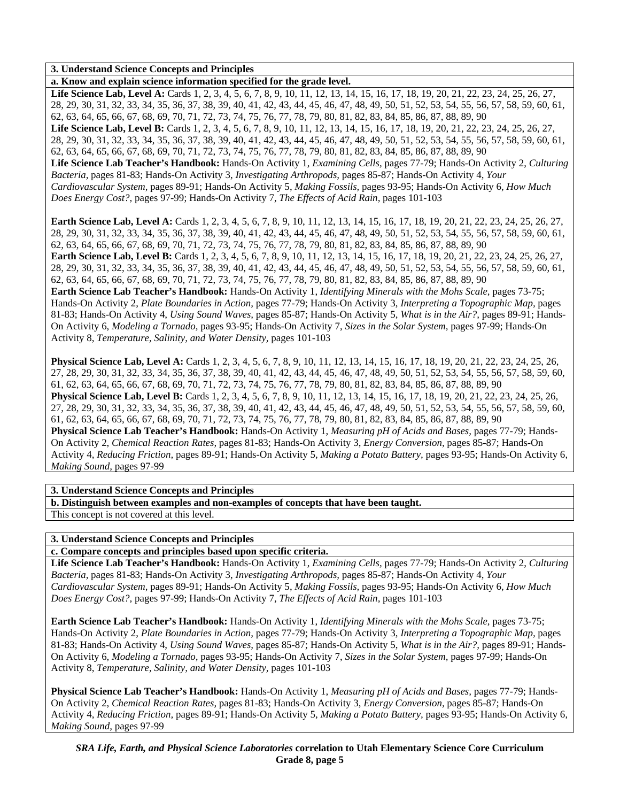### **3. Understand Science Concepts and Principles**

**a. Know and explain science information specified for the grade level.** 

Life Science Lab, Level A: Cards 1, 2, 3, 4, 5, 6, 7, 8, 9, 10, 11, 12, 13, 14, 15, 16, 17, 18, 19, 20, 21, 22, 23, 24, 25, 26, 27, 28, 29, 30, 31, 32, 33, 34, 35, 36, 37, 38, 39, 40, 41, 42, 43, 44, 45, 46, 47, 48, 49, 50, 51, 52, 53, 54, 55, 56, 57, 58, 59, 60, 61, 62, 63, 64, 65, 66, 67, 68, 69, 70, 71, 72, 73, 74, 75, 76, 77, 78, 79, 80, 81, 82, 83, 84, 85, 86, 87, 88, 89, 90 Life Science Lab, Level B: Cards 1, 2, 3, 4, 5, 6, 7, 8, 9, 10, 11, 12, 13, 14, 15, 16, 17, 18, 19, 20, 21, 22, 23, 24, 25, 26, 27, 28, 29, 30, 31, 32, 33, 34, 35, 36, 37, 38, 39, 40, 41, 42, 43, 44, 45, 46, 47, 48, 49, 50, 51, 52, 53, 54, 55, 56, 57, 58, 59, 60, 61, 62, 63, 64, 65, 66, 67, 68, 69, 70, 71, 72, 73, 74, 75, 76, 77, 78, 79, 80, 81, 82, 83, 84, 85, 86, 87, 88, 89, 90 **Life Science Lab Teacher's Handbook:** Hands-On Activity 1, *Examining Cells,* pages 77-79; Hands-On Activity 2, *Culturing Bacteria,* pages 81-83; Hands-On Activity 3, *Investigating Arthropods,* pages 85-87; Hands-On Activity 4, *Your Cardiovascular System,* pages 89-91; Hands-On Activity 5, *Making Fossils,* pages 93-95; Hands-On Activity 6, *How Much Does Energy Cost?,* pages 97-99; Hands-On Activity 7, *The Effects of Acid Rain,* pages 101-103

**Earth Science Lab, Level A:** Cards 1, 2, 3, 4, 5, 6, 7, 8, 9, 10, 11, 12, 13, 14, 15, 16, 17, 18, 19, 20, 21, 22, 23, 24, 25, 26, 27, 28, 29, 30, 31, 32, 33, 34, 35, 36, 37, 38, 39, 40, 41, 42, 43, 44, 45, 46, 47, 48, 49, 50, 51, 52, 53, 54, 55, 56, 57, 58, 59, 60, 61, 62, 63, 64, 65, 66, 67, 68, 69, 70, 71, 72, 73, 74, 75, 76, 77, 78, 79, 80, 81, 82, 83, 84, 85, 86, 87, 88, 89, 90 **Earth Science Lab, Level B:** Cards 1, 2, 3, 4, 5, 6, 7, 8, 9, 10, 11, 12, 13, 14, 15, 16, 17, 18, 19, 20, 21, 22, 23, 24, 25, 26, 27, 28, 29, 30, 31, 32, 33, 34, 35, 36, 37, 38, 39, 40, 41, 42, 43, 44, 45, 46, 47, 48, 49, 50, 51, 52, 53, 54, 55, 56, 57, 58, 59, 60, 61, 62, 63, 64, 65, 66, 67, 68, 69, 70, 71, 72, 73, 74, 75, 76, 77, 78, 79, 80, 81, 82, 83, 84, 85, 86, 87, 88, 89, 90 **Earth Science Lab Teacher's Handbook:** Hands-On Activity 1, *Identifying Minerals with the Mohs Scale,* pages 73-75; Hands-On Activity 2, *Plate Boundaries in Action,* pages 77-79; Hands-On Activity 3, *Interpreting a Topographic Map,* pages 81-83; Hands-On Activity 4, *Using Sound Waves,* pages 85-87; Hands-On Activity 5, *What is in the Air?,* pages 89-91; Hands-On Activity 6, *Modeling a Tornado,* pages 93-95; Hands-On Activity 7, *Sizes in the Solar System,* pages 97-99; Hands-On Activity 8, *Temperature, Salinity, and Water Density,* pages 101-103

**Physical Science Lab, Level A:** Cards 1, 2, 3, 4, 5, 6, 7, 8, 9, 10, 11, 12, 13, 14, 15, 16, 17, 18, 19, 20, 21, 22, 23, 24, 25, 26, 27, 28, 29, 30, 31, 32, 33, 34, 35, 36, 37, 38, 39, 40, 41, 42, 43, 44, 45, 46, 47, 48, 49, 50, 51, 52, 53, 54, 55, 56, 57, 58, 59, 60, 61, 62, 63, 64, 65, 66, 67, 68, 69, 70, 71, 72, 73, 74, 75, 76, 77, 78, 79, 80, 81, 82, 83, 84, 85, 86, 87, 88, 89, 90 **Physical Science Lab, Level B:** Cards 1, 2, 3, 4, 5, 6, 7, 8, 9, 10, 11, 12, 13, 14, 15, 16, 17, 18, 19, 20, 21, 22, 23, 24, 25, 26, 27, 28, 29, 30, 31, 32, 33, 34, 35, 36, 37, 38, 39, 40, 41, 42, 43, 44, 45, 46, 47, 48, 49, 50, 51, 52, 53, 54, 55, 56, 57, 58, 59, 60, 61, 62, 63, 64, 65, 66, 67, 68, 69, 70, 71, 72, 73, 74, 75, 76, 77, 78, 79, 80, 81, 82, 83, 84, 85, 86, 87, 88, 89, 90 **Physical Science Lab Teacher's Handbook:** Hands-On Activity 1, *Measuring pH of Acids and Bases,* pages 77-79; Hands-On Activity 2, *Chemical Reaction Rates,* pages 81-83; Hands-On Activity 3, *Energy Conversion,* pages 85-87; Hands-On Activity 4, *Reducing Friction,* pages 89-91; Hands-On Activity 5, *Making a Potato Battery,* pages 93-95; Hands-On Activity 6, *Making Sound,* pages 97-99

**3. Understand Science Concepts and Principles** 

**b. Distinguish between examples and non-examples of concepts that have been taught.**  This concept is not covered at this level.

### **3. Understand Science Concepts and Principles**

**c. Compare concepts and principles based upon specific criteria.** 

**Life Science Lab Teacher's Handbook:** Hands-On Activity 1, *Examining Cells,* pages 77-79; Hands-On Activity 2, *Culturing Bacteria,* pages 81-83; Hands-On Activity 3, *Investigating Arthropods,* pages 85-87; Hands-On Activity 4, *Your Cardiovascular System,* pages 89-91; Hands-On Activity 5, *Making Fossils,* pages 93-95; Hands-On Activity 6, *How Much Does Energy Cost?,* pages 97-99; Hands-On Activity 7, *The Effects of Acid Rain,* pages 101-103

**Earth Science Lab Teacher's Handbook:** Hands-On Activity 1, *Identifying Minerals with the Mohs Scale,* pages 73-75; Hands-On Activity 2, *Plate Boundaries in Action,* pages 77-79; Hands-On Activity 3, *Interpreting a Topographic Map,* pages 81-83; Hands-On Activity 4, *Using Sound Waves,* pages 85-87; Hands-On Activity 5, *What is in the Air?,* pages 89-91; Hands-On Activity 6, *Modeling a Tornado,* pages 93-95; Hands-On Activity 7, *Sizes in the Solar System,* pages 97-99; Hands-On Activity 8, *Temperature, Salinity, and Water Density,* pages 101-103

**Physical Science Lab Teacher's Handbook:** Hands-On Activity 1, *Measuring pH of Acids and Bases,* pages 77-79; Hands-On Activity 2, *Chemical Reaction Rates,* pages 81-83; Hands-On Activity 3, *Energy Conversion,* pages 85-87; Hands-On Activity 4, *Reducing Friction,* pages 89-91; Hands-On Activity 5, *Making a Potato Battery,* pages 93-95; Hands-On Activity 6, *Making Sound,* pages 97-99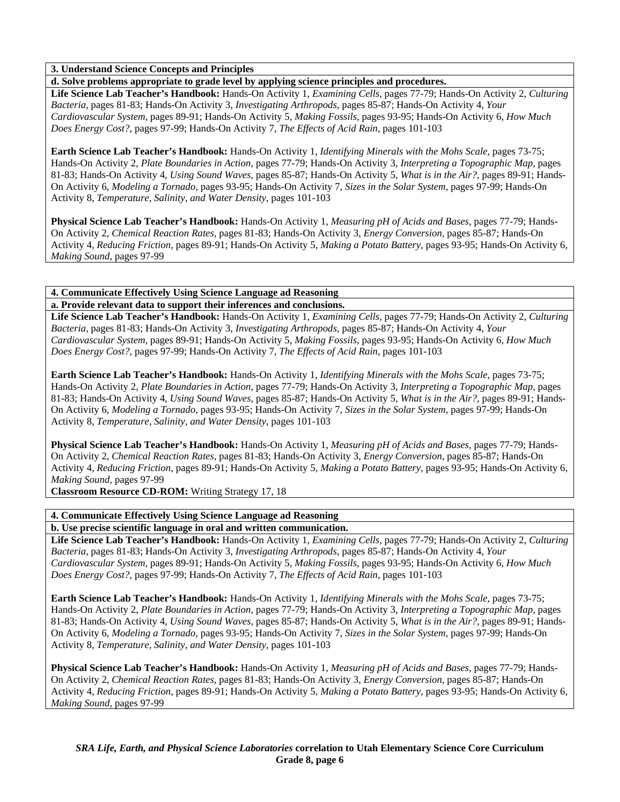# **3. Understand Science Concepts and Principles**

**d. Solve problems appropriate to grade level by applying science principles and procedures.** 

**Life Science Lab Teacher's Handbook:** Hands-On Activity 1, *Examining Cells,* pages 77-79; Hands-On Activity 2, *Culturing Bacteria,* pages 81-83; Hands-On Activity 3, *Investigating Arthropods,* pages 85-87; Hands-On Activity 4, *Your Cardiovascular System,* pages 89-91; Hands-On Activity 5, *Making Fossils,* pages 93-95; Hands-On Activity 6, *How Much Does Energy Cost?,* pages 97-99; Hands-On Activity 7, *The Effects of Acid Rain,* pages 101-103

**Earth Science Lab Teacher's Handbook:** Hands-On Activity 1, *Identifying Minerals with the Mohs Scale,* pages 73-75; Hands-On Activity 2, *Plate Boundaries in Action,* pages 77-79; Hands-On Activity 3, *Interpreting a Topographic Map,* pages 81-83; Hands-On Activity 4, *Using Sound Waves,* pages 85-87; Hands-On Activity 5, *What is in the Air?,* pages 89-91; Hands-On Activity 6, *Modeling a Tornado,* pages 93-95; Hands-On Activity 7, *Sizes in the Solar System,* pages 97-99; Hands-On Activity 8, *Temperature, Salinity, and Water Density,* pages 101-103

**Physical Science Lab Teacher's Handbook:** Hands-On Activity 1, *Measuring pH of Acids and Bases,* pages 77-79; Hands-On Activity 2, *Chemical Reaction Rates,* pages 81-83; Hands-On Activity 3, *Energy Conversion,* pages 85-87; Hands-On Activity 4, *Reducing Friction,* pages 89-91; Hands-On Activity 5, *Making a Potato Battery,* pages 93-95; Hands-On Activity 6, *Making Sound,* pages 97-99

#### **4. Communicate Effectively Using Science Language ad Reasoning a. Provide relevant data to support their inferences and conclusions.**

**Life Science Lab Teacher's Handbook:** Hands-On Activity 1, *Examining Cells,* pages 77-79; Hands-On Activity 2, *Culturing Bacteria,* pages 81-83; Hands-On Activity 3, *Investigating Arthropods,* pages 85-87; Hands-On Activity 4, *Your Cardiovascular System,* pages 89-91; Hands-On Activity 5, *Making Fossils,* pages 93-95; Hands-On Activity 6, *How Much Does Energy Cost?,* pages 97-99; Hands-On Activity 7, *The Effects of Acid Rain,* pages 101-103

**Earth Science Lab Teacher's Handbook:** Hands-On Activity 1, *Identifying Minerals with the Mohs Scale,* pages 73-75; Hands-On Activity 2, *Plate Boundaries in Action,* pages 77-79; Hands-On Activity 3, *Interpreting a Topographic Map,* pages 81-83; Hands-On Activity 4, *Using Sound Waves,* pages 85-87; Hands-On Activity 5, *What is in the Air?,* pages 89-91; Hands-On Activity 6, *Modeling a Tornado,* pages 93-95; Hands-On Activity 7, *Sizes in the Solar System,* pages 97-99; Hands-On Activity 8, *Temperature, Salinity, and Water Density,* pages 101-103

**Physical Science Lab Teacher's Handbook:** Hands-On Activity 1, *Measuring pH of Acids and Bases,* pages 77-79; Hands-On Activity 2, *Chemical Reaction Rates,* pages 81-83; Hands-On Activity 3, *Energy Conversion,* pages 85-87; Hands-On Activity 4, *Reducing Friction,* pages 89-91; Hands-On Activity 5, *Making a Potato Battery,* pages 93-95; Hands-On Activity 6, *Making Sound,* pages 97-99

**Classroom Resource CD-ROM:** Writing Strategy 17, 18

# **4. Communicate Effectively Using Science Language ad Reasoning**

**b. Use precise scientific language in oral and written communication.** 

**Life Science Lab Teacher's Handbook:** Hands-On Activity 1, *Examining Cells,* pages 77-79; Hands-On Activity 2, *Culturing Bacteria,* pages 81-83; Hands-On Activity 3, *Investigating Arthropods,* pages 85-87; Hands-On Activity 4, *Your Cardiovascular System,* pages 89-91; Hands-On Activity 5, *Making Fossils,* pages 93-95; Hands-On Activity 6, *How Much Does Energy Cost?,* pages 97-99; Hands-On Activity 7, *The Effects of Acid Rain,* pages 101-103

**Earth Science Lab Teacher's Handbook:** Hands-On Activity 1, *Identifying Minerals with the Mohs Scale,* pages 73-75; Hands-On Activity 2, *Plate Boundaries in Action,* pages 77-79; Hands-On Activity 3, *Interpreting a Topographic Map,* pages 81-83; Hands-On Activity 4, *Using Sound Waves,* pages 85-87; Hands-On Activity 5, *What is in the Air?,* pages 89-91; Hands-On Activity 6, *Modeling a Tornado,* pages 93-95; Hands-On Activity 7, *Sizes in the Solar System,* pages 97-99; Hands-On Activity 8, *Temperature, Salinity, and Water Density,* pages 101-103

**Physical Science Lab Teacher's Handbook:** Hands-On Activity 1, *Measuring pH of Acids and Bases,* pages 77-79; Hands-On Activity 2, *Chemical Reaction Rates,* pages 81-83; Hands-On Activity 3, *Energy Conversion,* pages 85-87; Hands-On Activity 4, *Reducing Friction,* pages 89-91; Hands-On Activity 5, *Making a Potato Battery,* pages 93-95; Hands-On Activity 6, *Making Sound,* pages 97-99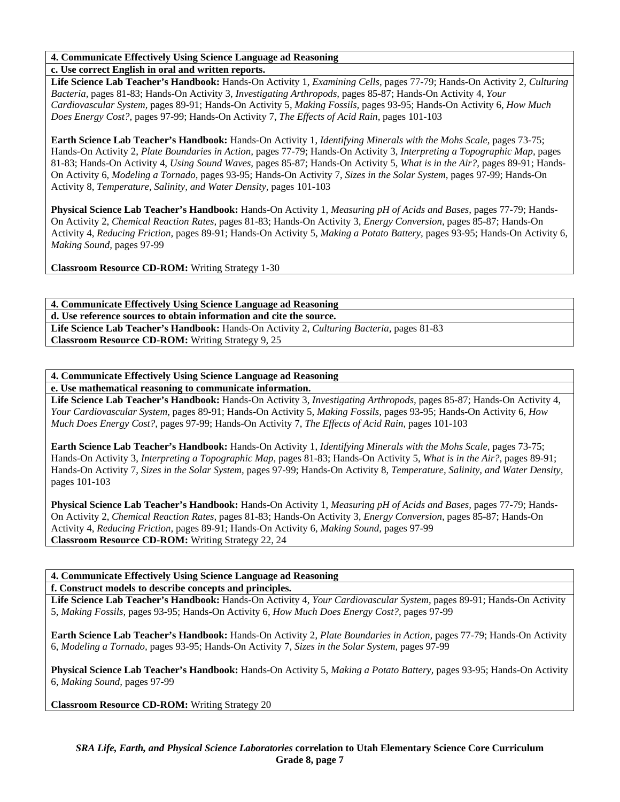# **4. Communicate Effectively Using Science Language ad Reasoning**

**c. Use correct English in oral and written reports.** 

**Life Science Lab Teacher's Handbook:** Hands-On Activity 1, *Examining Cells,* pages 77-79; Hands-On Activity 2, *Culturing Bacteria,* pages 81-83; Hands-On Activity 3, *Investigating Arthropods,* pages 85-87; Hands-On Activity 4, *Your Cardiovascular System,* pages 89-91; Hands-On Activity 5, *Making Fossils,* pages 93-95; Hands-On Activity 6, *How Much Does Energy Cost?,* pages 97-99; Hands-On Activity 7, *The Effects of Acid Rain,* pages 101-103

**Earth Science Lab Teacher's Handbook:** Hands-On Activity 1, *Identifying Minerals with the Mohs Scale,* pages 73-75; Hands-On Activity 2, *Plate Boundaries in Action,* pages 77-79; Hands-On Activity 3, *Interpreting a Topographic Map,* pages 81-83; Hands-On Activity 4, *Using Sound Waves,* pages 85-87; Hands-On Activity 5, *What is in the Air?,* pages 89-91; Hands-On Activity 6, *Modeling a Tornado,* pages 93-95; Hands-On Activity 7, *Sizes in the Solar System,* pages 97-99; Hands-On Activity 8, *Temperature, Salinity, and Water Density,* pages 101-103

**Physical Science Lab Teacher's Handbook:** Hands-On Activity 1, *Measuring pH of Acids and Bases,* pages 77-79; Hands-On Activity 2, *Chemical Reaction Rates,* pages 81-83; Hands-On Activity 3, *Energy Conversion,* pages 85-87; Hands-On Activity 4, *Reducing Friction,* pages 89-91; Hands-On Activity 5, *Making a Potato Battery,* pages 93-95; Hands-On Activity 6, *Making Sound,* pages 97-99

**Classroom Resource CD-ROM:** Writing Strategy 1-30

**4. Communicate Effectively Using Science Language ad Reasoning d. Use reference sources to obtain information and cite the source. Life Science Lab Teacher's Handbook:** Hands-On Activity 2, *Culturing Bacteria,* pages 81-83 **Classroom Resource CD-ROM:** Writing Strategy 9, 25

**4. Communicate Effectively Using Science Language ad Reasoning** 

**e. Use mathematical reasoning to communicate information.** 

**Life Science Lab Teacher's Handbook:** Hands-On Activity 3, *Investigating Arthropods,* pages 85-87; Hands-On Activity 4, *Your Cardiovascular System,* pages 89-91; Hands-On Activity 5, *Making Fossils,* pages 93-95; Hands-On Activity 6, *How Much Does Energy Cost?,* pages 97-99; Hands-On Activity 7, *The Effects of Acid Rain,* pages 101-103

**Earth Science Lab Teacher's Handbook:** Hands-On Activity 1, *Identifying Minerals with the Mohs Scale,* pages 73-75; Hands-On Activity 3, *Interpreting a Topographic Map,* pages 81-83; Hands-On Activity 5, *What is in the Air?,* pages 89-91; Hands-On Activity 7, *Sizes in the Solar System,* pages 97-99; Hands-On Activity 8, *Temperature, Salinity, and Water Density,* pages 101-103

**Physical Science Lab Teacher's Handbook:** Hands-On Activity 1, *Measuring pH of Acids and Bases,* pages 77-79; Hands-On Activity 2, *Chemical Reaction Rates,* pages 81-83; Hands-On Activity 3, *Energy Conversion,* pages 85-87; Hands-On Activity 4, *Reducing Friction,* pages 89-91; Hands-On Activity 6, *Making Sound,* pages 97-99 **Classroom Resource CD-ROM:** Writing Strategy 22, 24

**4. Communicate Effectively Using Science Language ad Reasoning** 

**f. Construct models to describe concepts and principles.** 

**Life Science Lab Teacher's Handbook:** Hands-On Activity 4, *Your Cardiovascular System,* pages 89-91; Hands-On Activity 5, *Making Fossils,* pages 93-95; Hands-On Activity 6, *How Much Does Energy Cost?,* pages 97-99

**Earth Science Lab Teacher's Handbook:** Hands-On Activity 2, *Plate Boundaries in Action,* pages 77-79; Hands-On Activity 6, *Modeling a Tornado,* pages 93-95; Hands-On Activity 7, *Sizes in the Solar System,* pages 97-99

**Physical Science Lab Teacher's Handbook:** Hands-On Activity 5, *Making a Potato Battery,* pages 93-95; Hands-On Activity 6, *Making Sound,* pages 97-99

**Classroom Resource CD-ROM:** Writing Strategy 20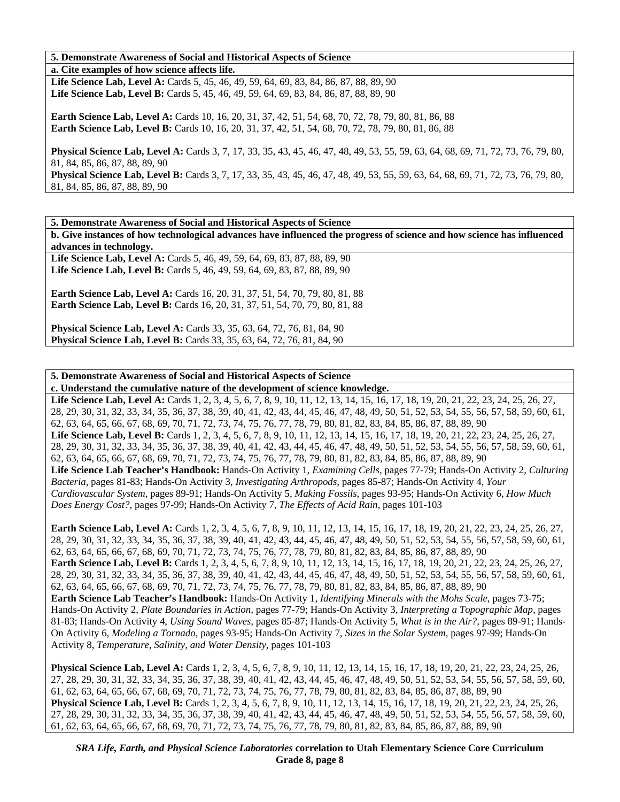### **5. Demonstrate Awareness of Social and Historical Aspects of Science**

**a. Cite examples of how science affects life.** 

Life Science Lab, Level A: Cards 5, 45, 46, 49, 59, 64, 69, 83, 84, 86, 87, 88, 89, 90 **Life Science Lab, Level B:** Cards 5, 45, 46, 49, 59, 64, 69, 83, 84, 86, 87, 88, 89, 90

**Earth Science Lab, Level A:** Cards 10, 16, 20, 31, 37, 42, 51, 54, 68, 70, 72, 78, 79, 80, 81, 86, 88 **Earth Science Lab, Level B:** Cards 10, 16, 20, 31, 37, 42, 51, 54, 68, 70, 72, 78, 79, 80, 81, 86, 88

**Physical Science Lab, Level A:** Cards 3, 7, 17, 33, 35, 43, 45, 46, 47, 48, 49, 53, 55, 59, 63, 64, 68, 69, 71, 72, 73, 76, 79, 80, 81, 84, 85, 86, 87, 88, 89, 90

**Physical Science Lab, Level B:** Cards 3, 7, 17, 33, 35, 43, 45, 46, 47, 48, 49, 53, 55, 59, 63, 64, 68, 69, 71, 72, 73, 76, 79, 80, 81, 84, 85, 86, 87, 88, 89, 90

**5. Demonstrate Awareness of Social and Historical Aspects of Science** 

**b. Give instances of how technological advances have influenced the progress of science and how science has influenced advances in technology.** 

Life Science Lab, Level A: Cards 5, 46, 49, 59, 64, 69, 83, 87, 88, 89, 90 **Life Science Lab, Level B:** Cards 5, 46, 49, 59, 64, 69, 83, 87, 88, 89, 90

**Earth Science Lab, Level A: Cards 16, 20, 31, 37, 51, 54, 70, 79, 80, 81, 88 Earth Science Lab, Level B:** Cards 16, 20, 31, 37, 51, 54, 70, 79, 80, 81, 88

**Physical Science Lab, Level A:** Cards 33, 35, 63, 64, 72, 76, 81, 84, 90 **Physical Science Lab, Level B:** Cards 33, 35, 63, 64, 72, 76, 81, 84, 90

**5. Demonstrate Awareness of Social and Historical Aspects of Science** 

**c. Understand the cumulative nature of the development of science knowledge.**  Life Science Lab, Level A: Cards 1, 2, 3, 4, 5, 6, 7, 8, 9, 10, 11, 12, 13, 14, 15, 16, 17, 18, 19, 20, 21, 22, 23, 24, 25, 26, 27, 28, 29, 30, 31, 32, 33, 34, 35, 36, 37, 38, 39, 40, 41, 42, 43, 44, 45, 46, 47, 48, 49, 50, 51, 52, 53, 54, 55, 56, 57, 58, 59, 60, 61, 62, 63, 64, 65, 66, 67, 68, 69, 70, 71, 72, 73, 74, 75, 76, 77, 78, 79, 80, 81, 82, 83, 84, 85, 86, 87, 88, 89, 90 Life Science Lab, Level B: Cards 1, 2, 3, 4, 5, 6, 7, 8, 9, 10, 11, 12, 13, 14, 15, 16, 17, 18, 19, 20, 21, 22, 23, 24, 25, 26, 27, 28, 29, 30, 31, 32, 33, 34, 35, 36, 37, 38, 39, 40, 41, 42, 43, 44, 45, 46, 47, 48, 49, 50, 51, 52, 53, 54, 55, 56, 57, 58, 59, 60, 61, 62, 63, 64, 65, 66, 67, 68, 69, 70, 71, 72, 73, 74, 75, 76, 77, 78, 79, 80, 81, 82, 83, 84, 85, 86, 87, 88, 89, 90 **Life Science Lab Teacher's Handbook:** Hands-On Activity 1, *Examining Cells,* pages 77-79; Hands-On Activity 2, *Culturing Bacteria,* pages 81-83; Hands-On Activity 3, *Investigating Arthropods,* pages 85-87; Hands-On Activity 4, *Your Cardiovascular System,* pages 89-91; Hands-On Activity 5, *Making Fossils,* pages 93-95; Hands-On Activity 6, *How Much Does Energy Cost?,* pages 97-99; Hands-On Activity 7, *The Effects of Acid Rain,* pages 101-103

Earth Science Lab, Level A: Cards 1, 2, 3, 4, 5, 6, 7, 8, 9, 10, 11, 12, 13, 14, 15, 16, 17, 18, 19, 20, 21, 22, 23, 24, 25, 26, 27, 28, 29, 30, 31, 32, 33, 34, 35, 36, 37, 38, 39, 40, 41, 42, 43, 44, 45, 46, 47, 48, 49, 50, 51, 52, 53, 54, 55, 56, 57, 58, 59, 60, 61, 62, 63, 64, 65, 66, 67, 68, 69, 70, 71, 72, 73, 74, 75, 76, 77, 78, 79, 80, 81, 82, 83, 84, 85, 86, 87, 88, 89, 90 Earth Science Lab, Level B: Cards 1, 2, 3, 4, 5, 6, 7, 8, 9, 10, 11, 12, 13, 14, 15, 16, 17, 18, 19, 20, 21, 22, 23, 24, 25, 26, 27, 28, 29, 30, 31, 32, 33, 34, 35, 36, 37, 38, 39, 40, 41, 42, 43, 44, 45, 46, 47, 48, 49, 50, 51, 52, 53, 54, 55, 56, 57, 58, 59, 60, 61, 62, 63, 64, 65, 66, 67, 68, 69, 70, 71, 72, 73, 74, 75, 76, 77, 78, 79, 80, 81, 82, 83, 84, 85, 86, 87, 88, 89, 90 **Earth Science Lab Teacher's Handbook:** Hands-On Activity 1, *Identifying Minerals with the Mohs Scale,* pages 73-75; Hands-On Activity 2, *Plate Boundaries in Action,* pages 77-79; Hands-On Activity 3, *Interpreting a Topographic Map,* pages 81-83; Hands-On Activity 4, *Using Sound Waves,* pages 85-87; Hands-On Activity 5, *What is in the Air?,* pages 89-91; Hands-On Activity 6, *Modeling a Tornado,* pages 93-95; Hands-On Activity 7, *Sizes in the Solar System,* pages 97-99; Hands-On Activity 8, *Temperature, Salinity, and Water Density,* pages 101-103

Physical Science Lab, Level A: Cards 1, 2, 3, 4, 5, 6, 7, 8, 9, 10, 11, 12, 13, 14, 15, 16, 17, 18, 19, 20, 21, 22, 23, 24, 25, 26, 27, 28, 29, 30, 31, 32, 33, 34, 35, 36, 37, 38, 39, 40, 41, 42, 43, 44, 45, 46, 47, 48, 49, 50, 51, 52, 53, 54, 55, 56, 57, 58, 59, 60, 61, 62, 63, 64, 65, 66, 67, 68, 69, 70, 71, 72, 73, 74, 75, 76, 77, 78, 79, 80, 81, 82, 83, 84, 85, 86, 87, 88, 89, 90 **Physical Science Lab, Level B:** Cards 1, 2, 3, 4, 5, 6, 7, 8, 9, 10, 11, 12, 13, 14, 15, 16, 17, 18, 19, 20, 21, 22, 23, 24, 25, 26, 27, 28, 29, 30, 31, 32, 33, 34, 35, 36, 37, 38, 39, 40, 41, 42, 43, 44, 45, 46, 47, 48, 49, 50, 51, 52, 53, 54, 55, 56, 57, 58, 59, 60, 61, 62, 63, 64, 65, 66, 67, 68, 69, 70, 71, 72, 73, 74, 75, 76, 77, 78, 79, 80, 81, 82, 83, 84, 85, 86, 87, 88, 89, 90

*SRA Life, Earth, and Physical Science Laboratories* **correlation to Utah Elementary Science Core Curriculum Grade 8, page 8**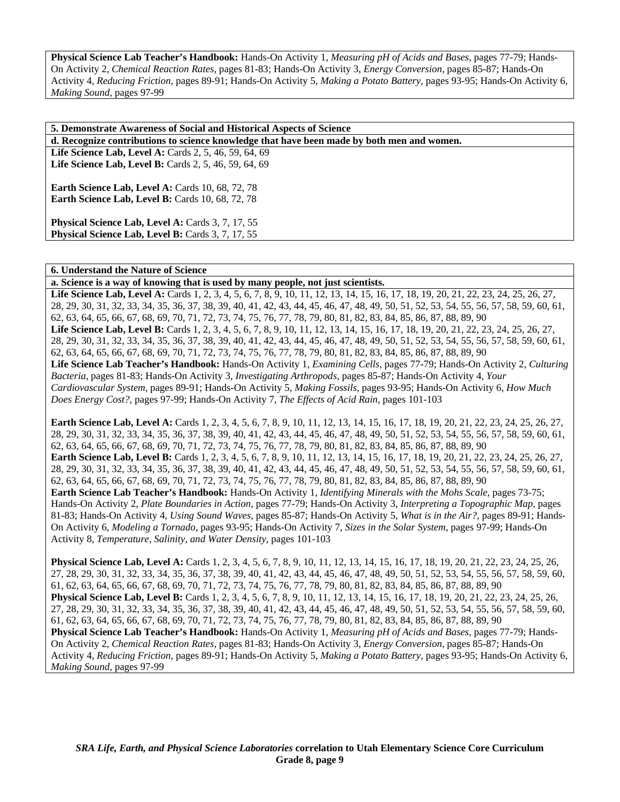**Physical Science Lab Teacher's Handbook:** Hands-On Activity 1, *Measuring pH of Acids and Bases,* pages 77-79; Hands-On Activity 2, *Chemical Reaction Rates,* pages 81-83; Hands-On Activity 3, *Energy Conversion,* pages 85-87; Hands-On Activity 4, *Reducing Friction,* pages 89-91; Hands-On Activity 5, *Making a Potato Battery,* pages 93-95; Hands-On Activity 6, *Making Sound,* pages 97-99

| 5. Demonstrate Awareness of Social and Historical Aspects of Science                                        |
|-------------------------------------------------------------------------------------------------------------|
| d. Recognize contributions to science knowledge that have been made by both men and women.                  |
| Life Science Lab, Level A: Cards 2, 5, 46, 59, 64, 69                                                       |
| <b>Life Science Lab, Level B:</b> Cards 2, 5, 46, 59, 64, 69                                                |
| Earth Science Lab, Level A: Cards 10, 68, 72, 78<br><b>Earth Science Lab, Level B:</b> Cards 10, 68, 72, 78 |
| Physical Science Lab, Level A: Cards 3, 7, 17, 55<br>Physical Science Lab, Level B: Cards 3, 7, 17, 55      |

### **6. Understand the Nature of Science**

**a. Science is a way of knowing that is used by many people, not just scientists.** 

Life Science Lab, Level A: Cards 1, 2, 3, 4, 5, 6, 7, 8, 9, 10, 11, 12, 13, 14, 15, 16, 17, 18, 19, 20, 21, 22, 23, 24, 25, 26, 27, 28, 29, 30, 31, 32, 33, 34, 35, 36, 37, 38, 39, 40, 41, 42, 43, 44, 45, 46, 47, 48, 49, 50, 51, 52, 53, 54, 55, 56, 57, 58, 59, 60, 61, 62, 63, 64, 65, 66, 67, 68, 69, 70, 71, 72, 73, 74, 75, 76, 77, 78, 79, 80, 81, 82, 83, 84, 85, 86, 87, 88, 89, 90 Life Science Lab, Level B: Cards 1, 2, 3, 4, 5, 6, 7, 8, 9, 10, 11, 12, 13, 14, 15, 16, 17, 18, 19, 20, 21, 22, 23, 24, 25, 26, 27, 28, 29, 30, 31, 32, 33, 34, 35, 36, 37, 38, 39, 40, 41, 42, 43, 44, 45, 46, 47, 48, 49, 50, 51, 52, 53, 54, 55, 56, 57, 58, 59, 60, 61, 62, 63, 64, 65, 66, 67, 68, 69, 70, 71, 72, 73, 74, 75, 76, 77, 78, 79, 80, 81, 82, 83, 84, 85, 86, 87, 88, 89, 90 **Life Science Lab Teacher's Handbook:** Hands-On Activity 1, *Examining Cells,* pages 77-79; Hands-On Activity 2, *Culturing Bacteria,* pages 81-83; Hands-On Activity 3, *Investigating Arthropods,* pages 85-87; Hands-On Activity 4, *Your Cardiovascular System,* pages 89-91; Hands-On Activity 5, *Making Fossils,* pages 93-95; Hands-On Activity 6, *How Much Does Energy Cost?,* pages 97-99; Hands-On Activity 7, *The Effects of Acid Rain,* pages 101-103

Earth Science Lab, Level A: Cards 1, 2, 3, 4, 5, 6, 7, 8, 9, 10, 11, 12, 13, 14, 15, 16, 17, 18, 19, 20, 21, 22, 23, 24, 25, 26, 27, 28, 29, 30, 31, 32, 33, 34, 35, 36, 37, 38, 39, 40, 41, 42, 43, 44, 45, 46, 47, 48, 49, 50, 51, 52, 53, 54, 55, 56, 57, 58, 59, 60, 61, 62, 63, 64, 65, 66, 67, 68, 69, 70, 71, 72, 73, 74, 75, 76, 77, 78, 79, 80, 81, 82, 83, 84, 85, 86, 87, 88, 89, 90 **Earth Science Lab, Level B:** Cards 1, 2, 3, 4, 5, 6, 7, 8, 9, 10, 11, 12, 13, 14, 15, 16, 17, 18, 19, 20, 21, 22, 23, 24, 25, 26, 27, 28, 29, 30, 31, 32, 33, 34, 35, 36, 37, 38, 39, 40, 41, 42, 43, 44, 45, 46, 47, 48, 49, 50, 51, 52, 53, 54, 55, 56, 57, 58, 59, 60, 61, 62, 63, 64, 65, 66, 67, 68, 69, 70, 71, 72, 73, 74, 75, 76, 77, 78, 79, 80, 81, 82, 83, 84, 85, 86, 87, 88, 89, 90 **Earth Science Lab Teacher's Handbook:** Hands-On Activity 1, *Identifying Minerals with the Mohs Scale,* pages 73-75; Hands-On Activity 2, *Plate Boundaries in Action,* pages 77-79; Hands-On Activity 3, *Interpreting a Topographic Map,* pages

81-83; Hands-On Activity 4, *Using Sound Waves,* pages 85-87; Hands-On Activity 5, *What is in the Air?,* pages 89-91; Hands-On Activity 6, *Modeling a Tornado,* pages 93-95; Hands-On Activity 7, *Sizes in the Solar System,* pages 97-99; Hands-On Activity 8, *Temperature, Salinity, and Water Density,* pages 101-103

**Physical Science Lab, Level A:** Cards 1, 2, 3, 4, 5, 6, 7, 8, 9, 10, 11, 12, 13, 14, 15, 16, 17, 18, 19, 20, 21, 22, 23, 24, 25, 26, 27, 28, 29, 30, 31, 32, 33, 34, 35, 36, 37, 38, 39, 40, 41, 42, 43, 44, 45, 46, 47, 48, 49, 50, 51, 52, 53, 54, 55, 56, 57, 58, 59, 60, 61, 62, 63, 64, 65, 66, 67, 68, 69, 70, 71, 72, 73, 74, 75, 76, 77, 78, 79, 80, 81, 82, 83, 84, 85, 86, 87, 88, 89, 90 **Physical Science Lab, Level B:** Cards 1, 2, 3, 4, 5, 6, 7, 8, 9, 10, 11, 12, 13, 14, 15, 16, 17, 18, 19, 20, 21, 22, 23, 24, 25, 26, 27, 28, 29, 30, 31, 32, 33, 34, 35, 36, 37, 38, 39, 40, 41, 42, 43, 44, 45, 46, 47, 48, 49, 50, 51, 52, 53, 54, 55, 56, 57, 58, 59, 60, 61, 62, 63, 64, 65, 66, 67, 68, 69, 70, 71, 72, 73, 74, 75, 76, 77, 78, 79, 80, 81, 82, 83, 84, 85, 86, 87, 88, 89, 90 **Physical Science Lab Teacher's Handbook:** Hands-On Activity 1, *Measuring pH of Acids and Bases,* pages 77-79; Hands-On Activity 2, *Chemical Reaction Rates,* pages 81-83; Hands-On Activity 3, *Energy Conversion,* pages 85-87; Hands-On Activity 4, *Reducing Friction,* pages 89-91; Hands-On Activity 5, *Making a Potato Battery,* pages 93-95; Hands-On Activity 6, *Making Sound,* pages 97-99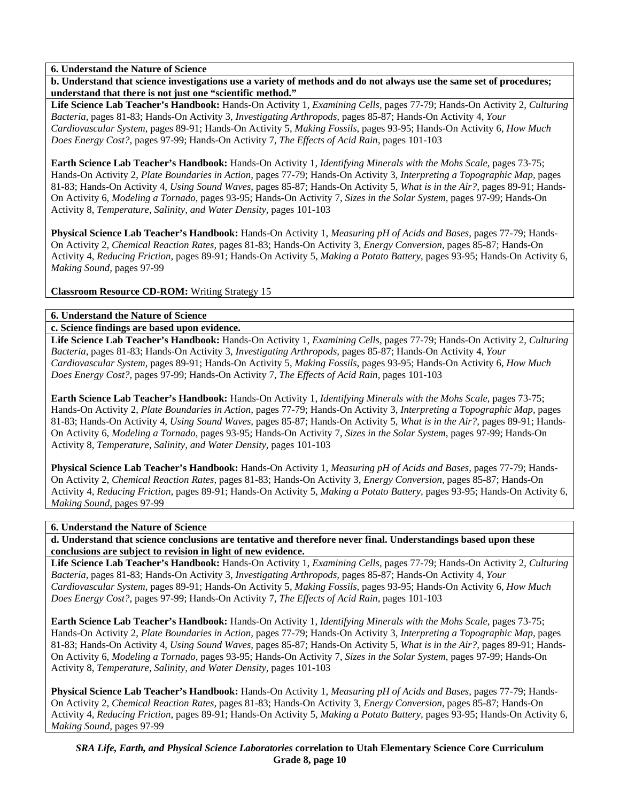**b. Understand that science investigations use a variety of methods and do not always use the same set of procedures; understand that there is not just one "scientific method."** 

**Life Science Lab Teacher's Handbook:** Hands-On Activity 1, *Examining Cells,* pages 77-79; Hands-On Activity 2, *Culturing Bacteria,* pages 81-83; Hands-On Activity 3, *Investigating Arthropods,* pages 85-87; Hands-On Activity 4, *Your Cardiovascular System,* pages 89-91; Hands-On Activity 5, *Making Fossils,* pages 93-95; Hands-On Activity 6, *How Much Does Energy Cost?,* pages 97-99; Hands-On Activity 7, *The Effects of Acid Rain,* pages 101-103

**Earth Science Lab Teacher's Handbook:** Hands-On Activity 1, *Identifying Minerals with the Mohs Scale,* pages 73-75; Hands-On Activity 2, *Plate Boundaries in Action,* pages 77-79; Hands-On Activity 3, *Interpreting a Topographic Map,* pages 81-83; Hands-On Activity 4, *Using Sound Waves,* pages 85-87; Hands-On Activity 5, *What is in the Air?,* pages 89-91; Hands-On Activity 6, *Modeling a Tornado,* pages 93-95; Hands-On Activity 7, *Sizes in the Solar System,* pages 97-99; Hands-On Activity 8, *Temperature, Salinity, and Water Density,* pages 101-103

**Physical Science Lab Teacher's Handbook:** Hands-On Activity 1, *Measuring pH of Acids and Bases,* pages 77-79; Hands-On Activity 2, *Chemical Reaction Rates,* pages 81-83; Hands-On Activity 3, *Energy Conversion,* pages 85-87; Hands-On Activity 4, *Reducing Friction,* pages 89-91; Hands-On Activity 5, *Making a Potato Battery,* pages 93-95; Hands-On Activity 6, *Making Sound,* pages 97-99

**Classroom Resource CD-ROM:** Writing Strategy 15

# **6. Understand the Nature of Science**

**c. Science findings are based upon evidence.** 

**Life Science Lab Teacher's Handbook:** Hands-On Activity 1, *Examining Cells,* pages 77-79; Hands-On Activity 2, *Culturing Bacteria,* pages 81-83; Hands-On Activity 3, *Investigating Arthropods,* pages 85-87; Hands-On Activity 4, *Your Cardiovascular System,* pages 89-91; Hands-On Activity 5, *Making Fossils,* pages 93-95; Hands-On Activity 6, *How Much Does Energy Cost?,* pages 97-99; Hands-On Activity 7, *The Effects of Acid Rain,* pages 101-103

**Earth Science Lab Teacher's Handbook:** Hands-On Activity 1, *Identifying Minerals with the Mohs Scale,* pages 73-75; Hands-On Activity 2, *Plate Boundaries in Action,* pages 77-79; Hands-On Activity 3, *Interpreting a Topographic Map,* pages 81-83; Hands-On Activity 4, *Using Sound Waves,* pages 85-87; Hands-On Activity 5, *What is in the Air?,* pages 89-91; Hands-On Activity 6, *Modeling a Tornado,* pages 93-95; Hands-On Activity 7, *Sizes in the Solar System,* pages 97-99; Hands-On Activity 8, *Temperature, Salinity, and Water Density,* pages 101-103

**Physical Science Lab Teacher's Handbook:** Hands-On Activity 1, *Measuring pH of Acids and Bases,* pages 77-79; Hands-On Activity 2, *Chemical Reaction Rates,* pages 81-83; Hands-On Activity 3, *Energy Conversion,* pages 85-87; Hands-On Activity 4, *Reducing Friction,* pages 89-91; Hands-On Activity 5, *Making a Potato Battery,* pages 93-95; Hands-On Activity 6, *Making Sound,* pages 97-99

# **6. Understand the Nature of Science**

**d. Understand that science conclusions are tentative and therefore never final. Understandings based upon these conclusions are subject to revision in light of new evidence.** 

**Life Science Lab Teacher's Handbook:** Hands-On Activity 1, *Examining Cells,* pages 77-79; Hands-On Activity 2, *Culturing Bacteria,* pages 81-83; Hands-On Activity 3, *Investigating Arthropods,* pages 85-87; Hands-On Activity 4, *Your Cardiovascular System,* pages 89-91; Hands-On Activity 5, *Making Fossils,* pages 93-95; Hands-On Activity 6, *How Much Does Energy Cost?,* pages 97-99; Hands-On Activity 7, *The Effects of Acid Rain,* pages 101-103

**Earth Science Lab Teacher's Handbook:** Hands-On Activity 1, *Identifying Minerals with the Mohs Scale,* pages 73-75; Hands-On Activity 2, *Plate Boundaries in Action,* pages 77-79; Hands-On Activity 3, *Interpreting a Topographic Map,* pages 81-83; Hands-On Activity 4, *Using Sound Waves,* pages 85-87; Hands-On Activity 5, *What is in the Air?,* pages 89-91; Hands-On Activity 6, *Modeling a Tornado,* pages 93-95; Hands-On Activity 7, *Sizes in the Solar System,* pages 97-99; Hands-On Activity 8, *Temperature, Salinity, and Water Density,* pages 101-103

**Physical Science Lab Teacher's Handbook:** Hands-On Activity 1, *Measuring pH of Acids and Bases,* pages 77-79; Hands-On Activity 2, *Chemical Reaction Rates,* pages 81-83; Hands-On Activity 3, *Energy Conversion,* pages 85-87; Hands-On Activity 4, *Reducing Friction,* pages 89-91; Hands-On Activity 5, *Making a Potato Battery,* pages 93-95; Hands-On Activity 6, *Making Sound,* pages 97-99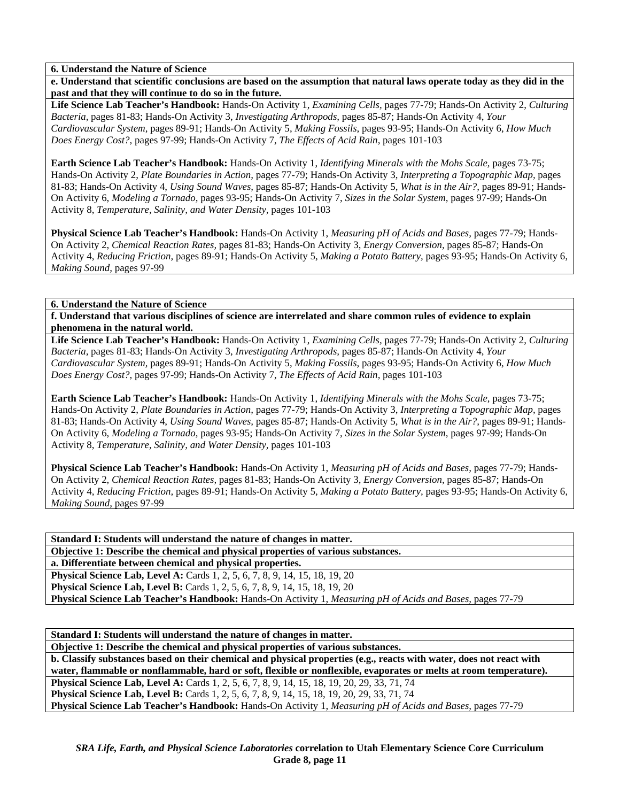**e. Understand that scientific conclusions are based on the assumption that natural laws operate today as they did in the past and that they will continue to do so in the future.** 

**Life Science Lab Teacher's Handbook:** Hands-On Activity 1, *Examining Cells,* pages 77-79; Hands-On Activity 2, *Culturing Bacteria,* pages 81-83; Hands-On Activity 3, *Investigating Arthropods,* pages 85-87; Hands-On Activity 4, *Your Cardiovascular System,* pages 89-91; Hands-On Activity 5, *Making Fossils,* pages 93-95; Hands-On Activity 6, *How Much Does Energy Cost?,* pages 97-99; Hands-On Activity 7, *The Effects of Acid Rain,* pages 101-103

**Earth Science Lab Teacher's Handbook:** Hands-On Activity 1, *Identifying Minerals with the Mohs Scale,* pages 73-75; Hands-On Activity 2, *Plate Boundaries in Action,* pages 77-79; Hands-On Activity 3, *Interpreting a Topographic Map,* pages 81-83; Hands-On Activity 4, *Using Sound Waves,* pages 85-87; Hands-On Activity 5, *What is in the Air?,* pages 89-91; Hands-On Activity 6, *Modeling a Tornado,* pages 93-95; Hands-On Activity 7, *Sizes in the Solar System,* pages 97-99; Hands-On Activity 8, *Temperature, Salinity, and Water Density,* pages 101-103

**Physical Science Lab Teacher's Handbook:** Hands-On Activity 1, *Measuring pH of Acids and Bases,* pages 77-79; Hands-On Activity 2, *Chemical Reaction Rates,* pages 81-83; Hands-On Activity 3, *Energy Conversion,* pages 85-87; Hands-On Activity 4, *Reducing Friction,* pages 89-91; Hands-On Activity 5, *Making a Potato Battery,* pages 93-95; Hands-On Activity 6, *Making Sound,* pages 97-99

### **6. Understand the Nature of Science**

**f. Understand that various disciplines of science are interrelated and share common rules of evidence to explain phenomena in the natural world.** 

**Life Science Lab Teacher's Handbook:** Hands-On Activity 1, *Examining Cells,* pages 77-79; Hands-On Activity 2, *Culturing Bacteria,* pages 81-83; Hands-On Activity 3, *Investigating Arthropods,* pages 85-87; Hands-On Activity 4, *Your Cardiovascular System,* pages 89-91; Hands-On Activity 5, *Making Fossils,* pages 93-95; Hands-On Activity 6, *How Much Does Energy Cost?,* pages 97-99; Hands-On Activity 7, *The Effects of Acid Rain,* pages 101-103

**Earth Science Lab Teacher's Handbook:** Hands-On Activity 1, *Identifying Minerals with the Mohs Scale,* pages 73-75; Hands-On Activity 2, *Plate Boundaries in Action,* pages 77-79; Hands-On Activity 3, *Interpreting a Topographic Map,* pages 81-83; Hands-On Activity 4, *Using Sound Waves,* pages 85-87; Hands-On Activity 5, *What is in the Air?,* pages 89-91; Hands-On Activity 6, *Modeling a Tornado,* pages 93-95; Hands-On Activity 7, *Sizes in the Solar System,* pages 97-99; Hands-On Activity 8, *Temperature, Salinity, and Water Density,* pages 101-103

**Physical Science Lab Teacher's Handbook:** Hands-On Activity 1, *Measuring pH of Acids and Bases,* pages 77-79; Hands-On Activity 2, *Chemical Reaction Rates,* pages 81-83; Hands-On Activity 3, *Energy Conversion,* pages 85-87; Hands-On Activity 4, *Reducing Friction,* pages 89-91; Hands-On Activity 5, *Making a Potato Battery,* pages 93-95; Hands-On Activity 6, *Making Sound,* pages 97-99

**Standard I: Students will understand the nature of changes in matter. Objective 1: Describe the chemical and physical properties of various substances. a. Differentiate between chemical and physical properties. Physical Science Lab, Level A:** Cards 1, 2, 5, 6, 7, 8, 9, 14, 15, 18, 19, 20 **Physical Science Lab, Level B:** Cards 1, 2, 5, 6, 7, 8, 9, 14, 15, 18, 19, 20 **Physical Science Lab Teacher's Handbook:** Hands-On Activity 1, *Measuring pH of Acids and Bases,* pages 77-79

**Standard I: Students will understand the nature of changes in matter.** 

**Objective 1: Describe the chemical and physical properties of various substances.** 

**b. Classify substances based on their chemical and physical properties (e.g., reacts with water, does not react with water, flammable or nonflammable, hard or soft, flexible or nonflexible, evaporates or melts at room temperature). Physical Science Lab, Level A:** Cards 1, 2, 5, 6, 7, 8, 9, 14, 15, 18, 19, 20, 29, 33, 71, 74 **Physical Science Lab, Level B:** Cards 1, 2, 5, 6, 7, 8, 9, 14, 15, 18, 19, 20, 29, 33, 71, 74 **Physical Science Lab Teacher's Handbook:** Hands-On Activity 1, *Measuring pH of Acids and Bases,* pages 77-79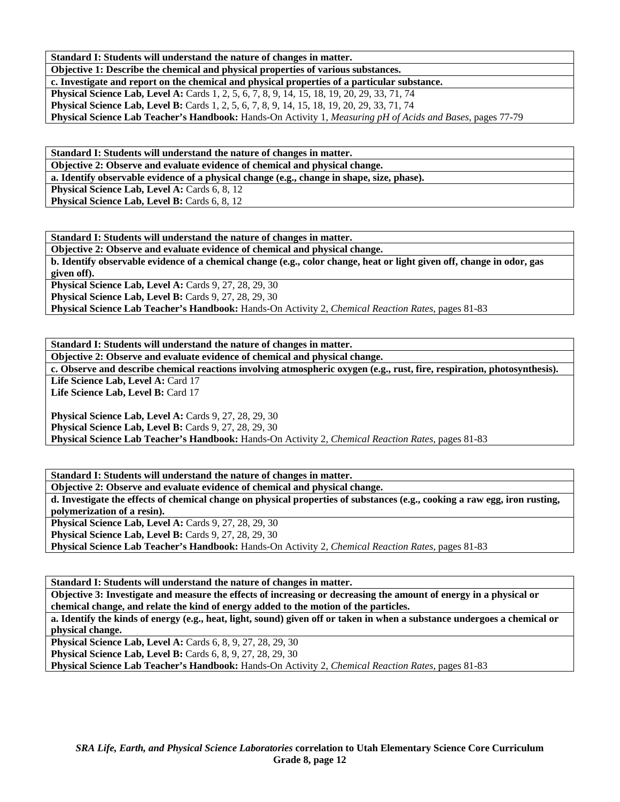**Standard I: Students will understand the nature of changes in matter.** 

**Objective 1: Describe the chemical and physical properties of various substances.** 

**c. Investigate and report on the chemical and physical properties of a particular substance.** 

**Physical Science Lab, Level A:** Cards 1, 2, 5, 6, 7, 8, 9, 14, 15, 18, 19, 20, 29, 33, 71, 74 **Physical Science Lab, Level B:** Cards 1, 2, 5, 6, 7, 8, 9, 14, 15, 18, 19, 20, 29, 33, 71, 74

**Physical Science Lab Teacher's Handbook:** Hands-On Activity 1, *Measuring pH of Acids and Bases,* pages 77-79

**Standard I: Students will understand the nature of changes in matter. Objective 2: Observe and evaluate evidence of chemical and physical change. a. Identify observable evidence of a physical change (e.g., change in shape, size, phase).** 

Physical Science Lab, Level A: Cards 6, 8, 12 **Physical Science Lab, Level B: Cards 6, 8, 12** 

**Standard I: Students will understand the nature of changes in matter.** 

**Objective 2: Observe and evaluate evidence of chemical and physical change. b. Identify observable evidence of a chemical change (e.g., color change, heat or light given off, change in odor, gas given off).** 

**Physical Science Lab, Level A: Cards 9, 27, 28, 29, 30 Physical Science Lab, Level B: Cards 9, 27, 28, 29, 30 Physical Science Lab Teacher's Handbook:** Hands-On Activity 2, *Chemical Reaction Rates,* pages 81-83

**Standard I: Students will understand the nature of changes in matter. Objective 2: Observe and evaluate evidence of chemical and physical change.** 

**c. Observe and describe chemical reactions involving atmospheric oxygen (e.g., rust, fire, respiration, photosynthesis).**  Life Science Lab, Level A: Card 17

Life Science Lab, Level B: Card 17

**Physical Science Lab, Level A: Cards 9, 27, 28, 29, 30 Physical Science Lab, Level B: Cards 9, 27, 28, 29, 30 Physical Science Lab Teacher's Handbook:** Hands-On Activity 2, *Chemical Reaction Rates,* pages 81-83

**Standard I: Students will understand the nature of changes in matter. Objective 2: Observe and evaluate evidence of chemical and physical change.** 

**d. Investigate the effects of chemical change on physical properties of substances (e.g., cooking a raw egg, iron rusting, polymerization of a resin). Physical Science Lab, Level A: Cards 9, 27, 28, 29, 30** 

**Physical Science Lab, Level B: Cards 9, 27, 28, 29, 30** 

**Physical Science Lab Teacher's Handbook:** Hands-On Activity 2, *Chemical Reaction Rates,* pages 81-83

**Standard I: Students will understand the nature of changes in matter. Objective 3: Investigate and measure the effects of increasing or decreasing the amount of energy in a physical or chemical change, and relate the kind of energy added to the motion of the particles.** 

**a. Identify the kinds of energy (e.g., heat, light, sound) given off or taken in when a substance undergoes a chemical or physical change.** 

**Physical Science Lab, Level A: Cards 6, 8, 9, 27, 28, 29, 30 Physical Science Lab, Level B:** Cards 6, 8, 9, 27, 28, 29, 30

**Physical Science Lab Teacher's Handbook:** Hands-On Activity 2, *Chemical Reaction Rates,* pages 81-83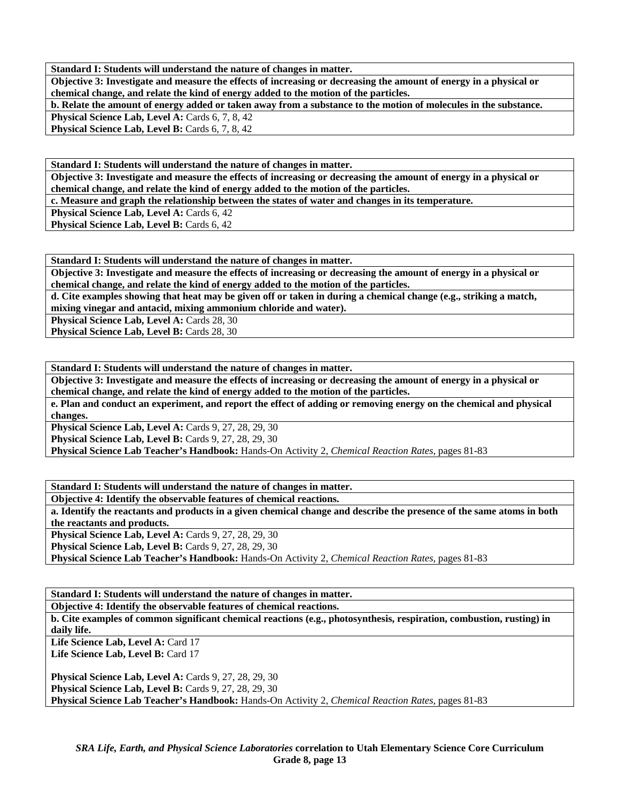**Standard I: Students will understand the nature of changes in matter.** 

**Objective 3: Investigate and measure the effects of increasing or decreasing the amount of energy in a physical or chemical change, and relate the kind of energy added to the motion of the particles.** 

**b. Relate the amount of energy added or taken away from a substance to the motion of molecules in the substance.** 

Physical Science Lab, Level A: Cards 6, 7, 8, 42 **Physical Science Lab, Level B: Cards 6, 7, 8, 42** 

**Standard I: Students will understand the nature of changes in matter.** 

**Objective 3: Investigate and measure the effects of increasing or decreasing the amount of energy in a physical or chemical change, and relate the kind of energy added to the motion of the particles.** 

**c. Measure and graph the relationship between the states of water and changes in its temperature.** 

**Physical Science Lab, Level A: Cards 6, 42** 

**Physical Science Lab, Level B: Cards 6, 42** 

**Standard I: Students will understand the nature of changes in matter.** 

**Objective 3: Investigate and measure the effects of increasing or decreasing the amount of energy in a physical or chemical change, and relate the kind of energy added to the motion of the particles.** 

**d. Cite examples showing that heat may be given off or taken in during a chemical change (e.g., striking a match, mixing vinegar and antacid, mixing ammonium chloride and water).** 

**Physical Science Lab, Level A: Cards 28, 30** 

**Physical Science Lab, Level B: Cards 28, 30** 

**Standard I: Students will understand the nature of changes in matter.** 

**Objective 3: Investigate and measure the effects of increasing or decreasing the amount of energy in a physical or chemical change, and relate the kind of energy added to the motion of the particles.** 

**e. Plan and conduct an experiment, and report the effect of adding or removing energy on the chemical and physical changes.** 

**Physical Science Lab, Level A: Cards 9, 27, 28, 29, 30** 

**Physical Science Lab, Level B: Cards 9, 27, 28, 29, 30** 

**Physical Science Lab Teacher's Handbook:** Hands-On Activity 2, *Chemical Reaction Rates,* pages 81-83

**Standard I: Students will understand the nature of changes in matter. Objective 4: Identify the observable features of chemical reactions. a. Identify the reactants and products in a given chemical change and describe the presence of the same atoms in both the reactants and products. Physical Science Lab, Level A: Cards 9, 27, 28, 29, 30 Physical Science Lab, Level B: Cards 9, 27, 28, 29, 30** 

**Physical Science Lab Teacher's Handbook:** Hands-On Activity 2, *Chemical Reaction Rates,* pages 81-83

**Standard I: Students will understand the nature of changes in matter. Objective 4: Identify the observable features of chemical reactions.** 

**b. Cite examples of common significant chemical reactions (e.g., photosynthesis, respiration, combustion, rusting) in daily life.** 

Life Science Lab, Level A: Card 17 Life Science Lab, Level B: Card 17

**Physical Science Lab, Level A: Cards 9, 27, 28, 29, 30 Physical Science Lab, Level B: Cards 9, 27, 28, 29, 30 Physical Science Lab Teacher's Handbook:** Hands-On Activity 2, *Chemical Reaction Rates,* pages 81-83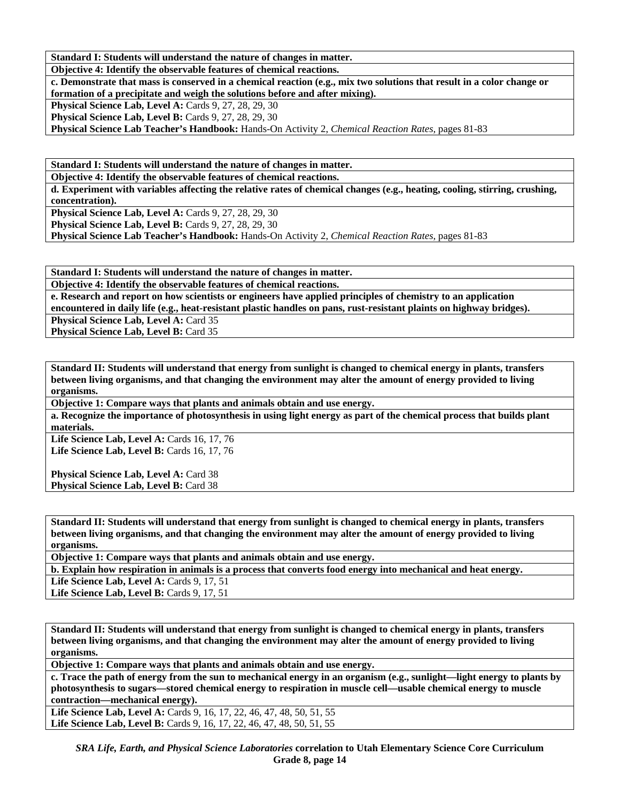**Standard I: Students will understand the nature of changes in matter.** 

**Objective 4: Identify the observable features of chemical reactions.** 

**c. Demonstrate that mass is conserved in a chemical reaction (e.g., mix two solutions that result in a color change or formation of a precipitate and weigh the solutions before and after mixing).** 

**Physical Science Lab, Level A: Cards 9, 27, 28, 29, 30** 

**Physical Science Lab, Level B:** Cards 9, 27, 28, 29, 30

**Physical Science Lab Teacher's Handbook:** Hands-On Activity 2, *Chemical Reaction Rates,* pages 81-83

**Standard I: Students will understand the nature of changes in matter.** 

**Objective 4: Identify the observable features of chemical reactions.** 

**d. Experiment with variables affecting the relative rates of chemical changes (e.g., heating, cooling, stirring, crushing, concentration).** 

**Physical Science Lab, Level A: Cards 9, 27, 28, 29, 30** 

**Physical Science Lab, Level B: Cards 9, 27, 28, 29, 30** 

**Physical Science Lab Teacher's Handbook:** Hands-On Activity 2, *Chemical Reaction Rates,* pages 81-83

**Standard I: Students will understand the nature of changes in matter.** 

**Objective 4: Identify the observable features of chemical reactions.** 

**e. Research and report on how scientists or engineers have applied principles of chemistry to an application encountered in daily life (e.g., heat-resistant plastic handles on pans, rust-resistant plaints on highway bridges).** 

Physical Science Lab, Level A: Card 35

**Physical Science Lab, Level B: Card 35** 

**Standard II: Students will understand that energy from sunlight is changed to chemical energy in plants, transfers between living organisms, and that changing the environment may alter the amount of energy provided to living organisms.** 

**Objective 1: Compare ways that plants and animals obtain and use energy.** 

**a. Recognize the importance of photosynthesis in using light energy as part of the chemical process that builds plant materials.** 

Life Science Lab, Level A: Cards 16, 17, 76 Life Science Lab, Level B: Cards 16, 17, 76

**Physical Science Lab, Level A: Card 38** Physical Science Lab, Level B: Card 38

**Standard II: Students will understand that energy from sunlight is changed to chemical energy in plants, transfers between living organisms, and that changing the environment may alter the amount of energy provided to living organisms.** 

**Objective 1: Compare ways that plants and animals obtain and use energy.** 

**b. Explain how respiration in animals is a process that converts food energy into mechanical and heat energy.** 

**Life Science Lab, Level A: Cards 9, 17, 51** 

**Life Science Lab, Level B: Cards 9, 17, 51** 

**Standard II: Students will understand that energy from sunlight is changed to chemical energy in plants, transfers between living organisms, and that changing the environment may alter the amount of energy provided to living organisms.** 

**Objective 1: Compare ways that plants and animals obtain and use energy.** 

**c. Trace the path of energy from the sun to mechanical energy in an organism (e.g., sunlight—light energy to plants by photosynthesis to sugars—stored chemical energy to respiration in muscle cell—usable chemical energy to muscle contraction—mechanical energy).** 

Life Science Lab, Level A: Cards 9, 16, 17, 22, 46, 47, 48, 50, 51, 55 Life Science Lab, Level B: Cards 9, 16, 17, 22, 46, 47, 48, 50, 51, 55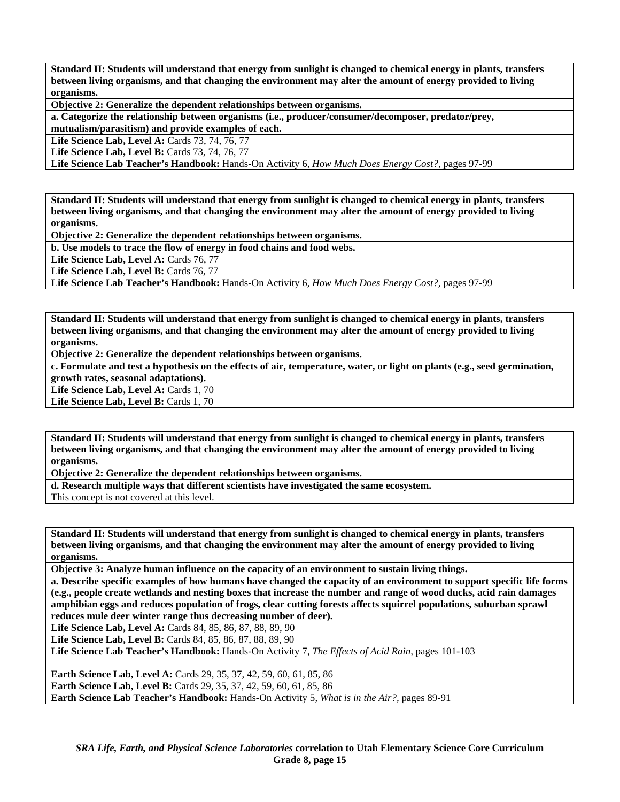**Standard II: Students will understand that energy from sunlight is changed to chemical energy in plants, transfers between living organisms, and that changing the environment may alter the amount of energy provided to living organisms.** 

**Objective 2: Generalize the dependent relationships between organisms.** 

**a. Categorize the relationship between organisms (i.e., producer/consumer/decomposer, predator/prey, mutualism/parasitism) and provide examples of each.** 

**Life Science Lab, Level A:** Cards 73, 74, 76, 77

**Life Science Lab, Level B: Cards 73, 74, 76, 77** 

**Life Science Lab Teacher's Handbook:** Hands-On Activity 6, *How Much Does Energy Cost?,* pages 97-99

**Standard II: Students will understand that energy from sunlight is changed to chemical energy in plants, transfers between living organisms, and that changing the environment may alter the amount of energy provided to living organisms.** 

**Objective 2: Generalize the dependent relationships between organisms.** 

**b. Use models to trace the flow of energy in food chains and food webs.** 

**Life Science Lab, Level A: Cards 76, 77** 

Life Science Lab, Level B: Cards 76, 77

**Life Science Lab Teacher's Handbook:** Hands-On Activity 6, *How Much Does Energy Cost?,* pages 97-99

**Standard II: Students will understand that energy from sunlight is changed to chemical energy in plants, transfers between living organisms, and that changing the environment may alter the amount of energy provided to living organisms.** 

**Objective 2: Generalize the dependent relationships between organisms.** 

**c. Formulate and test a hypothesis on the effects of air, temperature, water, or light on plants (e.g., seed germination, growth rates, seasonal adaptations).** 

Life Science Lab, Level A: Cards 1, 70

Life Science Lab, Level B: Cards 1, 70

**Standard II: Students will understand that energy from sunlight is changed to chemical energy in plants, transfers between living organisms, and that changing the environment may alter the amount of energy provided to living organisms.** 

**Objective 2: Generalize the dependent relationships between organisms.** 

**d. Research multiple ways that different scientists have investigated the same ecosystem.** 

This concept is not covered at this level.

**Standard II: Students will understand that energy from sunlight is changed to chemical energy in plants, transfers between living organisms, and that changing the environment may alter the amount of energy provided to living organisms.** 

**Objective 3: Analyze human influence on the capacity of an environment to sustain living things.** 

**a. Describe specific examples of how humans have changed the capacity of an environment to support specific life forms (e.g., people create wetlands and nesting boxes that increase the number and range of wood ducks, acid rain damages amphibian eggs and reduces population of frogs, clear cutting forests affects squirrel populations, suburban sprawl reduces mule deer winter range thus decreasing number of deer).** 

**Life Science Lab, Level A:** Cards 84, 85, 86, 87, 88, 89, 90

Life Science Lab, Level B: Cards 84, 85, 86, 87, 88, 89, 90

**Life Science Lab Teacher's Handbook:** Hands-On Activity 7, *The Effects of Acid Rain,* pages 101-103

**Earth Science Lab, Level A:** Cards 29, 35, 37, 42, 59, 60, 61, 85, 86 **Earth Science Lab, Level B:** Cards 29, 35, 37, 42, 59, 60, 61, 85, 86 **Earth Science Lab Teacher's Handbook:** Hands-On Activity 5, *What is in the Air?,* pages 89-91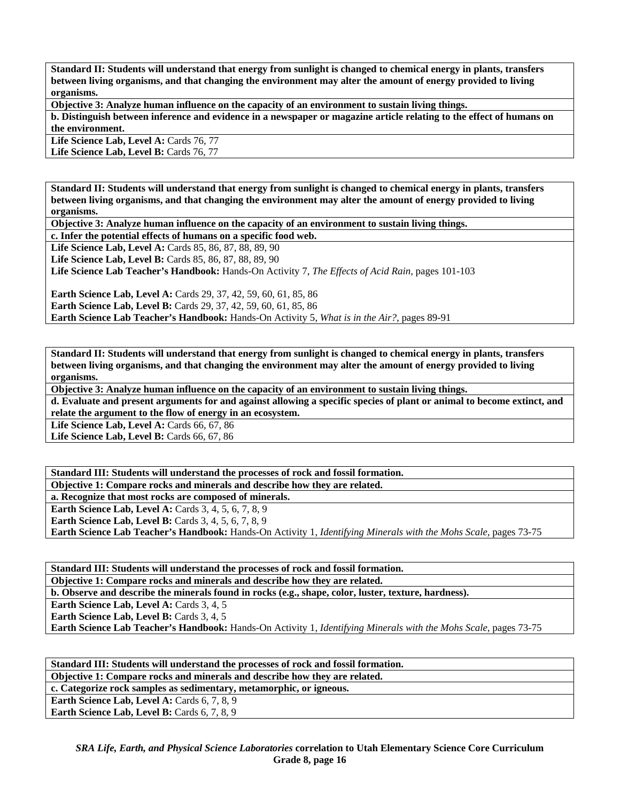**Standard II: Students will understand that energy from sunlight is changed to chemical energy in plants, transfers between living organisms, and that changing the environment may alter the amount of energy provided to living organisms.** 

**Objective 3: Analyze human influence on the capacity of an environment to sustain living things.** 

**b. Distinguish between inference and evidence in a newspaper or magazine article relating to the effect of humans on the environment.** 

Life Science Lab, Level A: Cards 76, 77 Life Science Lab, Level B: Cards 76, 77

**organisms.** 

**Standard II: Students will understand that energy from sunlight is changed to chemical energy in plants, transfers between living organisms, and that changing the environment may alter the amount of energy provided to living** 

**Objective 3: Analyze human influence on the capacity of an environment to sustain living things.** 

**c. Infer the potential effects of humans on a specific food web.** 

Life Science Lab, Level A: Cards 85, 86, 87, 88, 89, 90 **Life Science Lab, Level B:** Cards 85, 86, 87, 88, 89, 90 **Life Science Lab Teacher's Handbook:** Hands-On Activity 7, *The Effects of Acid Rain,* pages 101-103

**Earth Science Lab, Level A:** Cards 29, 37, 42, 59, 60, 61, 85, 86 **Earth Science Lab, Level B:** Cards 29, 37, 42, 59, 60, 61, 85, 86 **Earth Science Lab Teacher's Handbook:** Hands-On Activity 5, *What is in the Air?,* pages 89-91

**Standard II: Students will understand that energy from sunlight is changed to chemical energy in plants, transfers between living organisms, and that changing the environment may alter the amount of energy provided to living organisms.** 

**Objective 3: Analyze human influence on the capacity of an environment to sustain living things.** 

**d. Evaluate and present arguments for and against allowing a specific species of plant or animal to become extinct, and relate the argument to the flow of energy in an ecosystem.** 

**Life Science Lab, Level A: Cards 66, 67, 86** 

**Life Science Lab, Level B: Cards 66, 67, 86** 

**Standard III: Students will understand the processes of rock and fossil formation. Objective 1: Compare rocks and minerals and describe how they are related. a. Recognize that most rocks are composed of minerals. Earth Science Lab, Level A: Cards 3, 4, 5, 6, 7, 8, 9 Earth Science Lab, Level B:** Cards 3, 4, 5, 6, 7, 8, 9 **Earth Science Lab Teacher's Handbook:** Hands-On Activity 1, *Identifying Minerals with the Mohs Scale,* pages 73-75

**Standard III: Students will understand the processes of rock and fossil formation.** 

**Objective 1: Compare rocks and minerals and describe how they are related.** 

**b. Observe and describe the minerals found in rocks (e.g., shape, color, luster, texture, hardness).** 

**Earth Science Lab, Level A: Cards 3, 4, 5 Earth Science Lab, Level B:** Cards 3, 4, 5

**Earth Science Lab Teacher's Handbook:** Hands-On Activity 1, *Identifying Minerals with the Mohs Scale,* pages 73-75

**Standard III: Students will understand the processes of rock and fossil formation. Objective 1: Compare rocks and minerals and describe how they are related.** 

**c. Categorize rock samples as sedimentary, metamorphic, or igneous.** 

**Earth Science Lab, Level A: Cards 6, 7, 8, 9** 

**Earth Science Lab, Level B:** Cards 6, 7, 8, 9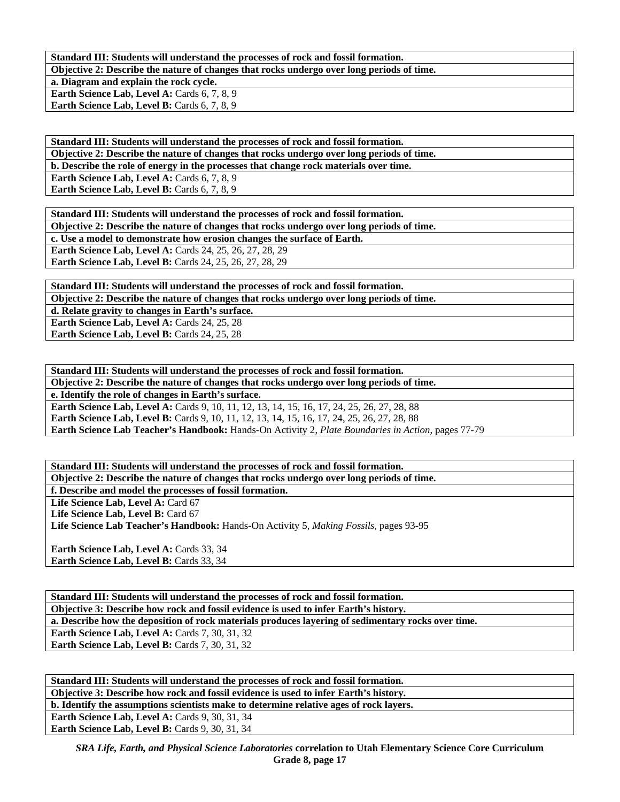**Standard III: Students will understand the processes of rock and fossil formation.** 

**Objective 2: Describe the nature of changes that rocks undergo over long periods of time.** 

**a. Diagram and explain the rock cycle. Earth Science Lab, Level A: Cards 6, 7, 8, 9 Earth Science Lab, Level B: Cards 6, 7, 8, 9** 

**Standard III: Students will understand the processes of rock and fossil formation. Objective 2: Describe the nature of changes that rocks undergo over long periods of time. b. Describe the role of energy in the processes that change rock materials over time. Earth Science Lab, Level A: Cards 6, 7, 8, 9** 

Earth Science Lab, Level B: Cards 6, 7, 8, 9

**Standard III: Students will understand the processes of rock and fossil formation. Objective 2: Describe the nature of changes that rocks undergo over long periods of time. c. Use a model to demonstrate how erosion changes the surface of Earth. Earth Science Lab, Level A: Cards 24, 25, 26, 27, 28, 29 Earth Science Lab, Level B:** Cards 24, 25, 26, 27, 28, 29

**Standard III: Students will understand the processes of rock and fossil formation. Objective 2: Describe the nature of changes that rocks undergo over long periods of time. d. Relate gravity to changes in Earth's surface.**  Earth Science Lab, Level A: Cards 24, 25, 28 Earth Science Lab, Level B: Cards 24, 25, 28

**Standard III: Students will understand the processes of rock and fossil formation. Objective 2: Describe the nature of changes that rocks undergo over long periods of time. e. Identify the role of changes in Earth's surface. Earth Science Lab, Level A:** Cards 9, 10, 11, 12, 13, 14, 15, 16, 17, 24, 25, 26, 27, 28, 88 Earth Science Lab, Level B: Cards 9, 10, 11, 12, 13, 14, 15, 16, 17, 24, 25, 26, 27, 28, 88 **Earth Science Lab Teacher's Handbook:** Hands-On Activity 2, *Plate Boundaries in Action,* pages 77-79

**Standard III: Students will understand the processes of rock and fossil formation. Objective 2: Describe the nature of changes that rocks undergo over long periods of time. f. Describe and model the processes of fossil formation.** 

Life Science Lab, Level A: Card 67

Life Science Lab, Level B: Card 67

**Life Science Lab Teacher's Handbook:** Hands-On Activity 5, *Making Fossils,* pages 93-95

**Earth Science Lab, Level A: Cards 33, 34 Earth Science Lab, Level B: Cards 33, 34** 

**Standard III: Students will understand the processes of rock and fossil formation. Objective 3: Describe how rock and fossil evidence is used to infer Earth's history. a. Describe how the deposition of rock materials produces layering of sedimentary rocks over time. Earth Science Lab, Level A: Cards 7, 30, 31, 32 Earth Science Lab, Level B: Cards 7, 30, 31, 32** 

**Standard III: Students will understand the processes of rock and fossil formation. Objective 3: Describe how rock and fossil evidence is used to infer Earth's history. b. Identify the assumptions scientists make to determine relative ages of rock layers. Earth Science Lab, Level A: Cards 9, 30, 31, 34 Earth Science Lab, Level B: Cards 9, 30, 31, 34** 

*SRA Life, Earth, and Physical Science Laboratories* **correlation to Utah Elementary Science Core Curriculum Grade 8, page 17**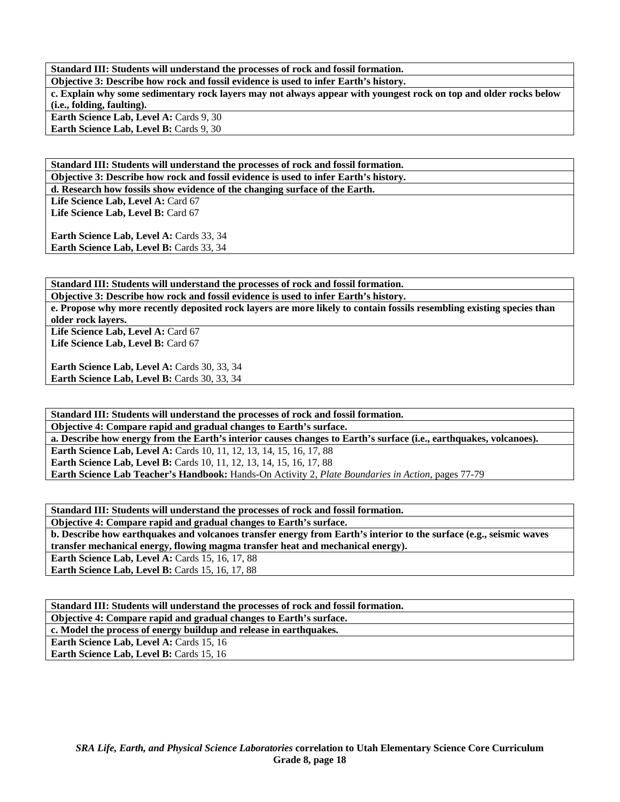**Standard III: Students will understand the processes of rock and fossil formation. Objective 3: Describe how rock and fossil evidence is used to infer Earth's history. c. Explain why some sedimentary rock layers may not always appear with youngest rock on top and older rocks below (i.e., folding, faulting).**  Earth Science Lab, Level A: Cards 9, 30 **Earth Science Lab, Level B: Cards 9, 30** 

**Standard III: Students will understand the processes of rock and fossil formation. Objective 3: Describe how rock and fossil evidence is used to infer Earth's history. d. Research how fossils show evidence of the changing surface of the Earth.** 

Life Science Lab, Level A: Card 67 Life Science Lab, Level B: Card 67

**Earth Science Lab, Level A: Cards 33, 34** Earth Science Lab, Level B: Cards 33, 34

**Standard III: Students will understand the processes of rock and fossil formation.** 

**Objective 3: Describe how rock and fossil evidence is used to infer Earth's history.** 

**e. Propose why more recently deposited rock layers are more likely to contain fossils resembling existing species than older rock layers.** 

Life Science Lab, Level A: Card 67 Life Science Lab, Level B: Card 67

**Earth Science Lab, Level A: Cards 30, 33, 34** Earth Science Lab, Level B: Cards 30, 33, 34

**Standard III: Students will understand the processes of rock and fossil formation. Objective 4: Compare rapid and gradual changes to Earth's surface. a. Describe how energy from the Earth's interior causes changes to Earth's surface (i.e., earthquakes, volcanoes). Earth Science Lab, Level A:** Cards 10, 11, 12, 13, 14, 15, 16, 17, 88 **Earth Science Lab, Level B:** Cards 10, 11, 12, 13, 14, 15, 16, 17, 88 **Earth Science Lab Teacher's Handbook:** Hands-On Activity 2, *Plate Boundaries in Action,* pages 77-79

**Standard III: Students will understand the processes of rock and fossil formation.** 

**Objective 4: Compare rapid and gradual changes to Earth's surface.** 

**b. Describe how earthquakes and volcanoes transfer energy from Earth's interior to the surface (e.g., seismic waves transfer mechanical energy, flowing magma transfer heat and mechanical energy). Earth Science Lab, Level A: Cards 15, 16, 17, 88** 

**Earth Science Lab, Level B: Cards 15, 16, 17, 88** 

**Standard III: Students will understand the processes of rock and fossil formation. Objective 4: Compare rapid and gradual changes to Earth's surface. c. Model the process of energy buildup and release in earthquakes. Earth Science Lab, Level A: Cards 15, 16 Earth Science Lab, Level B: Cards 15, 16**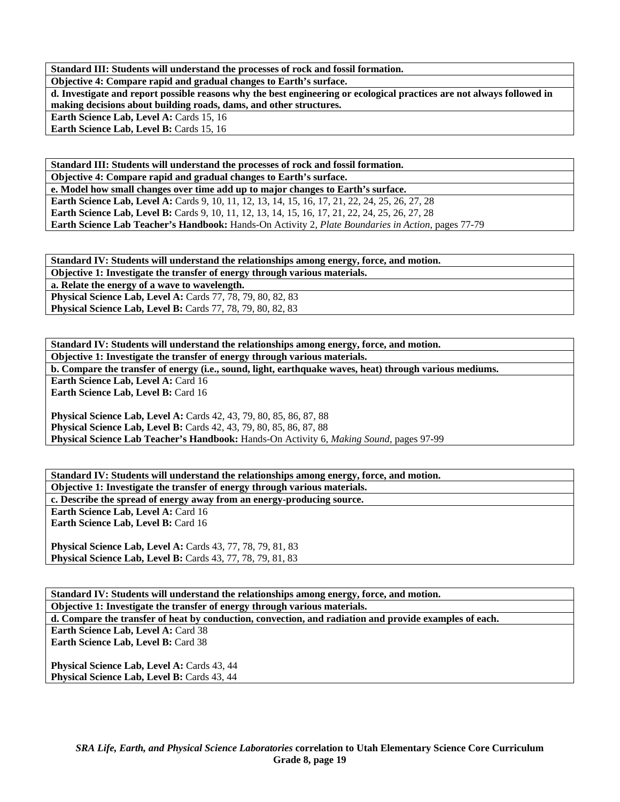**Standard III: Students will understand the processes of rock and fossil formation.** 

**Objective 4: Compare rapid and gradual changes to Earth's surface.** 

**d. Investigate and report possible reasons why the best engineering or ecological practices are not always followed in making decisions about building roads, dams, and other structures.** 

Earth Science Lab, Level A: Cards 15, 16 Earth Science Lab, Level B: Cards 15, 16

**Standard III: Students will understand the processes of rock and fossil formation. Objective 4: Compare rapid and gradual changes to Earth's surface. e. Model how small changes over time add up to major changes to Earth's surface.**  Earth Science Lab, Level A: Cards 9, 10, 11, 12, 13, 14, 15, 16, 17, 21, 22, 24, 25, 26, 27, 28 **Earth Science Lab, Level B:** Cards 9, 10, 11, 12, 13, 14, 15, 16, 17, 21, 22, 24, 25, 26, 27, 28 **Earth Science Lab Teacher's Handbook:** Hands-On Activity 2, *Plate Boundaries in Action,* pages 77-79

**Standard IV: Students will understand the relationships among energy, force, and motion. Objective 1: Investigate the transfer of energy through various materials.** 

**a. Relate the energy of a wave to wavelength. Physical Science Lab, Level A: Cards 77, 78, 79, 80, 82, 83** 

**Physical Science Lab, Level B: Cards 77, 78, 79, 80, 82, 83** 

**Physical Science Lab, Level B:** Cards 43, 77, 78, 79, 81, 83

**Standard IV: Students will understand the relationships among energy, force, and motion. Objective 1: Investigate the transfer of energy through various materials. b. Compare the transfer of energy (i.e., sound, light, earthquake waves, heat) through various mediums. Earth Science Lab, Level A: Card 16 Earth Science Lab, Level B: Card 16** 

**Physical Science Lab, Level A:** Cards 42, 43, 79, 80, 85, 86, 87, 88 **Physical Science Lab, Level B:** Cards 42, 43, 79, 80, 85, 86, 87, 88 **Physical Science Lab Teacher's Handbook:** Hands-On Activity 6, *Making Sound,* pages 97-99

**Standard IV: Students will understand the relationships among energy, force, and motion. Objective 1: Investigate the transfer of energy through various materials. c. Describe the spread of energy away from an energy-producing source. Earth Science Lab, Level A: Card 16 Earth Science Lab, Level B: Card 16 Physical Science Lab, Level A:** Cards 43, 77, 78, 79, 81, 83

**Standard IV: Students will understand the relationships among energy, force, and motion. Objective 1: Investigate the transfer of energy through various materials. d. Compare the transfer of heat by conduction, convection, and radiation and provide examples of each.**  Earth Science Lab, Level A: Card 38 **Earth Science Lab, Level B: Card 38 Physical Science Lab, Level A: Cards 43, 44 Physical Science Lab, Level B: Cards 43, 44**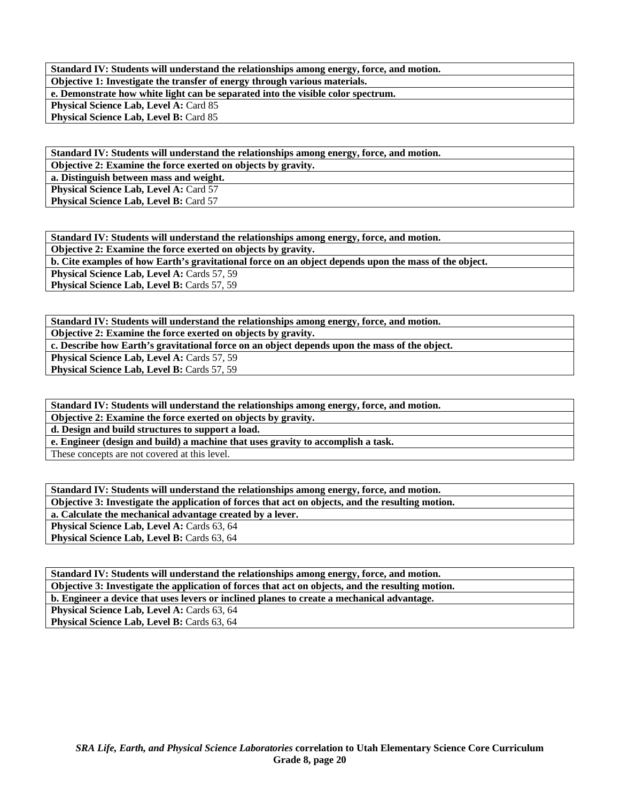**Standard IV: Students will understand the relationships among energy, force, and motion. Objective 1: Investigate the transfer of energy through various materials. e. Demonstrate how white light can be separated into the visible color spectrum. Physical Science Lab, Level A: Card 85** Physical Science Lab, Level B: Card 85

**Standard IV: Students will understand the relationships among energy, force, and motion.** 

**Objective 2: Examine the force exerted on objects by gravity.** 

**a. Distinguish between mass and weight. Physical Science Lab, Level A: Card 57** 

**Physical Science Lab, Level B: Card 57** 

**Standard IV: Students will understand the relationships among energy, force, and motion. Objective 2: Examine the force exerted on objects by gravity. b. Cite examples of how Earth's gravitational force on an object depends upon the mass of the object.**  Physical Science Lab, Level A: Cards 57, 59 **Physical Science Lab, Level B: Cards 57, 59** 

**Standard IV: Students will understand the relationships among energy, force, and motion.** 

**Objective 2: Examine the force exerted on objects by gravity.** 

**c. Describe how Earth's gravitational force on an object depends upon the mass of the object.** 

**Physical Science Lab, Level A: Cards 57, 59** 

**Physical Science Lab, Level B: Cards 57, 59** 

**Standard IV: Students will understand the relationships among energy, force, and motion.** 

**Objective 2: Examine the force exerted on objects by gravity.** 

**d. Design and build structures to support a load.** 

**e. Engineer (design and build) a machine that uses gravity to accomplish a task.** 

These concepts are not covered at this level.

**Standard IV: Students will understand the relationships among energy, force, and motion. Objective 3: Investigate the application of forces that act on objects, and the resulting motion. a. Calculate the mechanical advantage created by a lever. Physical Science Lab, Level A: Cards 63, 64** Physical Science Lab, Level B: Cards 63, 64

**Standard IV: Students will understand the relationships among energy, force, and motion. Objective 3: Investigate the application of forces that act on objects, and the resulting motion. b. Engineer a device that uses levers or inclined planes to create a mechanical advantage. Physical Science Lab, Level A: Cards 63, 64** Physical Science Lab, Level B: Cards 63, 64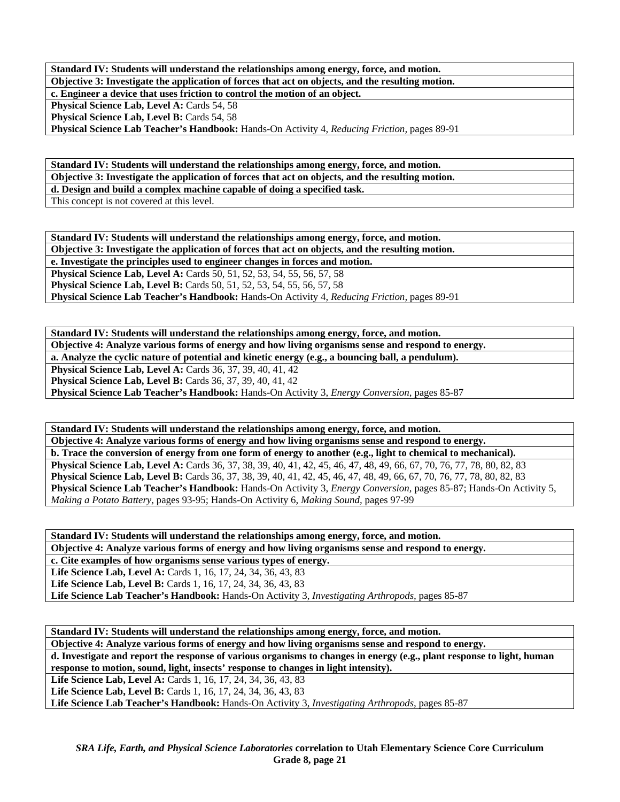**Standard IV: Students will understand the relationships among energy, force, and motion. Objective 3: Investigate the application of forces that act on objects, and the resulting motion. c. Engineer a device that uses friction to control the motion of an object. Physical Science Lab, Level A: Cards 54, 58** Physical Science Lab, Level B: Cards 54, 58 **Physical Science Lab Teacher's Handbook:** Hands-On Activity 4, *Reducing Friction,* pages 89-91

**Standard IV: Students will understand the relationships among energy, force, and motion. Objective 3: Investigate the application of forces that act on objects, and the resulting motion. d. Design and build a complex machine capable of doing a specified task.**  This concept is not covered at this level.

**Standard IV: Students will understand the relationships among energy, force, and motion. Objective 3: Investigate the application of forces that act on objects, and the resulting motion. e. Investigate the principles used to engineer changes in forces and motion. Physical Science Lab, Level A: Cards 50, 51, 52, 53, 54, 55, 56, 57, 58 Physical Science Lab, Level B:** Cards 50, 51, 52, 53, 54, 55, 56, 57, 58 **Physical Science Lab Teacher's Handbook:** Hands-On Activity 4, *Reducing Friction,* pages 89-91

**Standard IV: Students will understand the relationships among energy, force, and motion. Objective 4: Analyze various forms of energy and how living organisms sense and respond to energy. a. Analyze the cyclic nature of potential and kinetic energy (e.g., a bouncing ball, a pendulum). Physical Science Lab, Level A: Cards 36, 37, 39, 40, 41, 42 Physical Science Lab, Level B:** Cards 36, 37, 39, 40, 41, 42 **Physical Science Lab Teacher's Handbook:** Hands-On Activity 3, *Energy Conversion,* pages 85-87

**Standard IV: Students will understand the relationships among energy, force, and motion. Objective 4: Analyze various forms of energy and how living organisms sense and respond to energy. b. Trace the conversion of energy from one form of energy to another (e.g., light to chemical to mechanical). Physical Science Lab, Level A:** Cards 36, 37, 38, 39, 40, 41, 42, 45, 46, 47, 48, 49, 66, 67, 70, 76, 77, 78, 80, 82, 83 **Physical Science Lab, Level B:** Cards 36, 37, 38, 39, 40, 41, 42, 45, 46, 47, 48, 49, 66, 67, 70, 76, 77, 78, 80, 82, 83 **Physical Science Lab Teacher's Handbook:** Hands-On Activity 3, *Energy Conversion,* pages 85-87; Hands-On Activity 5, *Making a Potato Battery,* pages 93-95; Hands-On Activity 6, *Making Sound,* pages 97-99

**Standard IV: Students will understand the relationships among energy, force, and motion. Objective 4: Analyze various forms of energy and how living organisms sense and respond to energy. c. Cite examples of how organisms sense various types of energy. Life Science Lab, Level A:** Cards 1, 16, 17, 24, 34, 36, 43, 83 Life Science Lab, Level B: Cards 1, 16, 17, 24, 34, 36, 43, 83 **Life Science Lab Teacher's Handbook:** Hands-On Activity 3, *Investigating Arthropods,* pages 85-87

**Standard IV: Students will understand the relationships among energy, force, and motion. Objective 4: Analyze various forms of energy and how living organisms sense and respond to energy. d. Investigate and report the response of various organisms to changes in energy (e.g., plant response to light, human response to motion, sound, light, insects' response to changes in light intensity). Life Science Lab, Level A:** Cards 1, 16, 17, 24, 34, 36, 43, 83 Life Science Lab, Level B: Cards 1, 16, 17, 24, 34, 36, 43, 83 **Life Science Lab Teacher's Handbook:** Hands-On Activity 3, *Investigating Arthropods,* pages 85-87